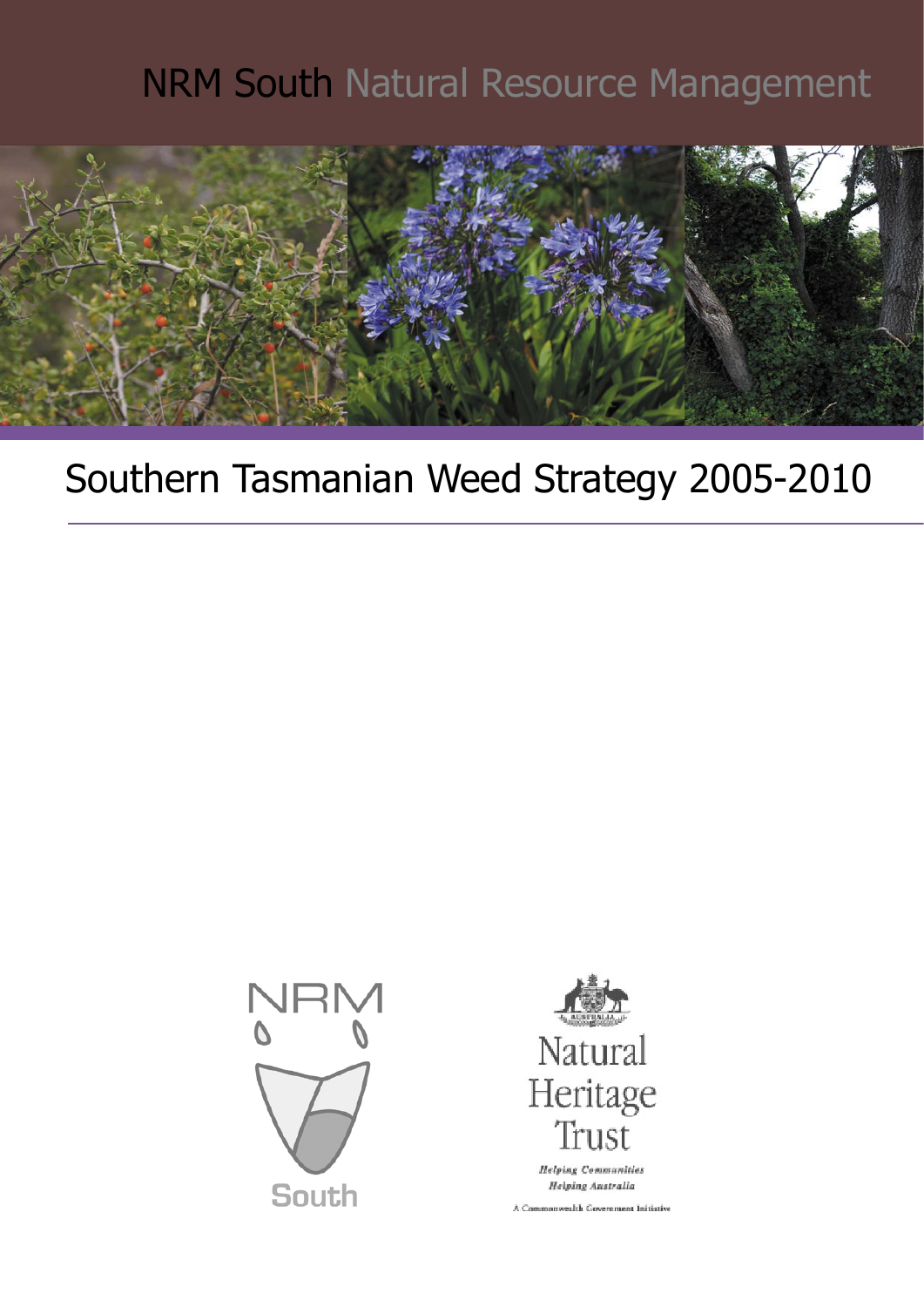# NRM South Natural Resource Management



# Southern Tasmanian Weed Strategy 2005-2010





**Helping Communities** Helping Australia

A Commonwealth Government Initiative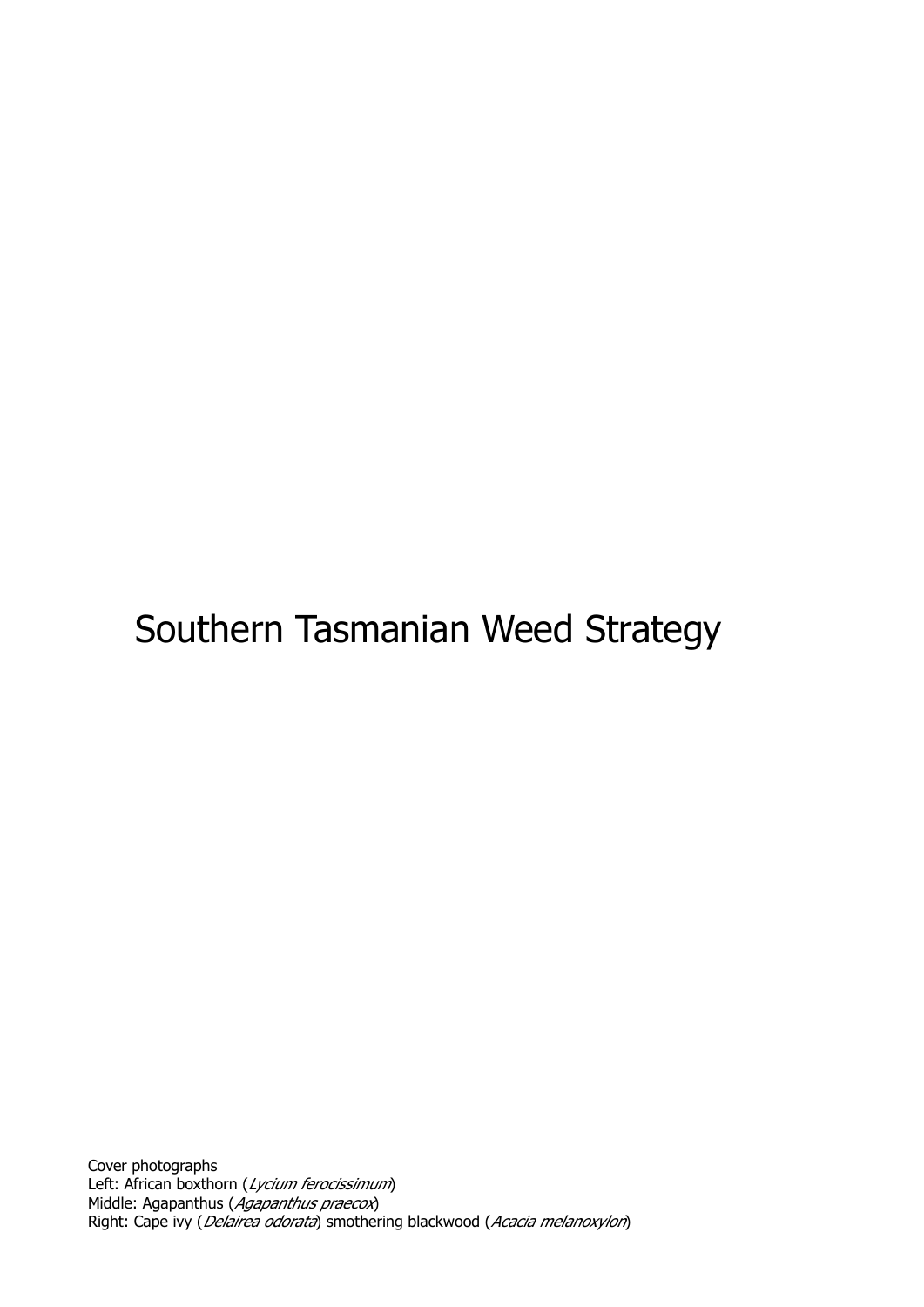# Southern Tasmanian Weed Strategy

Cover photographs Left: African boxthorn (Lycium ferocissimum) Middle: Agapanthus (Agapanthus praecox) Right: Cape ivy (*Delairea odorata*) smothering blackwood (Acacia melanoxylon)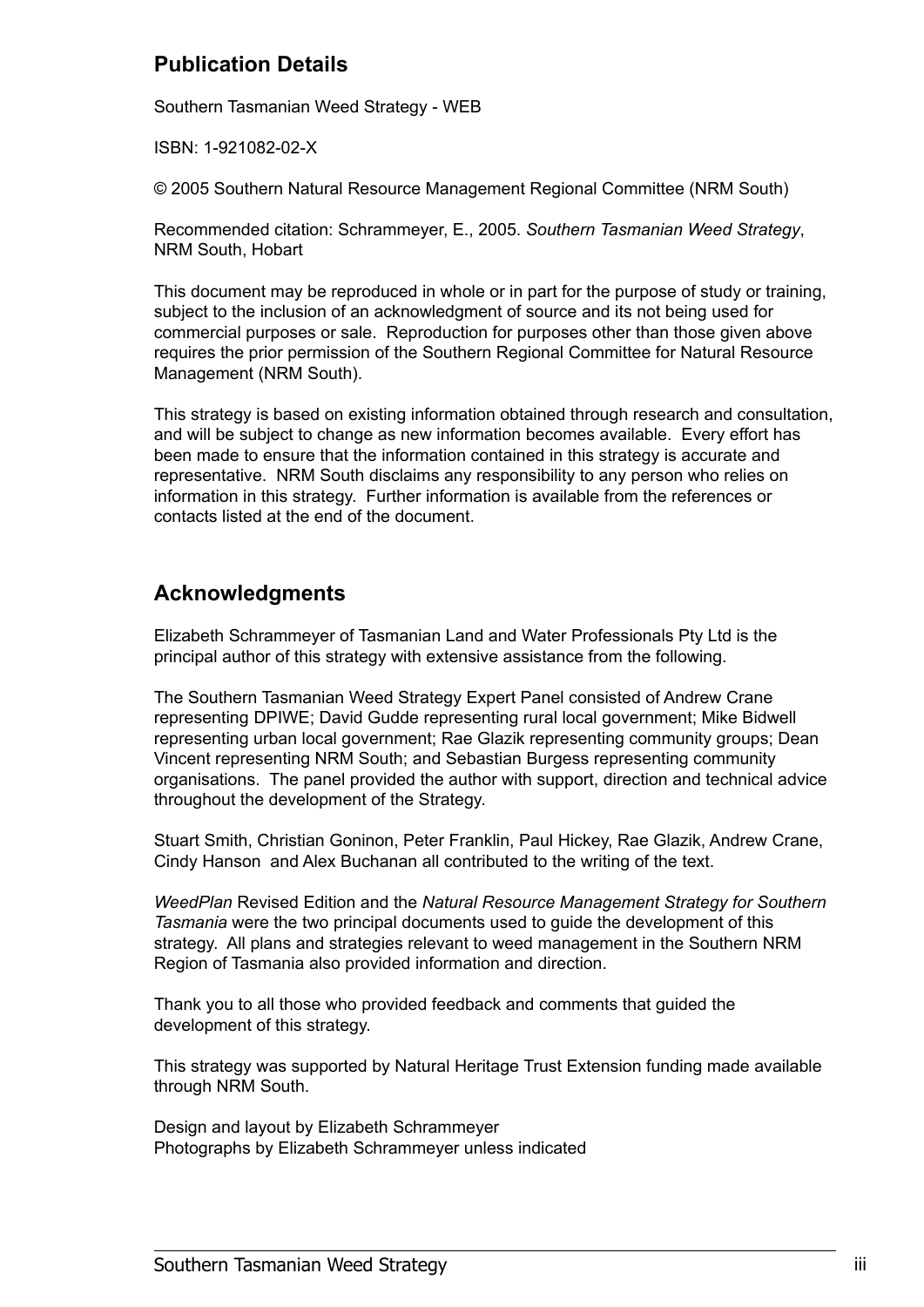### **Publication Details**

Southern Tasmanian Weed Strategy - WEB

ISBN: 1-921082-02-X

© 2005 Southern Natural Resource Management Regional Committee (NRM South)

Recommended citation: Schrammeyer, E., 2005. *Southern Tasmanian Weed Strategy*, NRM South, Hobart

This document may be reproduced in whole or in part for the purpose of study or training, subject to the inclusion of an acknowledgment of source and its not being used for commercial purposes or sale. Reproduction for purposes other than those given above requires the prior permission of the Southern Regional Committee for Natural Resource Management (NRM South).

This strategy is based on existing information obtained through research and consultation, and will be subject to change as new information becomes available. Every effort has been made to ensure that the information contained in this strategy is accurate and representative. NRM South disclaims any responsibility to any person who relies on information in this strategy. Further information is available from the references or contacts listed at the end of the document.

## **Acknowledgments**

Elizabeth Schrammeyer of Tasmanian Land and Water Professionals Pty Ltd is the principal author of this strategy with extensive assistance from the following.

The Southern Tasmanian Weed Strategy Expert Panel consisted of Andrew Crane representing DPIWE; David Gudde representing rural local government; Mike Bidwell representing urban local government; Rae Glazik representing community groups; Dean Vincent representing NRM South; and Sebastian Burgess representing community organisations. The panel provided the author with support, direction and technical advice throughout the development of the Strategy.

Stuart Smith, Christian Goninon, Peter Franklin, Paul Hickey, Rae Glazik, Andrew Crane, Cindy Hanson and Alex Buchanan all contributed to the writing of the text.

*WeedPlan* Revised Edition and the *Natural Resource Management Strategy for Southern Tasmania* were the two principal documents used to guide the development of this strategy. All plans and strategies relevant to weed management in the Southern NRM Region of Tasmania also provided information and direction.

Thank you to all those who provided feedback and comments that guided the development of this strategy.

This strategy was supported by Natural Heritage Trust Extension funding made available through NRM South.

Design and layout by Elizabeth Schrammeyer Photographs by Elizabeth Schrammeyer unless indicated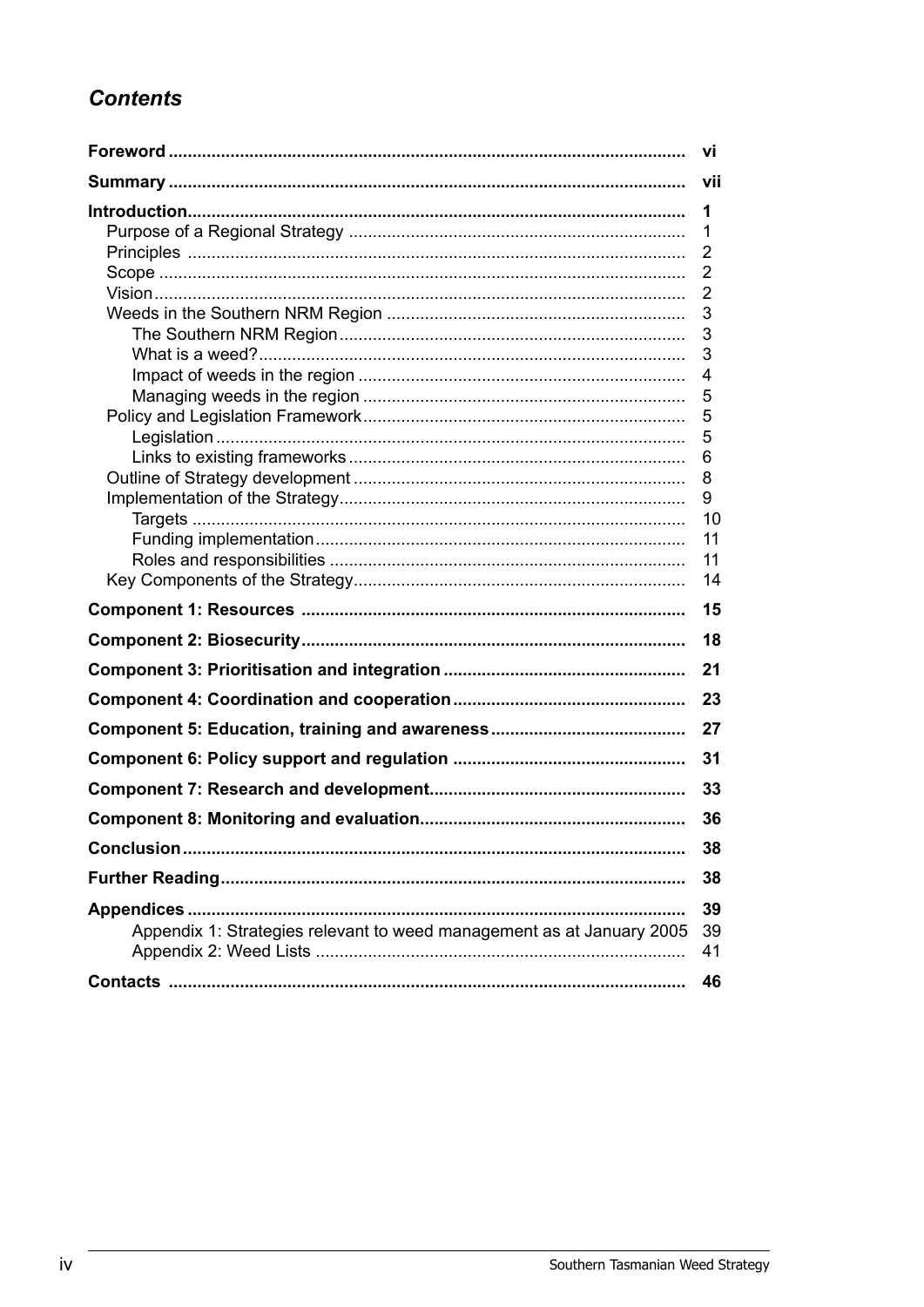# **Contents**

|                                                                       | VĪ             |
|-----------------------------------------------------------------------|----------------|
|                                                                       | vii            |
|                                                                       | 1              |
|                                                                       | 1              |
|                                                                       | $\overline{2}$ |
|                                                                       | 2              |
|                                                                       | 2              |
|                                                                       | 3              |
|                                                                       | 3              |
|                                                                       | 3              |
|                                                                       | 4              |
|                                                                       | 5              |
|                                                                       | 5<br>5         |
|                                                                       | 6              |
|                                                                       | 8              |
|                                                                       | 9              |
|                                                                       | 10             |
|                                                                       | 11             |
|                                                                       | 11             |
|                                                                       | 14             |
|                                                                       | 15             |
|                                                                       | 18             |
|                                                                       | 21             |
|                                                                       | 23             |
|                                                                       | 27             |
|                                                                       | 31             |
|                                                                       | 33             |
|                                                                       | 36             |
|                                                                       | 38             |
|                                                                       | 38             |
|                                                                       | 39             |
| Appendix 1: Strategies relevant to weed management as at January 2005 | 39<br>41       |
|                                                                       | 46             |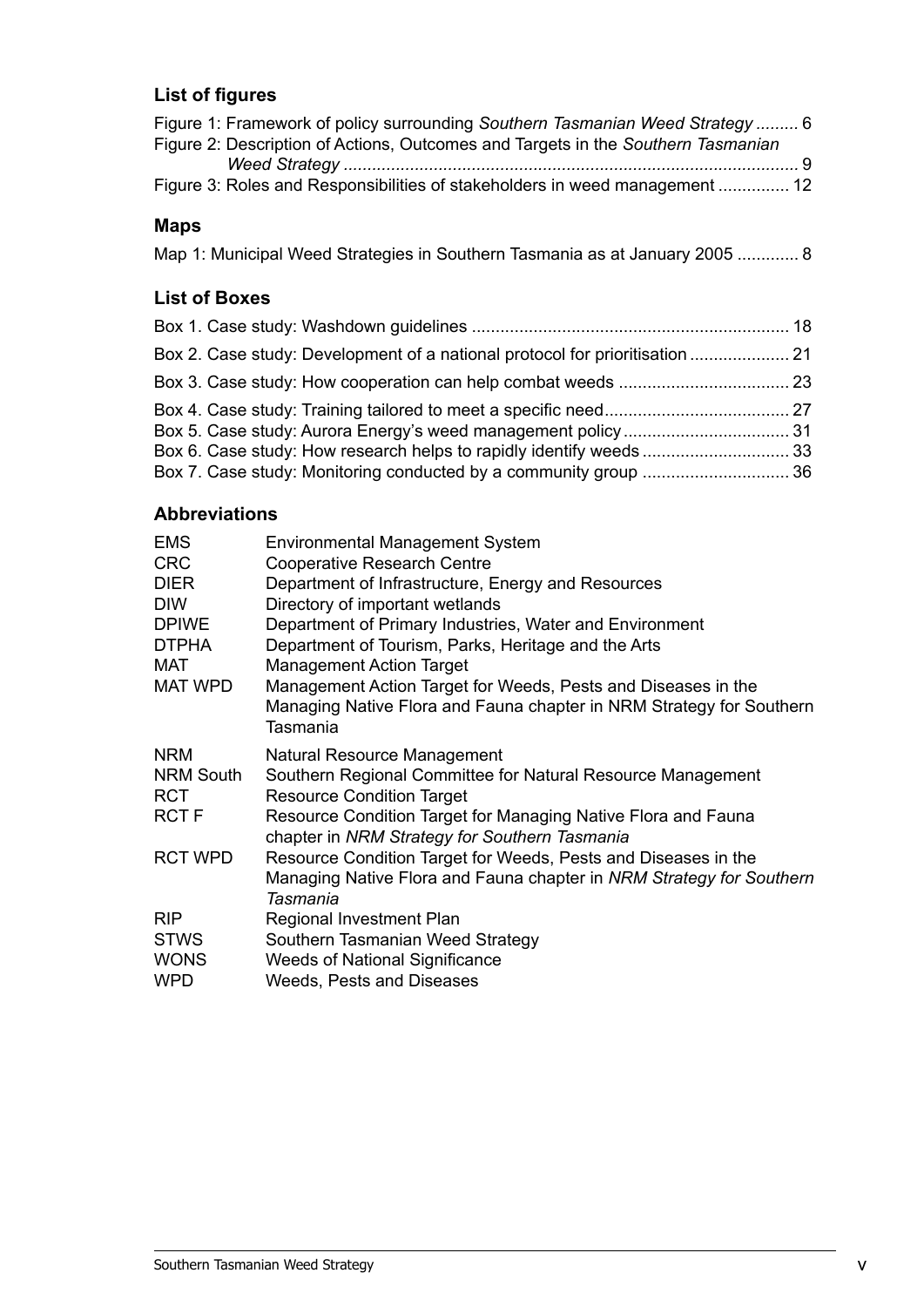#### **List of figures**

| Figure 1: Framework of policy surrounding Southern Tasmanian Weed Strategy  6<br>Figure 2: Description of Actions, Outcomes and Targets in the Southern Tasmanian |  |
|-------------------------------------------------------------------------------------------------------------------------------------------------------------------|--|
|                                                                                                                                                                   |  |
| Figure 3: Roles and Responsibilities of stakeholders in weed management  12                                                                                       |  |
|                                                                                                                                                                   |  |

#### **Maps**

Map 1: Municipal Weed Strategies in Southern Tasmania as at January 2005 ............. 8

### **List of Boxes**

| Box 2. Case study: Development of a national protocol for prioritisation  21 |  |
|------------------------------------------------------------------------------|--|
|                                                                              |  |
|                                                                              |  |

#### **Abbreviations**

| <b>EMS</b>       | <b>Environmental Management System</b>                                           |
|------------------|----------------------------------------------------------------------------------|
| <b>CRC</b>       | <b>Cooperative Research Centre</b>                                               |
| <b>DIER</b>      | Department of Infrastructure, Energy and Resources                               |
| <b>DIW</b>       | Directory of important wetlands                                                  |
| <b>DPIWE</b>     | Department of Primary Industries, Water and Environment                          |
| <b>DTPHA</b>     | Department of Tourism, Parks, Heritage and the Arts                              |
| MAT              | <b>Management Action Target</b>                                                  |
| <b>MAT WPD</b>   | Management Action Target for Weeds, Pests and Diseases in the                    |
|                  | Managing Native Flora and Fauna chapter in NRM Strategy for Southern<br>Tasmania |
| <b>NRM</b>       | Natural Resource Management                                                      |
| <b>NRM South</b> | Southern Regional Committee for Natural Resource Management                      |
| <b>RCT</b>       | <b>Resource Condition Target</b>                                                 |
| <b>RCTF</b>      | Resource Condition Target for Managing Native Flora and Fauna                    |
|                  | chapter in NRM Strategy for Southern Tasmania                                    |
| <b>RCT WPD</b>   | Resource Condition Target for Weeds, Pests and Diseases in the                   |
|                  | Managing Native Flora and Fauna chapter in NRM Strategy for Southern             |
|                  | Tasmania                                                                         |
| <b>RIP</b>       | Regional Investment Plan                                                         |
| <b>STWS</b>      | Southern Tasmanian Weed Strategy                                                 |
| <b>WONS</b>      | <b>Weeds of National Significance</b>                                            |
| <b>WPD</b>       | Weeds, Pests and Diseases                                                        |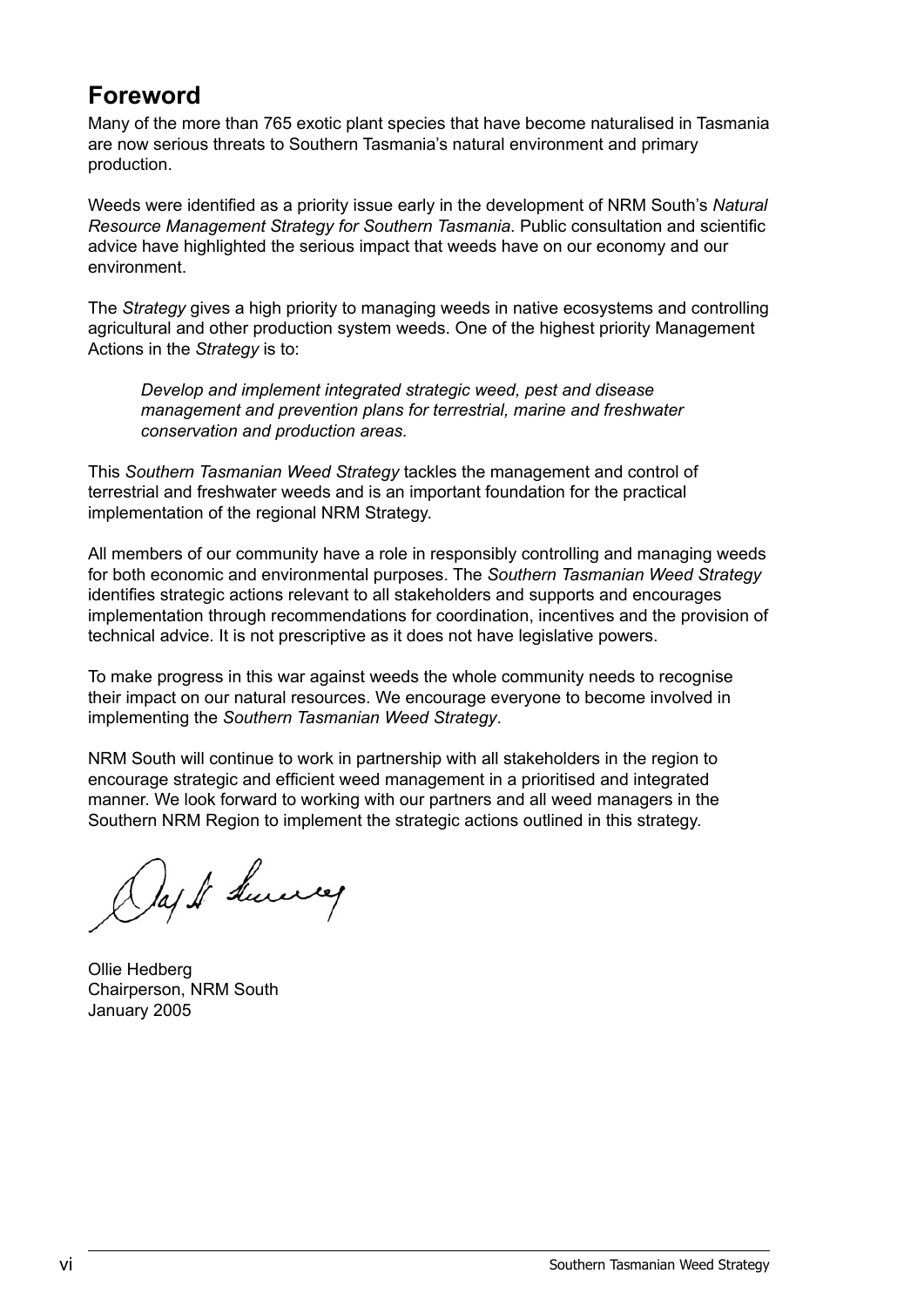# **Foreword**

Many of the more than 765 exotic plant species that have become naturalised in Tasmania are now serious threats to Southern Tasmania's natural environment and primary production.

Weeds were identified as a priority issue early in the development of NRM South's *Natural Resource Management Strategy for Southern Tasmania*. Public consultation and scientific advice have highlighted the serious impact that weeds have on our economy and our environment.

The *Strategy* gives a high priority to managing weeds in native ecosystems and controlling agricultural and other production system weeds. One of the highest priority Management Actions in the *Strategy* is to:

*Develop and implement integrated strategic weed, pest and disease management and prevention plans for terrestrial, marine and freshwater conservation and production areas.*

This *Southern Tasmanian Weed Strategy* tackles the management and control of terrestrial and freshwater weeds and is an important foundation for the practical implementation of the regional NRM Strategy.

All members of our community have a role in responsibly controlling and managing weeds for both economic and environmental purposes. The *Southern Tasmanian Weed Strategy* identifies strategic actions relevant to all stakeholders and supports and encourages implementation through recommendations for coordination, incentives and the provision of technical advice. It is not prescriptive as it does not have legislative powers.

To make progress in this war against weeds the whole community needs to recognise their impact on our natural resources. We encourage everyone to become involved in implementing the *Southern Tasmanian Weed Strategy*.

NRM South will continue to work in partnership with all stakeholders in the region to encourage strategic and efficient weed management in a prioritised and integrated manner. We look forward to working with our partners and all weed managers in the Southern NRM Region to implement the strategic actions outlined in this strategy.

Day It Survey

Ollie Hedberg Chairperson, NRM South January 2005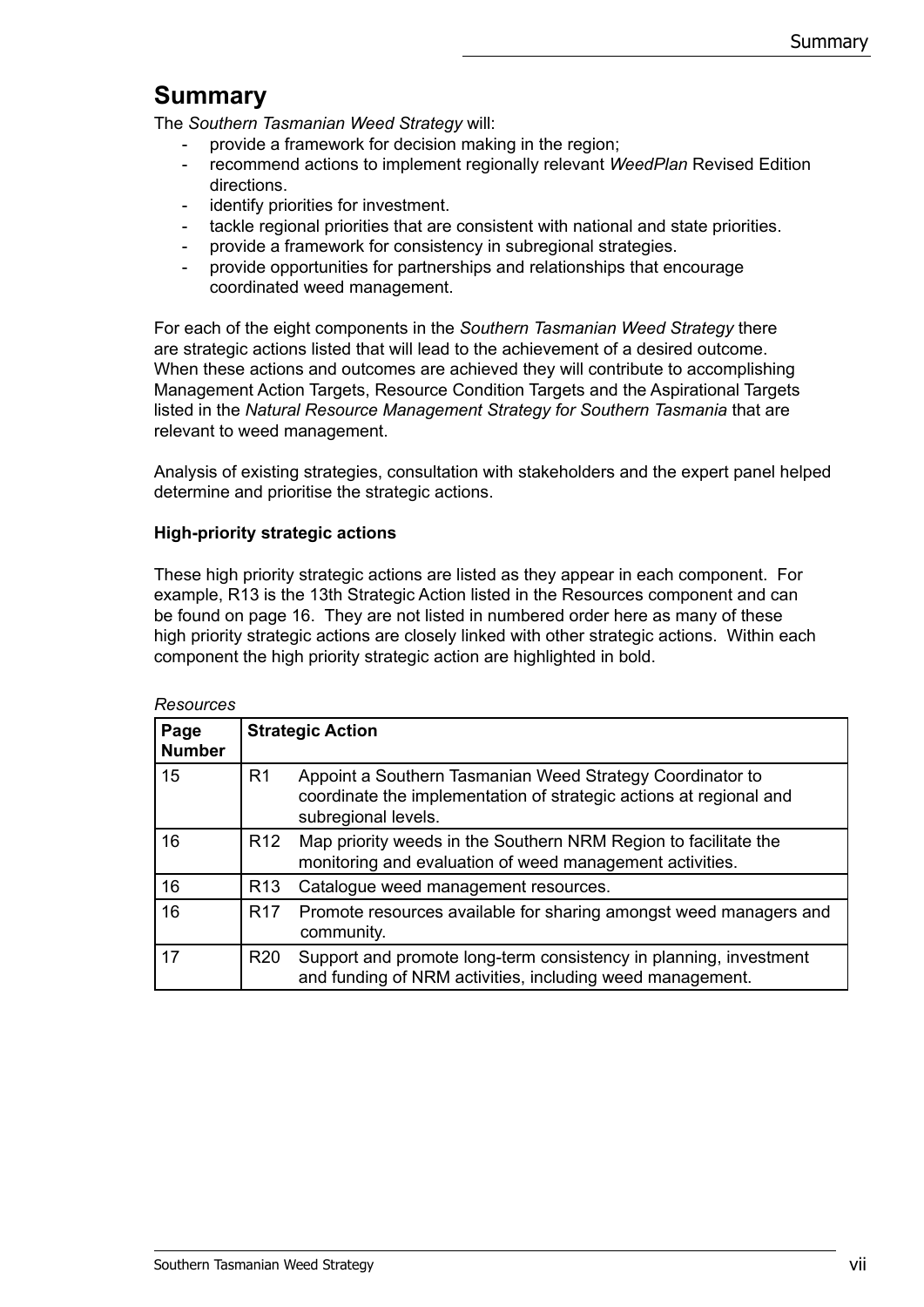# **Summary**

The *Southern Tasmanian Weed Strategy* will:

- provide a framework for decision making in the region;
- recommend actions to implement regionally relevant *WeedPlan* Revised Edition directions.
- identify priorities for investment.
- tackle regional priorities that are consistent with national and state priorities.
- provide a framework for consistency in subregional strategies.
- provide opportunities for partnerships and relationships that encourage coordinated weed management.

For each of the eight components in the *Southern Tasmanian Weed Strategy* there are strategic actions listed that will lead to the achievement of a desired outcome. When these actions and outcomes are achieved they will contribute to accomplishing Management Action Targets, Resource Condition Targets and the Aspirational Targets listed in the *Natural Resource Management Strategy for Southern Tasmania* that are relevant to weed management.

Analysis of existing strategies, consultation with stakeholders and the expert panel helped determine and prioritise the strategic actions.

#### **High-priority strategic actions**

These high priority strategic actions are listed as they appear in each component. For example, R13 is the 13th Strategic Action listed in the Resources component and can be found on page 16. They are not listed in numbered order here as many of these high priority strategic actions are closely linked with other strategic actions. Within each component the high priority strategic action are highlighted in bold.

| NGSUULUGS             |                 |                                                                                                                                                        |
|-----------------------|-----------------|--------------------------------------------------------------------------------------------------------------------------------------------------------|
| Page<br><b>Number</b> |                 | <b>Strategic Action</b>                                                                                                                                |
| 15                    | R1              | Appoint a Southern Tasmanian Weed Strategy Coordinator to<br>coordinate the implementation of strategic actions at regional and<br>subregional levels. |
| 16                    | R <sub>12</sub> | Map priority weeds in the Southern NRM Region to facilitate the<br>monitoring and evaluation of weed management activities.                            |
| 16                    | R <sub>13</sub> | Catalogue weed management resources.                                                                                                                   |
| 16                    | R <sub>17</sub> | Promote resources available for sharing amongst weed managers and<br>community.                                                                        |
| 17                    | R <sub>20</sub> | Support and promote long-term consistency in planning, investment<br>and funding of NRM activities, including weed management.                         |

*Resources*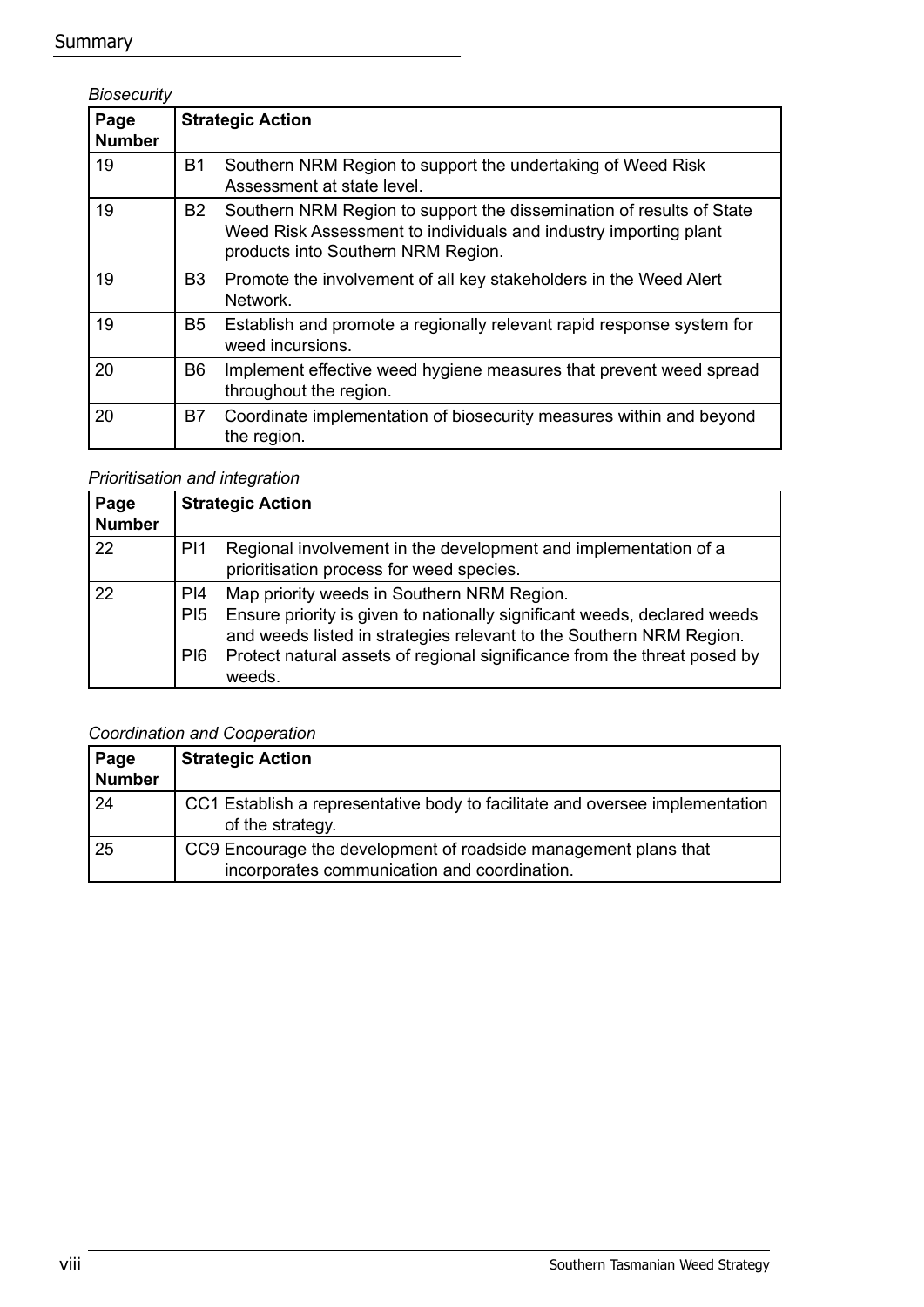#### **Summary**

#### *Biosecurity* **Page Number Strategic Action** 19 B1 Southern NRM Region to support the undertaking of Weed Risk Assessment at state level. 19 B2 Southern NRM Region to support the dissemination of results of State Weed Risk Assessment to individuals and industry importing plant products into Southern NRM Region. 19 B3 Promote the involvement of all key stakeholders in the Weed Alert Network. 19 B5 Establish and promote a regionally relevant rapid response system for weed incursions. 20 B6 Implement effective weed hygiene measures that prevent weed spread throughout the region. 20 B7 Coordinate implementation of biosecurity measures within and beyond the region.

#### *Prioritisation and integration*

| Page<br><b>Number</b> |                               | <b>Strategic Action</b>                                                                                                                                                                                                                                                             |
|-----------------------|-------------------------------|-------------------------------------------------------------------------------------------------------------------------------------------------------------------------------------------------------------------------------------------------------------------------------------|
| 22                    | P <sub>1</sub>                | Regional involvement in the development and implementation of a<br>prioritisation process for weed species.                                                                                                                                                                         |
| 22                    | PI4<br>P <sub>15</sub><br>PI6 | Map priority weeds in Southern NRM Region.<br>Ensure priority is given to nationally significant weeds, declared weeds<br>and weeds listed in strategies relevant to the Southern NRM Region.<br>Protect natural assets of regional significance from the threat posed by<br>weeds. |

#### *Coordination and Cooperation*

| Page<br><b>Number</b> | <b>Strategic Action</b>                                                                                         |
|-----------------------|-----------------------------------------------------------------------------------------------------------------|
| -24                   | CC1 Establish a representative body to facilitate and oversee implementation<br>of the strategy.                |
| 25                    | CC9 Encourage the development of roadside management plans that<br>incorporates communication and coordination. |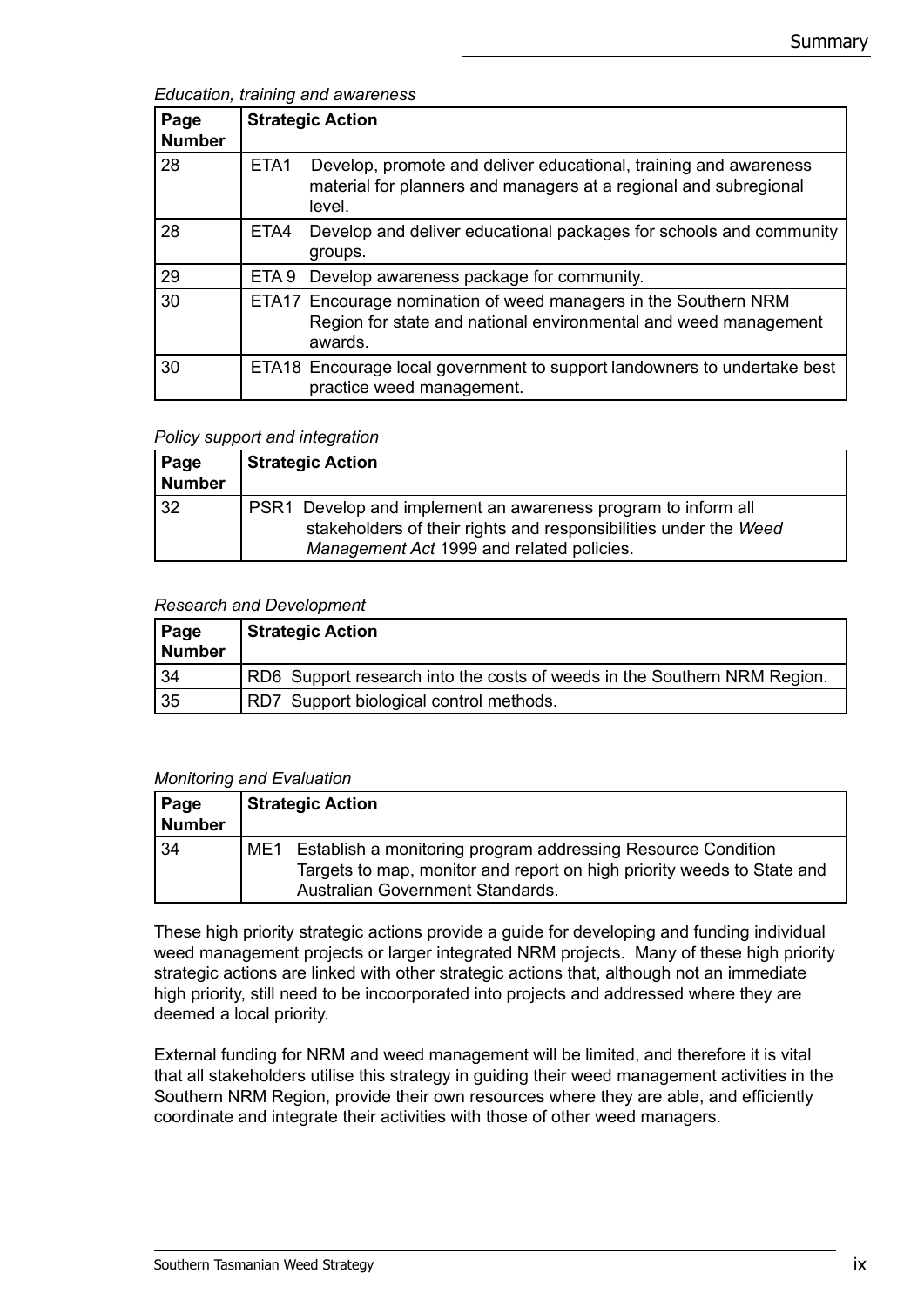*Education, training and awareness*

| Page<br><b>Number</b> |      | <b>Strategic Action</b>                                                                                                                        |
|-----------------------|------|------------------------------------------------------------------------------------------------------------------------------------------------|
| 28                    | ETA1 | Develop, promote and deliver educational, training and awareness<br>material for planners and managers at a regional and subregional<br>level. |
| 28                    | ETA4 | Develop and deliver educational packages for schools and community<br>groups.                                                                  |
| 29                    |      | ETA 9 Develop awareness package for community.                                                                                                 |
| 30                    |      | ETA17 Encourage nomination of weed managers in the Southern NRM<br>Region for state and national environmental and weed management<br>awards.  |
| 30                    |      | ETA18 Encourage local government to support landowners to undertake best<br>practice weed management.                                          |

#### *Policy support and integration*

| Page<br>Number | <b>Strategic Action</b>                                                                                                                                                        |
|----------------|--------------------------------------------------------------------------------------------------------------------------------------------------------------------------------|
| l 32           | PSR1 Develop and implement an awareness program to inform all<br>stakeholders of their rights and responsibilities under the Weed<br>Management Act 1999 and related policies. |

#### *Research and Development*

| Page<br>Number | Strategic Action                                                         |
|----------------|--------------------------------------------------------------------------|
| 34             | RD6 Support research into the costs of weeds in the Southern NRM Region. |
| 35             | RD7 Support biological control methods.                                  |

#### *Monitoring and Evaluation*

| Page<br>Number |     | <b>Strategic Action</b>                                                                                                                                                    |
|----------------|-----|----------------------------------------------------------------------------------------------------------------------------------------------------------------------------|
| 34             | ME1 | Establish a monitoring program addressing Resource Condition<br>Targets to map, monitor and report on high priority weeds to State and<br>Australian Government Standards. |

These high priority strategic actions provide a guide for developing and funding individual weed management projects or larger integrated NRM projects. Many of these high priority strategic actions are linked with other strategic actions that, although not an immediate high priority, still need to be incoorporated into projects and addressed where they are deemed a local priority.

External funding for NRM and weed management will be limited, and therefore it is vital that all stakeholders utilise this strategy in guiding their weed management activities in the Southern NRM Region, provide their own resources where they are able, and efficiently coordinate and integrate their activities with those of other weed managers.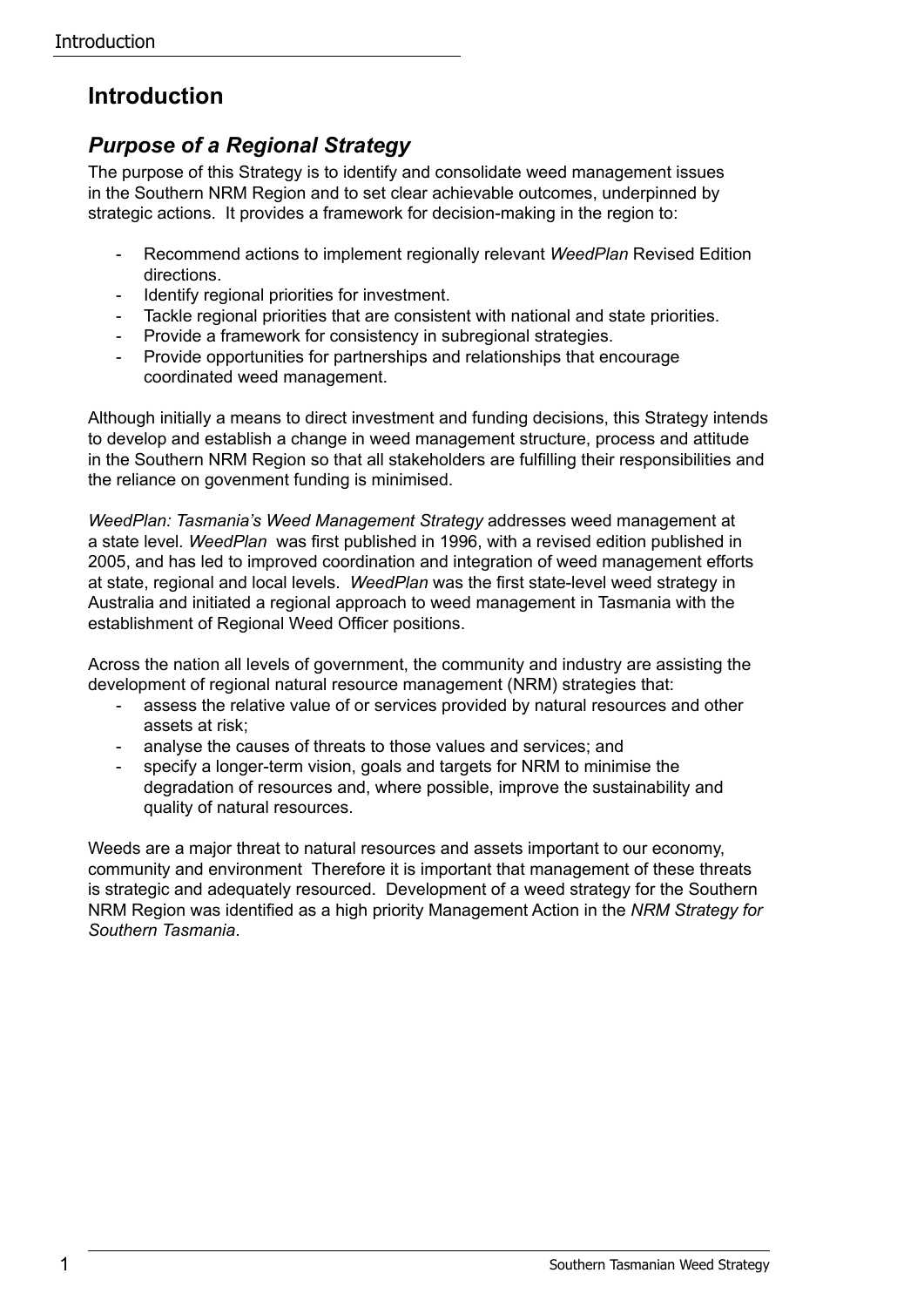# **Introduction**

## *Purpose of a Regional Strategy*

The purpose of this Strategy is to identify and consolidate weed management issues in the Southern NRM Region and to set clear achievable outcomes, underpinned by strategic actions. It provides a framework for decision-making in the region to:

- Recommend actions to implement regionally relevant *WeedPlan* Revised Edition directions.
- Identify regional priorities for investment.
- Tackle regional priorities that are consistent with national and state priorities.
- Provide a framework for consistency in subregional strategies.
- Provide opportunities for partnerships and relationships that encourage coordinated weed management.

Although initially a means to direct investment and funding decisions, this Strategy intends to develop and establish a change in weed management structure, process and attitude in the Southern NRM Region so that all stakeholders are fulfilling their responsibilities and the reliance on govenment funding is minimised.

*WeedPlan: Tasmania's Weed Management Strategy* addresses weed management at a state level*. WeedPlan* was first published in 1996, with a revised edition published in 2005, and has led to improved coordination and integration of weed management efforts at state, regional and local levels. *WeedPlan* was the first state-level weed strategy in Australia and initiated a regional approach to weed management in Tasmania with the establishment of Regional Weed Officer positions.

Across the nation all levels of government, the community and industry are assisting the development of regional natural resource management (NRM) strategies that:

- assess the relative value of or services provided by natural resources and other assets at risk;
- analyse the causes of threats to those values and services; and
- specify a longer-term vision, goals and targets for NRM to minimise the degradation of resources and, where possible, improve the sustainability and quality of natural resources.

Weeds are a major threat to natural resources and assets important to our economy, community and environment Therefore it is important that management of these threats is strategic and adequately resourced. Development of a weed strategy for the Southern NRM Region was identified as a high priority Management Action in the *NRM Strategy for Southern Tasmania*.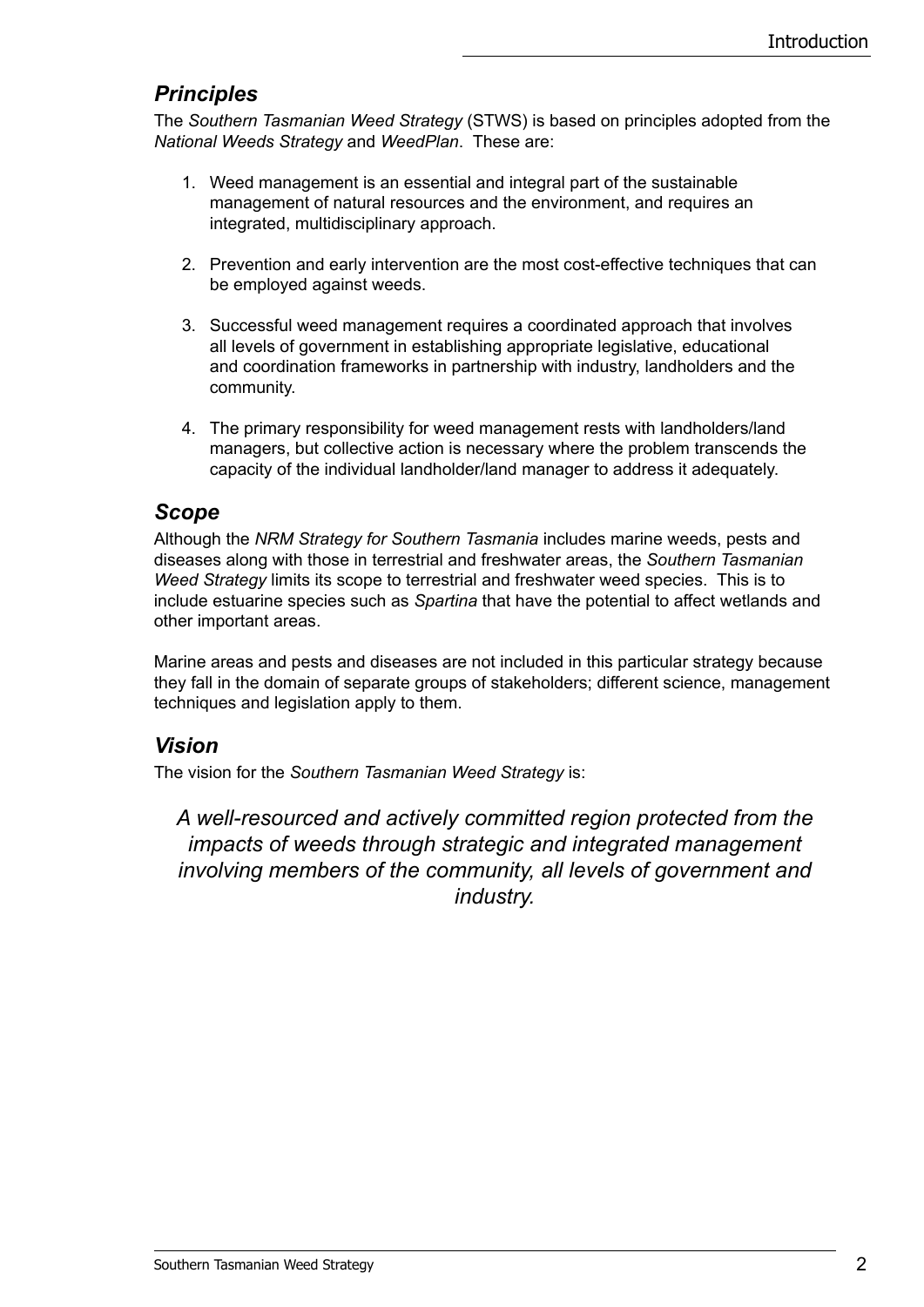### *Principles*

The *Southern Tasmanian Weed Strategy* (STWS) is based on principles adopted from the *National Weeds Strategy* and *WeedPlan*. These are:

- 1. Weed management is an essential and integral part of the sustainable management of natural resources and the environment, and requires an integrated, multidisciplinary approach.
- 2. Prevention and early intervention are the most cost-effective techniques that can be employed against weeds.
- 3. Successful weed management requires a coordinated approach that involves all levels of government in establishing appropriate legislative, educational and coordination frameworks in partnership with industry, landholders and the community.
- 4. The primary responsibility for weed management rests with landholders/land managers, but collective action is necessary where the problem transcends the capacity of the individual landholder/land manager to address it adequately.

### *Scope*

Although the *NRM Strategy for Southern Tasmania* includes marine weeds, pests and diseases along with those in terrestrial and freshwater areas, the *Southern Tasmanian Weed Strategy* limits its scope to terrestrial and freshwater weed species. This is to include estuarine species such as *Spartina* that have the potential to affect wetlands and other important areas.

Marine areas and pests and diseases are not included in this particular strategy because they fall in the domain of separate groups of stakeholders; different science, management techniques and legislation apply to them.

### *Vision*

The vision for the *Southern Tasmanian Weed Strategy* is:

*A well-resourced and actively committed region protected from the impacts of weeds through strategic and integrated management involving members of the community, all levels of government and industry.*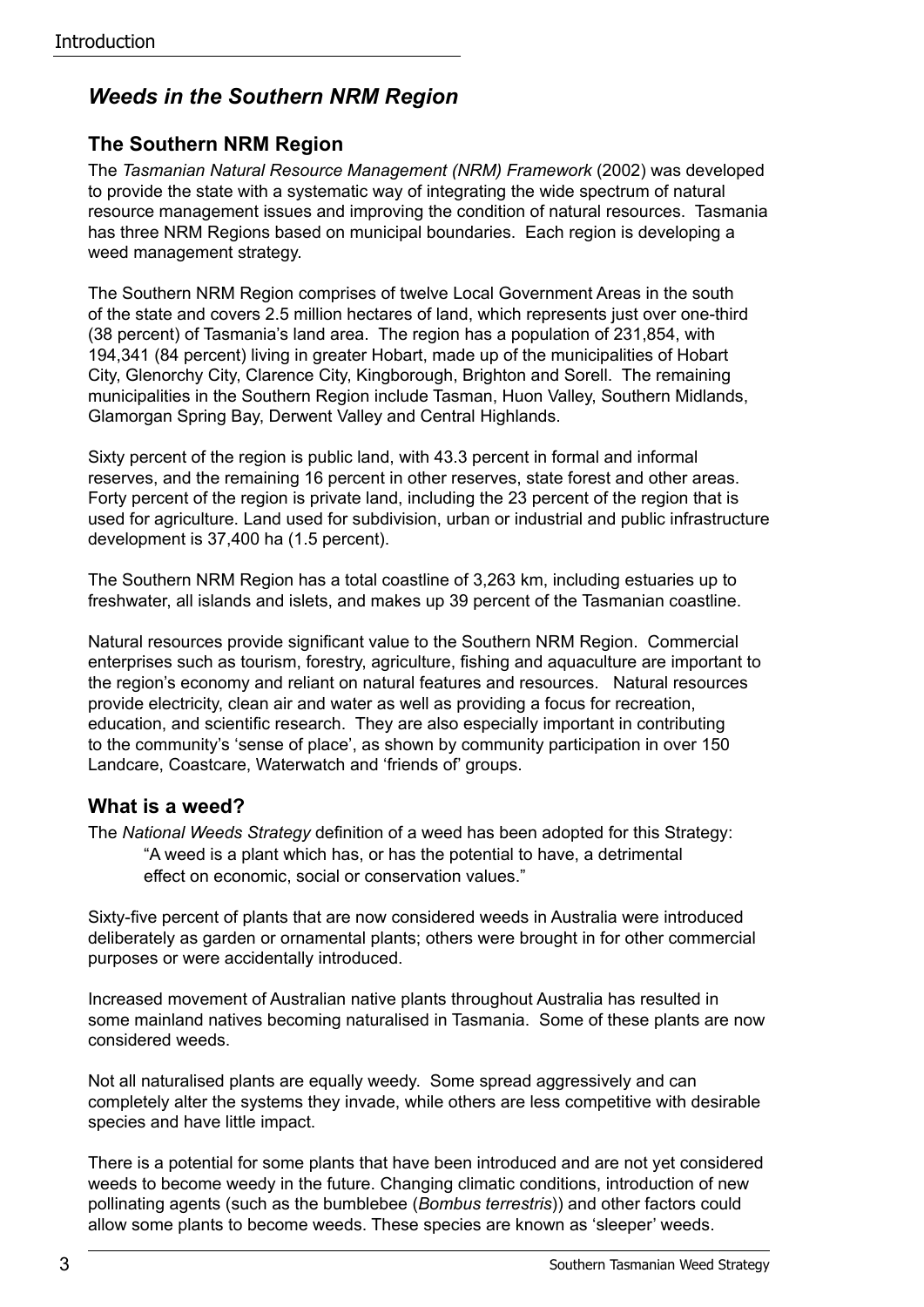## *Weeds in the Southern NRM Region*

### **The Southern NRM Region**

The *Tasmanian Natural Resource Management (NRM) Framework* (2002) was developed to provide the state with a systematic way of integrating the wide spectrum of natural resource management issues and improving the condition of natural resources. Tasmania has three NRM Regions based on municipal boundaries. Each region is developing a weed management strategy.

The Southern NRM Region comprises of twelve Local Government Areas in the south of the state and covers 2.5 million hectares of land, which represents just over one-third (38 percent) of Tasmania's land area. The region has a population of 231,854, with 194,341 (84 percent) living in greater Hobart, made up of the municipalities of Hobart City, Glenorchy City, Clarence City, Kingborough, Brighton and Sorell. The remaining municipalities in the Southern Region include Tasman, Huon Valley, Southern Midlands, Glamorgan Spring Bay, Derwent Valley and Central Highlands.

Sixty percent of the region is public land, with 43.3 percent in formal and informal reserves, and the remaining 16 percent in other reserves, state forest and other areas. Forty percent of the region is private land, including the 23 percent of the region that is used for agriculture. Land used for subdivision, urban or industrial and public infrastructure development is 37,400 ha (1.5 percent).

The Southern NRM Region has a total coastline of 3,263 km, including estuaries up to freshwater, all islands and islets, and makes up 39 percent of the Tasmanian coastline.

Natural resources provide significant value to the Southern NRM Region. Commercial enterprises such as tourism, forestry, agriculture, fishing and aquaculture are important to the region's economy and reliant on natural features and resources. Natural resources provide electricity, clean air and water as well as providing a focus for recreation, education, and scientific research. They are also especially important in contributing to the community's 'sense of place', as shown by community participation in over 150 Landcare, Coastcare, Waterwatch and 'friends of' groups.

#### **What is a weed?**

The *National Weeds Strategy* definition of a weed has been adopted for this Strategy: "A weed is a plant which has, or has the potential to have, a detrimental effect on economic, social or conservation values."

Sixty-five percent of plants that are now considered weeds in Australia were introduced deliberately as garden or ornamental plants; others were brought in for other commercial purposes or were accidentally introduced.

Increased movement of Australian native plants throughout Australia has resulted in some mainland natives becoming naturalised in Tasmania. Some of these plants are now considered weeds.

Not all naturalised plants are equally weedy. Some spread aggressively and can completely alter the systems they invade, while others are less competitive with desirable species and have little impact.

There is a potential for some plants that have been introduced and are not yet considered weeds to become weedy in the future. Changing climatic conditions, introduction of new pollinating agents (such as the bumblebee (*Bombus terrestris*)) and other factors could allow some plants to become weeds. These species are known as 'sleeper' weeds.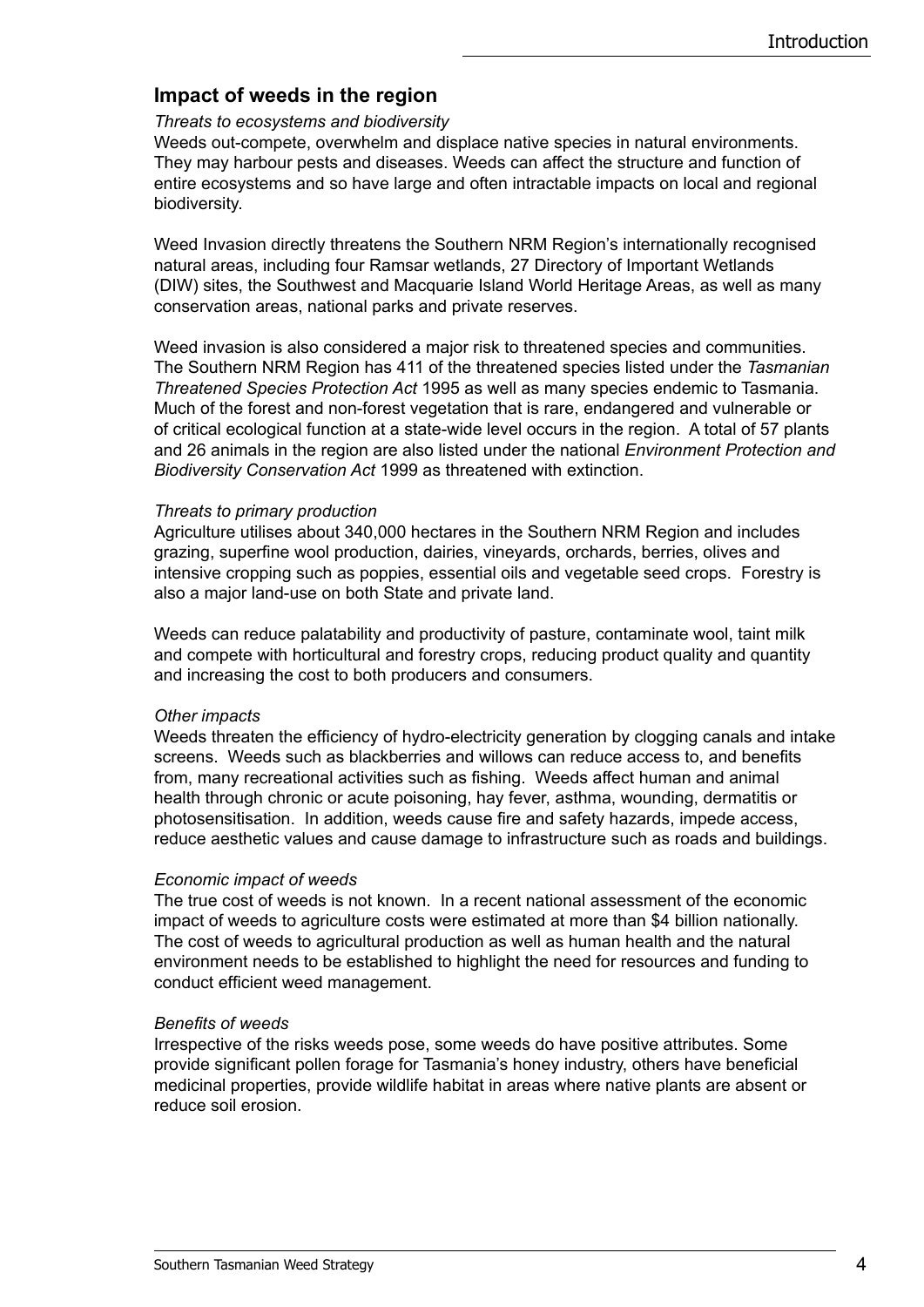#### **Impact of weeds in the region**

#### *Threats to ecosystems and biodiversity*

Weeds out-compete, overwhelm and displace native species in natural environments. They may harbour pests and diseases. Weeds can affect the structure and function of entire ecosystems and so have large and often intractable impacts on local and regional biodiversity.

Weed Invasion directly threatens the Southern NRM Region's internationally recognised natural areas, including four Ramsar wetlands, 27 Directory of Important Wetlands (DIW) sites, the Southwest and Macquarie Island World Heritage Areas, as well as many conservation areas, national parks and private reserves.

Weed invasion is also considered a major risk to threatened species and communities. The Southern NRM Region has 411 of the threatened species listed under the *Tasmanian Threatened Species Protection Act* 1995 as well as many species endemic to Tasmania. Much of the forest and non-forest vegetation that is rare, endangered and vulnerable or of critical ecological function at a state-wide level occurs in the region. A total of 57 plants and 26 animals in the region are also listed under the national *Environment Protection and Biodiversity Conservation Act* 1999 as threatened with extinction.

#### *Threats to primary production*

Agriculture utilises about 340,000 hectares in the Southern NRM Region and includes grazing, superfine wool production, dairies, vineyards, orchards, berries, olives and intensive cropping such as poppies, essential oils and vegetable seed crops. Forestry is also a major land-use on both State and private land.

Weeds can reduce palatability and productivity of pasture, contaminate wool, taint milk and compete with horticultural and forestry crops, reducing product quality and quantity and increasing the cost to both producers and consumers.

#### *Other impacts*

Weeds threaten the efficiency of hydro-electricity generation by clogging canals and intake screens. Weeds such as blackberries and willows can reduce access to, and benefits from, many recreational activities such as fishing. Weeds affect human and animal health through chronic or acute poisoning, hay fever, asthma, wounding, dermatitis or photosensitisation. In addition, weeds cause fire and safety hazards, impede access, reduce aesthetic values and cause damage to infrastructure such as roads and buildings.

#### *Economic impact of weeds*

The true cost of weeds is not known. In a recent national assessment of the economic impact of weeds to agriculture costs were estimated at more than \$4 billion nationally. The cost of weeds to agricultural production as well as human health and the natural environment needs to be established to highlight the need for resources and funding to conduct efficient weed management.

#### *Benefits of weeds*

Irrespective of the risks weeds pose, some weeds do have positive attributes. Some provide significant pollen forage for Tasmania's honey industry, others have beneficial medicinal properties, provide wildlife habitat in areas where native plants are absent or reduce soil erosion.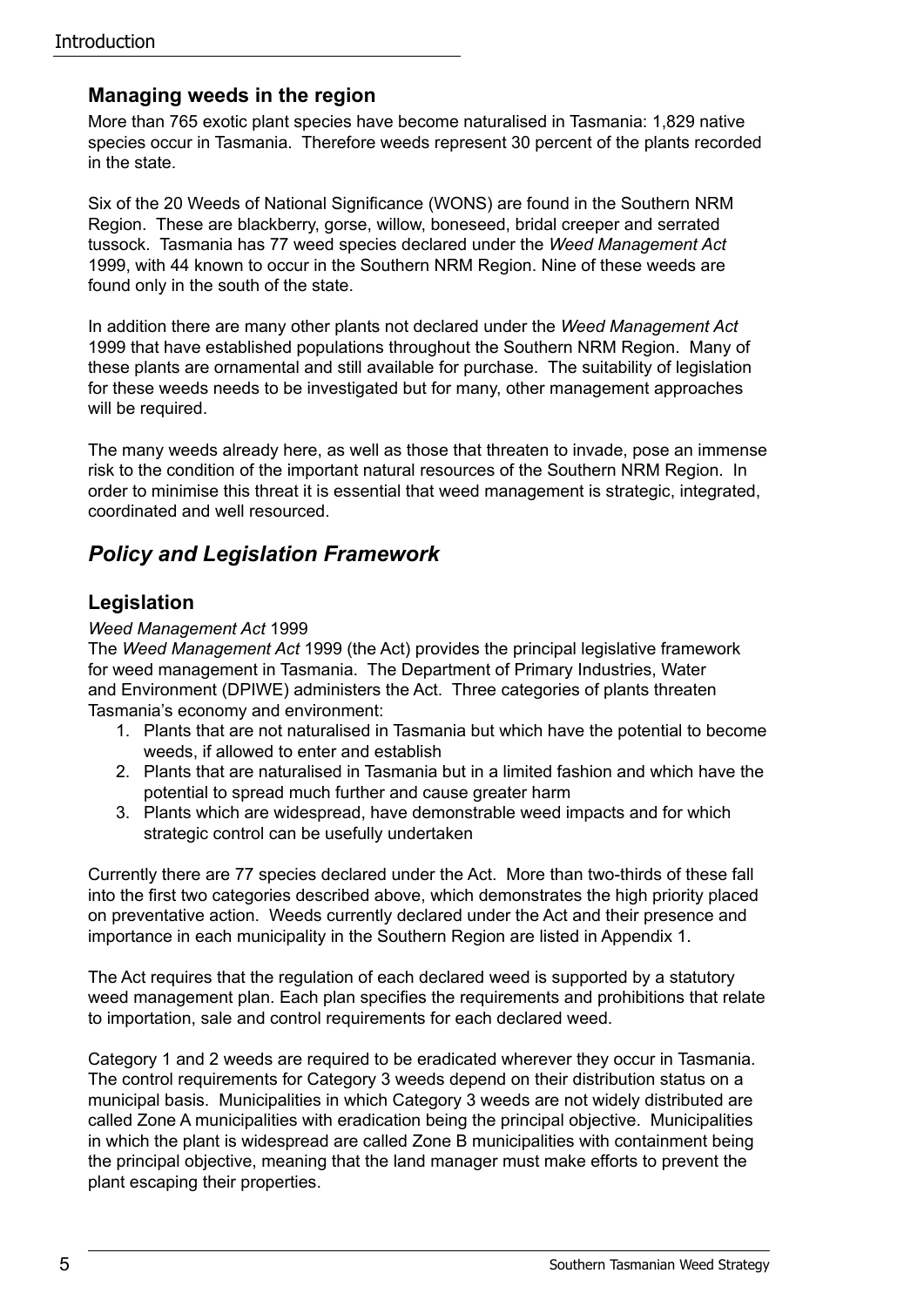#### **Managing weeds in the region**

More than 765 exotic plant species have become naturalised in Tasmania: 1,829 native species occur in Tasmania. Therefore weeds represent 30 percent of the plants recorded in the state.

Six of the 20 Weeds of National Significance (WONS) are found in the Southern NRM Region. These are blackberry, gorse, willow, boneseed, bridal creeper and serrated tussock. Tasmania has 77 weed species declared under the *Weed Management Act*  1999, with 44 known to occur in the Southern NRM Region. Nine of these weeds are found only in the south of the state.

In addition there are many other plants not declared under the *Weed Management Act*  1999 that have established populations throughout the Southern NRM Region. Many of these plants are ornamental and still available for purchase. The suitability of legislation for these weeds needs to be investigated but for many, other management approaches will be required.

The many weeds already here, as well as those that threaten to invade, pose an immense risk to the condition of the important natural resources of the Southern NRM Region. In order to minimise this threat it is essential that weed management is strategic, integrated, coordinated and well resourced.

### *Policy and Legislation Framework*

### **Legislation**

#### *Weed Management Act* 1999

The *Weed Management Act* 1999 (the Act) provides the principal legislative framework for weed management in Tasmania. The Department of Primary Industries, Water and Environment (DPIWE) administers the Act. Three categories of plants threaten Tasmania's economy and environment:

- 1. Plants that are not naturalised in Tasmania but which have the potential to become weeds, if allowed to enter and establish
- 2. Plants that are naturalised in Tasmania but in a limited fashion and which have the potential to spread much further and cause greater harm
- 3. Plants which are widespread, have demonstrable weed impacts and for which strategic control can be usefully undertaken

Currently there are 77 species declared under the Act. More than two-thirds of these fall into the first two categories described above, which demonstrates the high priority placed on preventative action. Weeds currently declared under the Act and their presence and importance in each municipality in the Southern Region are listed in Appendix 1.

The Act requires that the regulation of each declared weed is supported by a statutory weed management plan. Each plan specifies the requirements and prohibitions that relate to importation, sale and control requirements for each declared weed.

Category 1 and 2 weeds are required to be eradicated wherever they occur in Tasmania. The control requirements for Category 3 weeds depend on their distribution status on a municipal basis. Municipalities in which Category 3 weeds are not widely distributed are called Zone A municipalities with eradication being the principal objective. Municipalities in which the plant is widespread are called Zone B municipalities with containment being the principal objective, meaning that the land manager must make efforts to prevent the plant escaping their properties.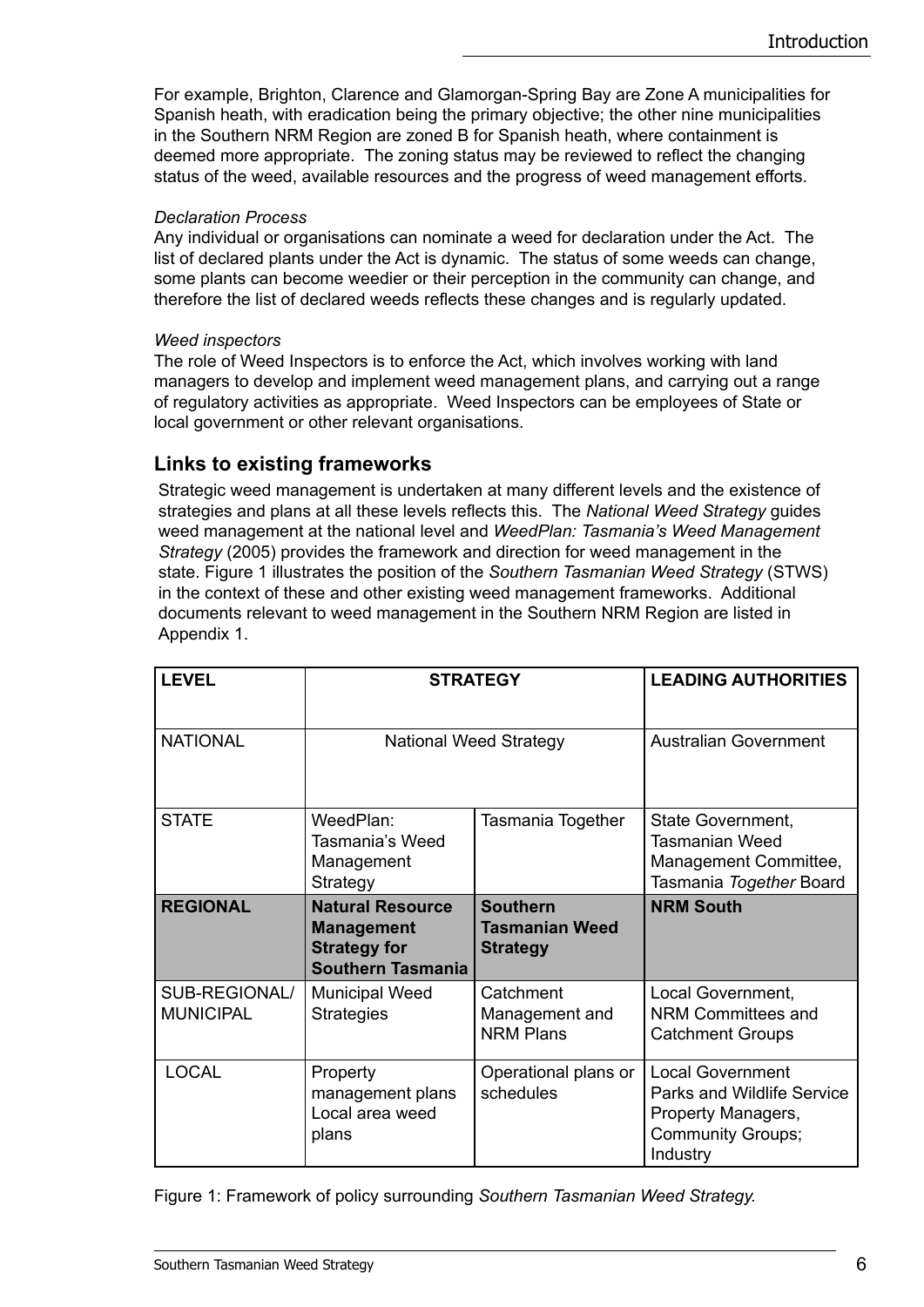For example, Brighton, Clarence and Glamorgan-Spring Bay are Zone A municipalities for Spanish heath, with eradication being the primary objective; the other nine municipalities in the Southern NRM Region are zoned B for Spanish heath, where containment is deemed more appropriate. The zoning status may be reviewed to reflect the changing status of the weed, available resources and the progress of weed management efforts.

#### *Declaration Process*

Any individual or organisations can nominate a weed for declaration under the Act. The list of declared plants under the Act is dynamic. The status of some weeds can change, some plants can become weedier or their perception in the community can change, and therefore the list of declared weeds reflects these changes and is regularly updated.

#### *Weed inspectors*

The role of Weed Inspectors is to enforce the Act, which involves working with land managers to develop and implement weed management plans, and carrying out a range of regulatory activities as appropriate. Weed Inspectors can be employees of State or local government or other relevant organisations.

#### **Links to existing frameworks**

Strategic weed management is undertaken at many different levels and the existence of strategies and plans at all these levels reflects this. The *National Weed Strategy* guides weed management at the national level and *WeedPlan: Tasmania's Weed Management Strategy* (2005) provides the framework and direction for weed management in the state. Figure 1 illustrates the position of the *Southern Tasmanian Weed Strategy* (STWS) in the context of these and other existing weed management frameworks. Additional documents relevant to weed management in the Southern NRM Region are listed in Appendix 1.

| <b>LEVEL</b>                      | <b>STRATEGY</b>                                                                                 |                                                             | <b>LEADING AUTHORITIES</b>                                                                                                 |
|-----------------------------------|-------------------------------------------------------------------------------------------------|-------------------------------------------------------------|----------------------------------------------------------------------------------------------------------------------------|
| <b>NATIONAL</b>                   | <b>National Weed Strategy</b>                                                                   |                                                             | <b>Australian Government</b>                                                                                               |
| <b>STATE</b>                      | WeedPlan:<br>Tasmania's Weed<br>Management<br>Strategy                                          | Tasmania Together                                           | State Government,<br>Tasmanian Weed<br>Management Committee,<br>Tasmania Together Board                                    |
| <b>REGIONAL</b>                   | <b>Natural Resource</b><br><b>Management</b><br><b>Strategy for</b><br><b>Southern Tasmania</b> | <b>Southern</b><br><b>Tasmanian Weed</b><br><b>Strategy</b> | <b>NRM South</b>                                                                                                           |
| SUB-REGIONAL/<br><b>MUNICIPAL</b> | <b>Municipal Weed</b><br><b>Strategies</b>                                                      | Catchment<br>Management and<br><b>NRM Plans</b>             | Local Government,<br><b>NRM Committees and</b><br><b>Catchment Groups</b>                                                  |
| <b>LOCAL</b>                      | Property<br>management plans<br>Local area weed<br>plans                                        | Operational plans or<br>schedules                           | <b>Local Government</b><br><b>Parks and Wildlife Service</b><br>Property Managers,<br><b>Community Groups;</b><br>Industry |

Figure 1: Framework of policy surrounding *Southern Tasmanian Weed Strategy.*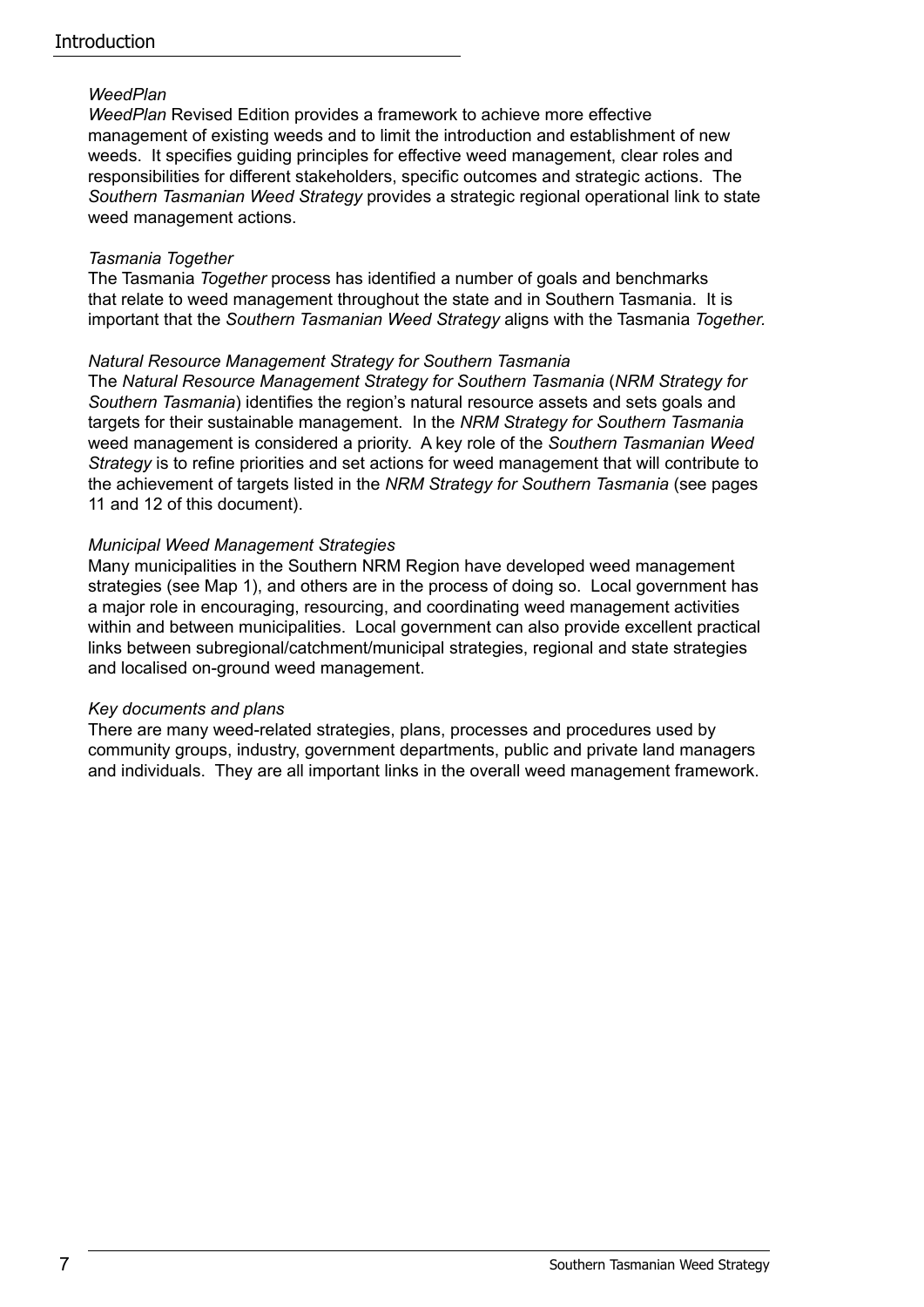#### *WeedPlan*

*WeedPlan* Revised Edition provides a framework to achieve more effective management of existing weeds and to limit the introduction and establishment of new weeds. It specifies guiding principles for effective weed management, clear roles and responsibilities for different stakeholders, specific outcomes and strategic actions. The *Southern Tasmanian Weed Strategy* provides a strategic regional operational link to state weed management actions.

#### *Tasmania Together*

The Tasmania *Together* process has identified a number of goals and benchmarks that relate to weed management throughout the state and in Southern Tasmania. It is important that the *Southern Tasmanian Weed Strategy* aligns with the Tasmania *Together.*

#### *Natural Resource Management Strategy for Southern Tasmania*

The *Natural Resource Management Strategy for Southern Tasmania* (*NRM Strategy for Southern Tasmania*) identifies the region's natural resource assets and sets goals and targets for their sustainable management. In the *NRM Strategy for Southern Tasmania* weed management is considered a priority. A key role of the *Southern Tasmanian Weed Strategy* is to refine priorities and set actions for weed management that will contribute to the achievement of targets listed in the *NRM Strategy for Southern Tasmania* (see pages 11 and 12 of this document).

#### *Municipal Weed Management Strategies*

Many municipalities in the Southern NRM Region have developed weed management strategies (see Map 1), and others are in the process of doing so. Local government has a major role in encouraging, resourcing, and coordinating weed management activities within and between municipalities. Local government can also provide excellent practical links between subregional/catchment/municipal strategies, regional and state strategies and localised on-ground weed management.

#### *Key documents and plans*

There are many weed-related strategies, plans, processes and procedures used by community groups, industry, government departments, public and private land managers and individuals. They are all important links in the overall weed management framework.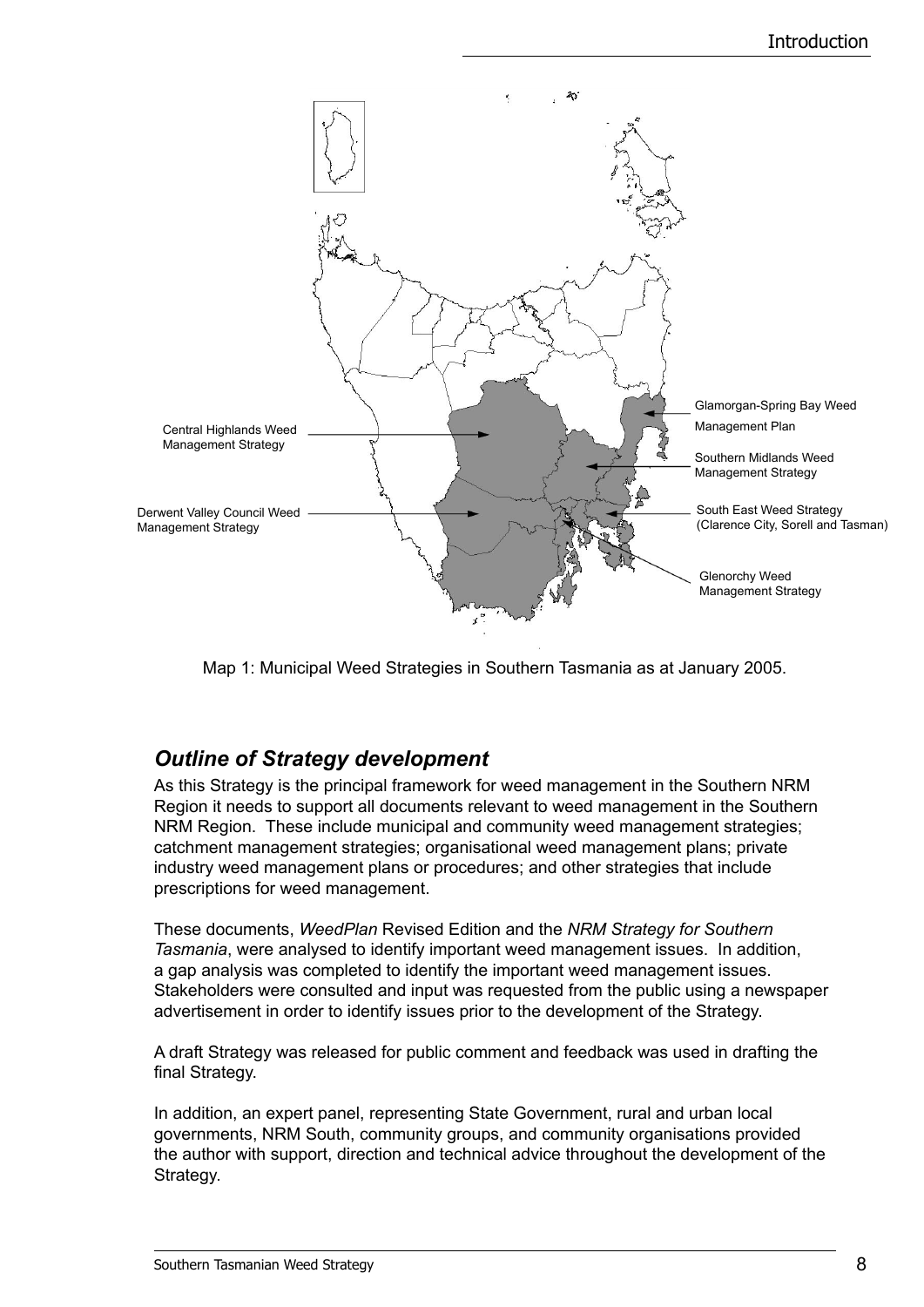

Map 1: Municipal Weed Strategies in Southern Tasmania as at January 2005.

## *Outline of Strategy development*

As this Strategy is the principal framework for weed management in the Southern NRM Region it needs to support all documents relevant to weed management in the Southern NRM Region. These include municipal and community weed management strategies; catchment management strategies; organisational weed management plans; private industry weed management plans or procedures; and other strategies that include prescriptions for weed management.

These documents, *WeedPlan* Revised Edition and the *NRM Strategy for Southern Tasmania*, were analysed to identify important weed management issues. In addition, a gap analysis was completed to identify the important weed management issues. Stakeholders were consulted and input was requested from the public using a newspaper advertisement in order to identify issues prior to the development of the Strategy.

A draft Strategy was released for public comment and feedback was used in drafting the final Strategy.

In addition, an expert panel, representing State Government, rural and urban local governments, NRM South, community groups, and community organisations provided the author with support, direction and technical advice throughout the development of the Strategy.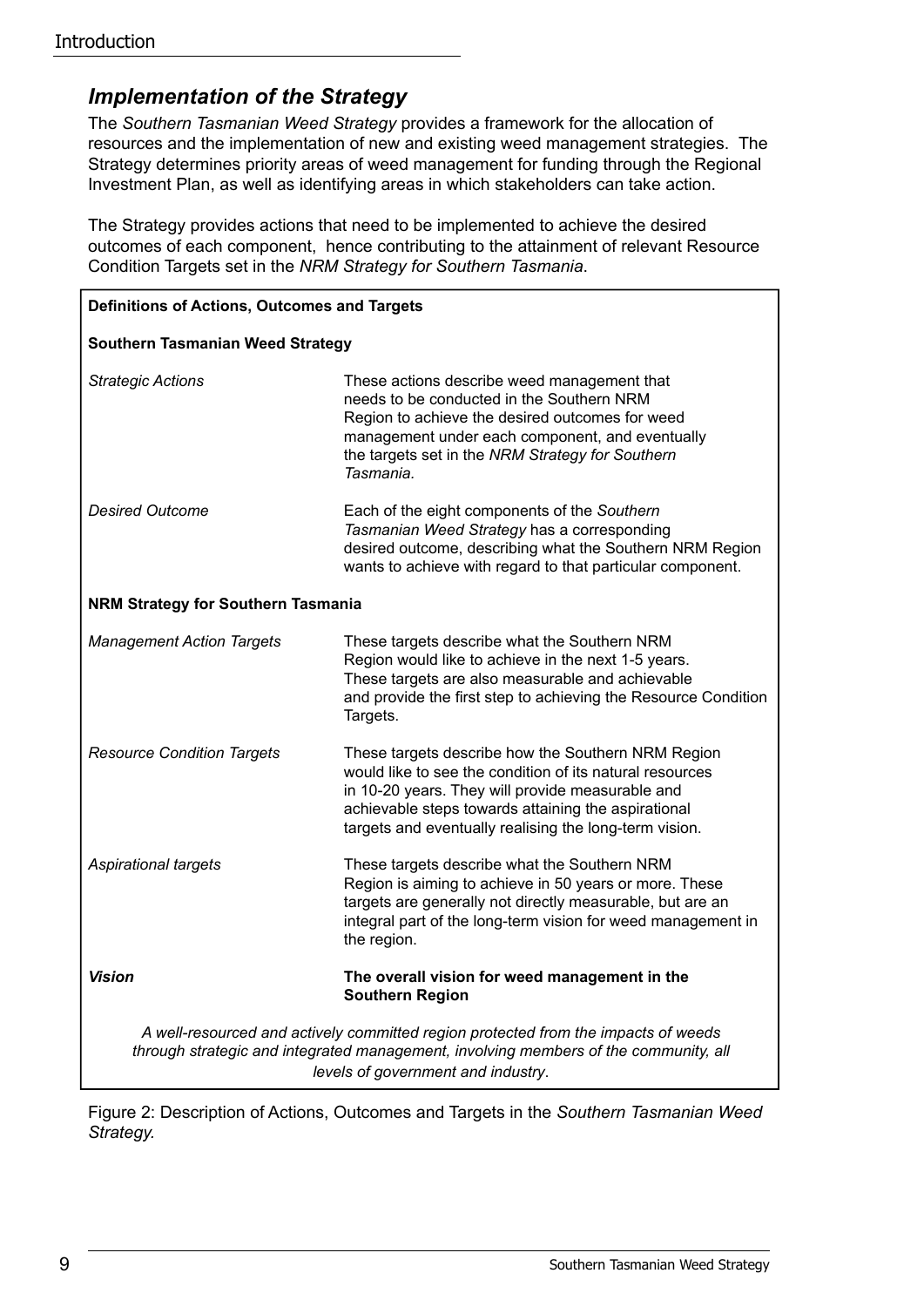### *Implementation of the Strategy*

The *Southern Tasmanian Weed Strategy* provides a framework for the allocation of resources and the implementation of new and existing weed management strategies. The Strategy determines priority areas of weed management for funding through the Regional Investment Plan, as well as identifying areas in which stakeholders can take action.

The Strategy provides actions that need to be implemented to achieve the desired outcomes of each component, hence contributing to the attainment of relevant Resource Condition Targets set in the *NRM Strategy for Southern Tasmania*.

| <b>Definitions of Actions, Outcomes and Targets</b>                                                                                                                                                              |                                                                                                                                                                                                                                                                                     |  |  |  |
|------------------------------------------------------------------------------------------------------------------------------------------------------------------------------------------------------------------|-------------------------------------------------------------------------------------------------------------------------------------------------------------------------------------------------------------------------------------------------------------------------------------|--|--|--|
| <b>Southern Tasmanian Weed Strategy</b>                                                                                                                                                                          |                                                                                                                                                                                                                                                                                     |  |  |  |
| <b>Strategic Actions</b>                                                                                                                                                                                         | These actions describe weed management that<br>needs to be conducted in the Southern NRM<br>Region to achieve the desired outcomes for weed<br>management under each component, and eventually<br>the targets set in the NRM Strategy for Southern<br>Tasmania.                     |  |  |  |
| <b>Desired Outcome</b>                                                                                                                                                                                           | Each of the eight components of the Southern<br>Tasmanian Weed Strategy has a corresponding<br>desired outcome, describing what the Southern NRM Region<br>wants to achieve with regard to that particular component.                                                               |  |  |  |
| <b>NRM Strategy for Southern Tasmania</b>                                                                                                                                                                        |                                                                                                                                                                                                                                                                                     |  |  |  |
| <b>Management Action Targets</b>                                                                                                                                                                                 | These targets describe what the Southern NRM<br>Region would like to achieve in the next 1-5 years.<br>These targets are also measurable and achievable<br>and provide the first step to achieving the Resource Condition<br>Targets.                                               |  |  |  |
| <b>Resource Condition Targets</b>                                                                                                                                                                                | These targets describe how the Southern NRM Region<br>would like to see the condition of its natural resources<br>in 10-20 years. They will provide measurable and<br>achievable steps towards attaining the aspirational<br>targets and eventually realising the long-term vision. |  |  |  |
| Aspirational targets                                                                                                                                                                                             | These targets describe what the Southern NRM<br>Region is aiming to achieve in 50 years or more. These<br>targets are generally not directly measurable, but are an<br>integral part of the long-term vision for weed management in<br>the region.                                  |  |  |  |
| Vision                                                                                                                                                                                                           | The overall vision for weed management in the<br><b>Southern Region</b>                                                                                                                                                                                                             |  |  |  |
| A well-resourced and actively committed region protected from the impacts of weeds<br>through strategic and integrated management, involving members of the community, all<br>levels of government and industry. |                                                                                                                                                                                                                                                                                     |  |  |  |

Figure 2: Description of Actions, Outcomes and Targets in the *Southern Tasmanian Weed Strategy.*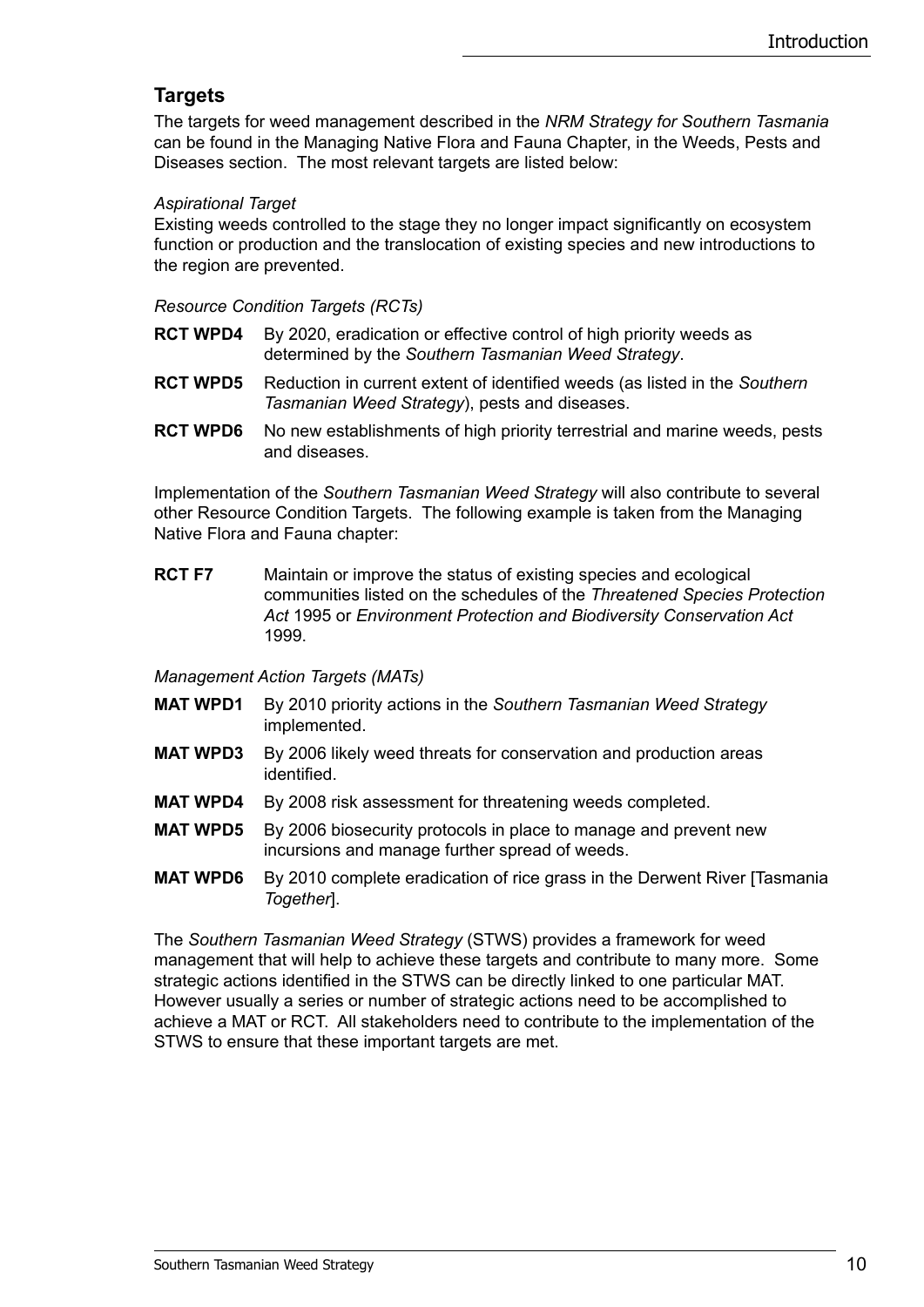### **Targets**

The targets for weed management described in the *NRM Strategy for Southern Tasmania*  can be found in the Managing Native Flora and Fauna Chapter, in the Weeds, Pests and Diseases section. The most relevant targets are listed below:

#### *Aspirational Target*

Existing weeds controlled to the stage they no longer impact significantly on ecosystem function or production and the translocation of existing species and new introductions to the region are prevented.

#### *Resource Condition Targets (RCTs)*

- **RCT WPD4** By 2020, eradication or effective control of high priority weeds as determined by the *Southern Tasmanian Weed Strategy*.
- **RCT WPD5** Reduction in current extent of identified weeds (as listed in the *Southern Tasmanian Weed Strategy*), pests and diseases.
- **RCT WPD6** No new establishments of high priority terrestrial and marine weeds, pests and diseases.

Implementation of the *Southern Tasmanian Weed Strategy* will also contribute to several other Resource Condition Targets. The following example is taken from the Managing Native Flora and Fauna chapter:

**RCT F7** Maintain or improve the status of existing species and ecological communities listed on the schedules of the *Threatened Species Protection Act* 1995 or *Environment Protection and Biodiversity Conservation Act* 1999.

*Management Action Targets (MATs)*

- **MAT WPD1** By 2010 priority actions in the *Southern Tasmanian Weed Strategy*  implemented.
- **MAT WPD3** By 2006 likely weed threats for conservation and production areas identified.
- **MAT WPD4** By 2008 risk assessment for threatening weeds completed.
- **MAT WPD5** By 2006 biosecurity protocols in place to manage and prevent new incursions and manage further spread of weeds.
- **MAT WPD6** By 2010 complete eradication of rice grass in the Derwent River [Tasmania *Together*].

The *Southern Tasmanian Weed Strategy* (STWS) provides a framework for weed management that will help to achieve these targets and contribute to many more. Some strategic actions identified in the STWS can be directly linked to one particular MAT. However usually a series or number of strategic actions need to be accomplished to achieve a MAT or RCT. All stakeholders need to contribute to the implementation of the STWS to ensure that these important targets are met.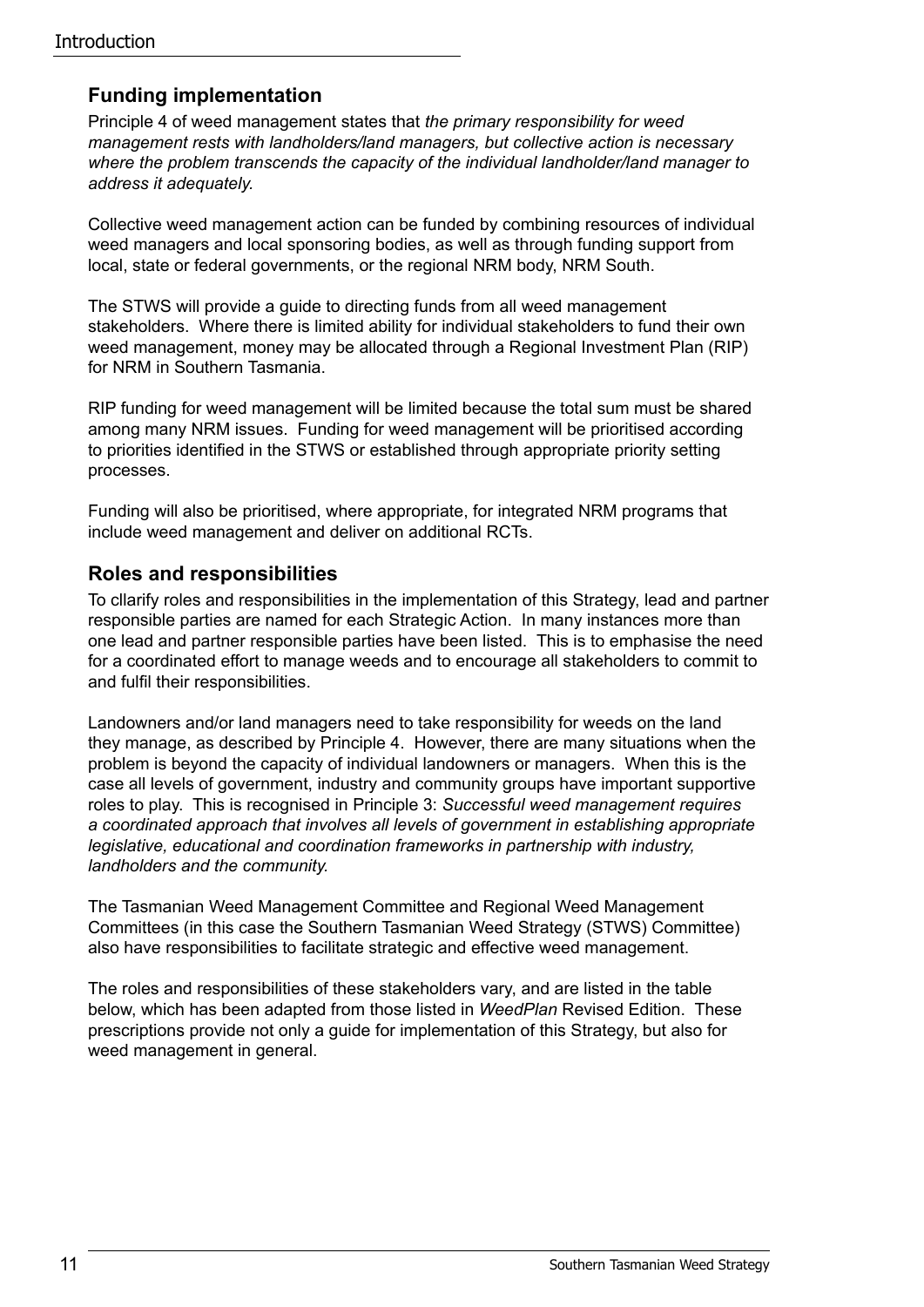### **Funding implementation**

Principle 4 of weed management states that *the primary responsibility for weed management rests with landholders/land managers, but collective action is necessary where the problem transcends the capacity of the individual landholder/land manager to address it adequately.*

Collective weed management action can be funded by combining resources of individual weed managers and local sponsoring bodies, as well as through funding support from local, state or federal governments, or the regional NRM body, NRM South.

The STWS will provide a guide to directing funds from all weed management stakeholders. Where there is limited ability for individual stakeholders to fund their own weed management, money may be allocated through a Regional Investment Plan (RIP) for NRM in Southern Tasmania.

RIP funding for weed management will be limited because the total sum must be shared among many NRM issues. Funding for weed management will be prioritised according to priorities identified in the STWS or established through appropriate priority setting processes.

Funding will also be prioritised, where appropriate, for integrated NRM programs that include weed management and deliver on additional RCTs.

#### **Roles and responsibilities**

To cllarify roles and responsibilities in the implementation of this Strategy, lead and partner responsible parties are named for each Strategic Action. In many instances more than one lead and partner responsible parties have been listed. This is to emphasise the need for a coordinated effort to manage weeds and to encourage all stakeholders to commit to and fulfil their responsibilities.

Landowners and/or land managers need to take responsibility for weeds on the land they manage, as described by Principle 4. However, there are many situations when the problem is beyond the capacity of individual landowners or managers. When this is the case all levels of government, industry and community groups have important supportive roles to play. This is recognised in Principle 3: *Successful weed management requires a coordinated approach that involves all levels of government in establishing appropriate legislative, educational and coordination frameworks in partnership with industry, landholders and the community.*

The Tasmanian Weed Management Committee and Regional Weed Management Committees (in this case the Southern Tasmanian Weed Strategy (STWS) Committee) also have responsibilities to facilitate strategic and effective weed management.

The roles and responsibilities of these stakeholders vary, and are listed in the table below, which has been adapted from those listed in *WeedPlan* Revised Edition. These prescriptions provide not only a guide for implementation of this Strategy, but also for weed management in general.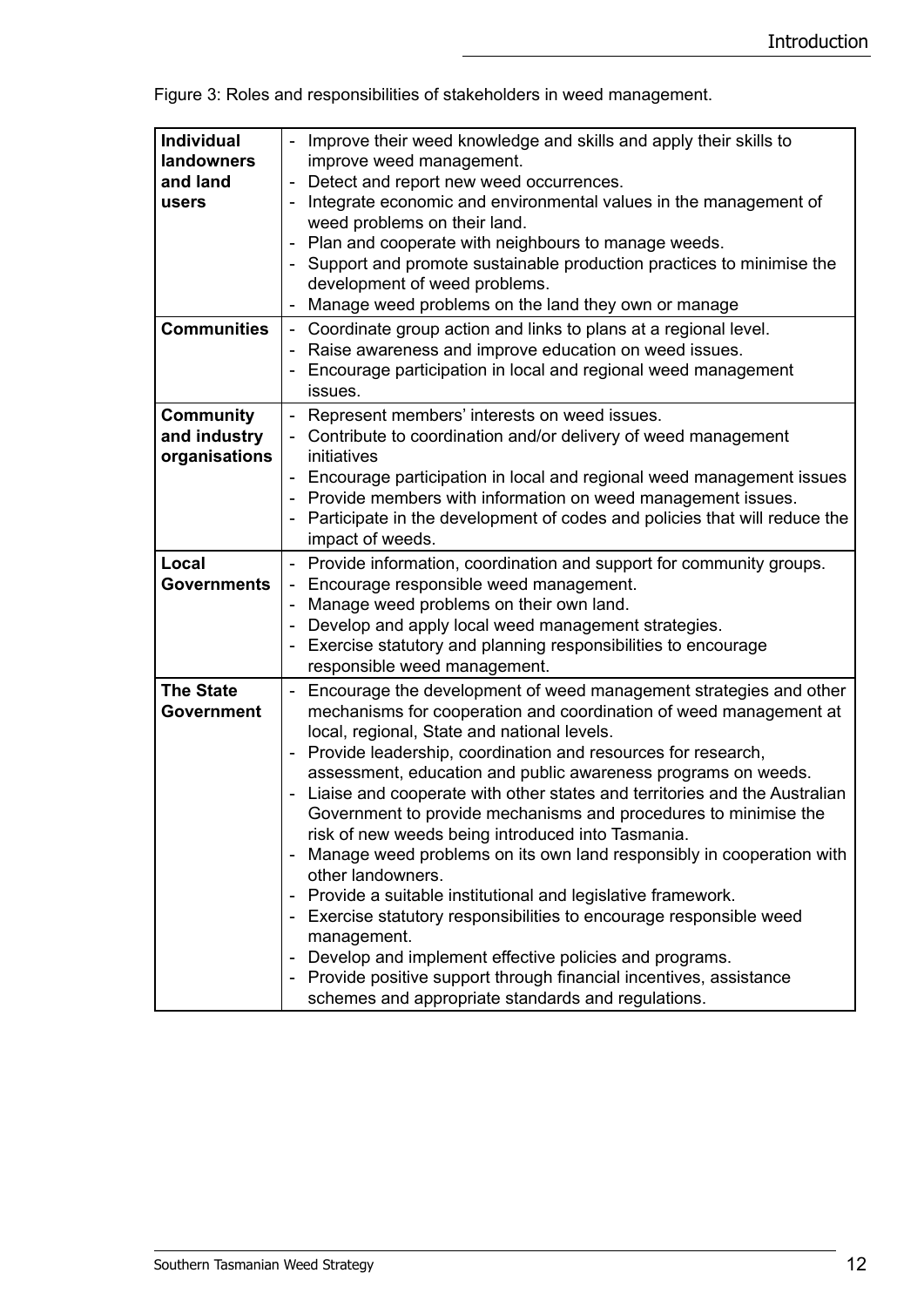| <b>Individual</b><br>landowners<br>and land<br>users | Improve their weed knowledge and skills and apply their skills to<br>improve weed management.<br>Detect and report new weed occurrences.<br>$\qquad \qquad \blacksquare$<br>Integrate economic and environmental values in the management of<br>weed problems on their land.<br>Plan and cooperate with neighbours to manage weeds.<br>Support and promote sustainable production practices to minimise the<br>development of weed problems.<br>Manage weed problems on the land they own or manage                                                                                                                                                                                                                                                                                                                                                                                                                                                                                              |
|------------------------------------------------------|--------------------------------------------------------------------------------------------------------------------------------------------------------------------------------------------------------------------------------------------------------------------------------------------------------------------------------------------------------------------------------------------------------------------------------------------------------------------------------------------------------------------------------------------------------------------------------------------------------------------------------------------------------------------------------------------------------------------------------------------------------------------------------------------------------------------------------------------------------------------------------------------------------------------------------------------------------------------------------------------------|
| <b>Communities</b>                                   | Coordinate group action and links to plans at a regional level.<br>Raise awareness and improve education on weed issues.<br>Encourage participation in local and regional weed management<br>issues.                                                                                                                                                                                                                                                                                                                                                                                                                                                                                                                                                                                                                                                                                                                                                                                             |
| <b>Community</b><br>and industry<br>organisations    | - Represent members' interests on weed issues.<br>- Contribute to coordination and/or delivery of weed management<br>initiatives<br>- Encourage participation in local and regional weed management issues<br>Provide members with information on weed management issues.<br>Participate in the development of codes and policies that will reduce the<br>impact of weeds.                                                                                                                                                                                                                                                                                                                                                                                                                                                                                                                                                                                                                       |
| Local<br><b>Governments</b>                          | Provide information, coordination and support for community groups.<br>$\overline{\phantom{a}}$<br>Encourage responsible weed management.<br>Manage weed problems on their own land.<br>Develop and apply local weed management strategies.<br>Exercise statutory and planning responsibilities to encourage<br>responsible weed management.                                                                                                                                                                                                                                                                                                                                                                                                                                                                                                                                                                                                                                                     |
| <b>The State</b><br>Government                       | Encourage the development of weed management strategies and other<br>$\qquad \qquad \blacksquare$<br>mechanisms for cooperation and coordination of weed management at<br>local, regional, State and national levels.<br>Provide leadership, coordination and resources for research,<br>assessment, education and public awareness programs on weeds.<br>Liaise and cooperate with other states and territories and the Australian<br>Government to provide mechanisms and procedures to minimise the<br>risk of new weeds being introduced into Tasmania.<br>Manage weed problems on its own land responsibly in cooperation with<br>other landowners.<br>Provide a suitable institutional and legislative framework.<br>Exercise statutory responsibilities to encourage responsible weed<br>management.<br>Develop and implement effective policies and programs.<br>Provide positive support through financial incentives, assistance<br>schemes and appropriate standards and regulations. |

Figure 3: Roles and responsibilities of stakeholders in weed management.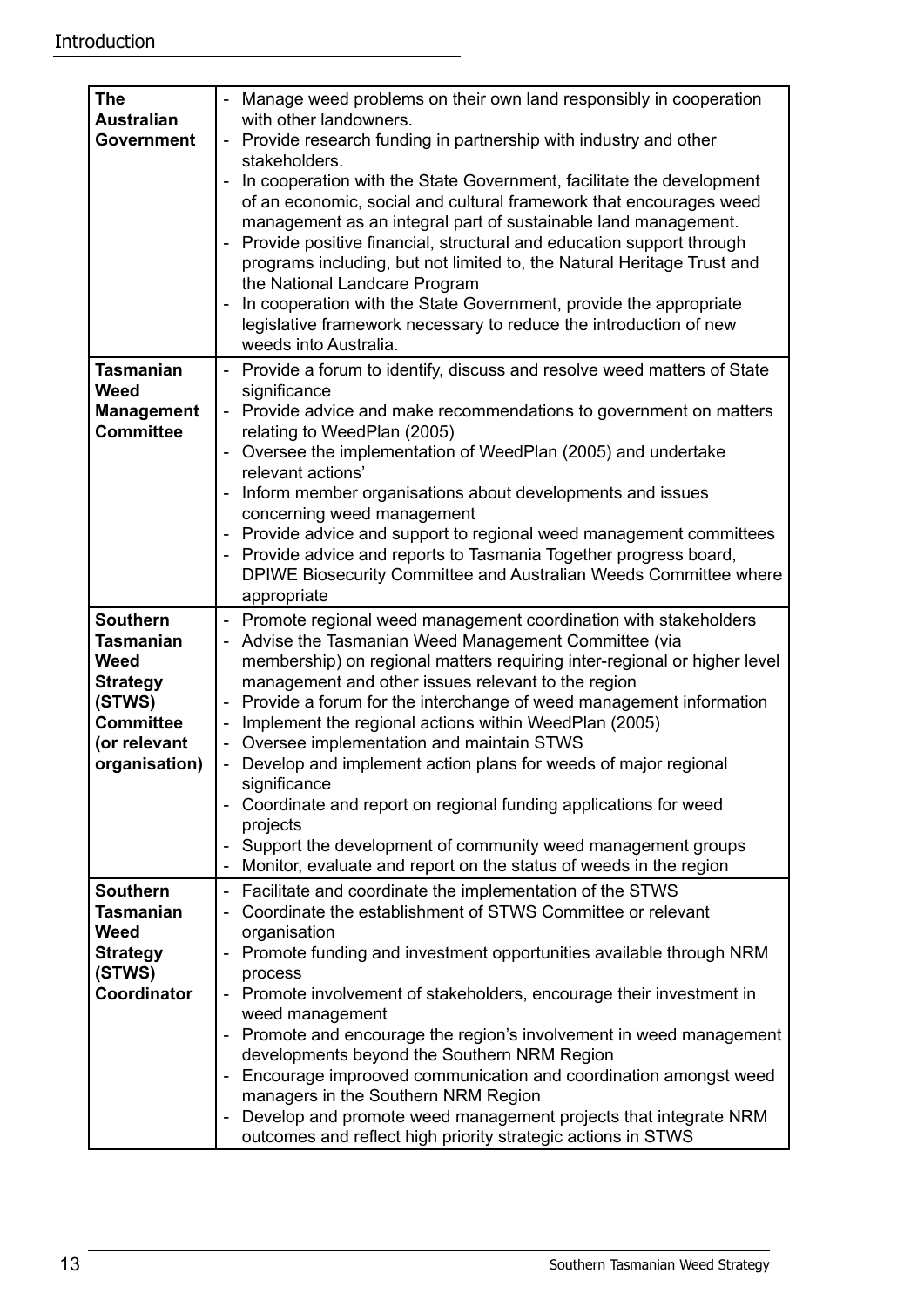| <b>The</b>                            | Manage weed problems on their own land responsibly in cooperation                                                                                                                                                                                                                                                                                                                                                                                                                                                                                                  |
|---------------------------------------|--------------------------------------------------------------------------------------------------------------------------------------------------------------------------------------------------------------------------------------------------------------------------------------------------------------------------------------------------------------------------------------------------------------------------------------------------------------------------------------------------------------------------------------------------------------------|
| <b>Australian</b>                     | with other landowners.                                                                                                                                                                                                                                                                                                                                                                                                                                                                                                                                             |
| <b>Government</b>                     | - Provide research funding in partnership with industry and other<br>stakeholders.                                                                                                                                                                                                                                                                                                                                                                                                                                                                                 |
|                                       | In cooperation with the State Government, facilitate the development<br>of an economic, social and cultural framework that encourages weed<br>management as an integral part of sustainable land management.<br>Provide positive financial, structural and education support through<br>programs including, but not limited to, the Natural Heritage Trust and<br>the National Landcare Program<br>In cooperation with the State Government, provide the appropriate<br>legislative framework necessary to reduce the introduction of new<br>weeds into Australia. |
| <b>Tasmanian</b>                      | - Provide a forum to identify, discuss and resolve weed matters of State                                                                                                                                                                                                                                                                                                                                                                                                                                                                                           |
| Weed                                  | significance                                                                                                                                                                                                                                                                                                                                                                                                                                                                                                                                                       |
| <b>Management</b><br><b>Committee</b> | - Provide advice and make recommendations to government on matters<br>relating to WeedPlan (2005)                                                                                                                                                                                                                                                                                                                                                                                                                                                                  |
|                                       | - Oversee the implementation of WeedPlan (2005) and undertake                                                                                                                                                                                                                                                                                                                                                                                                                                                                                                      |
|                                       | relevant actions'<br>Inform member organisations about developments and issues                                                                                                                                                                                                                                                                                                                                                                                                                                                                                     |
|                                       | concerning weed management                                                                                                                                                                                                                                                                                                                                                                                                                                                                                                                                         |
|                                       | - Provide advice and support to regional weed management committees                                                                                                                                                                                                                                                                                                                                                                                                                                                                                                |
|                                       | Provide advice and reports to Tasmania Together progress board,                                                                                                                                                                                                                                                                                                                                                                                                                                                                                                    |
|                                       | DPIWE Biosecurity Committee and Australian Weeds Committee where                                                                                                                                                                                                                                                                                                                                                                                                                                                                                                   |
|                                       | appropriate                                                                                                                                                                                                                                                                                                                                                                                                                                                                                                                                                        |
| <b>Southern</b><br><b>Tasmanian</b>   | - Promote regional weed management coordination with stakeholders<br>Advise the Tasmanian Weed Management Committee (via                                                                                                                                                                                                                                                                                                                                                                                                                                           |
| Weed                                  | membership) on regional matters requiring inter-regional or higher level                                                                                                                                                                                                                                                                                                                                                                                                                                                                                           |
| <b>Strategy</b>                       | management and other issues relevant to the region                                                                                                                                                                                                                                                                                                                                                                                                                                                                                                                 |
| (STWS)                                | Provide a forum for the interchange of weed management information                                                                                                                                                                                                                                                                                                                                                                                                                                                                                                 |
| <b>Committee</b>                      | Implement the regional actions within WeedPlan (2005)                                                                                                                                                                                                                                                                                                                                                                                                                                                                                                              |
| (or relevant                          | Oversee implementation and maintain STWS<br>$\overline{\phantom{a}}$                                                                                                                                                                                                                                                                                                                                                                                                                                                                                               |
| organisation)                         | - Develop and implement action plans for weeds of major regional<br>significance                                                                                                                                                                                                                                                                                                                                                                                                                                                                                   |
|                                       | Coordinate and report on regional funding applications for weed                                                                                                                                                                                                                                                                                                                                                                                                                                                                                                    |
|                                       | projects                                                                                                                                                                                                                                                                                                                                                                                                                                                                                                                                                           |
|                                       | Support the development of community weed management groups                                                                                                                                                                                                                                                                                                                                                                                                                                                                                                        |
|                                       | Monitor, evaluate and report on the status of weeds in the region                                                                                                                                                                                                                                                                                                                                                                                                                                                                                                  |
| <b>Southern</b>                       | Facilitate and coordinate the implementation of the STWS<br>$\overline{\phantom{a}}$                                                                                                                                                                                                                                                                                                                                                                                                                                                                               |
| <b>Tasmanian</b><br><b>Weed</b>       | Coordinate the establishment of STWS Committee or relevant<br>organisation                                                                                                                                                                                                                                                                                                                                                                                                                                                                                         |
| <b>Strategy</b>                       | Promote funding and investment opportunities available through NRM                                                                                                                                                                                                                                                                                                                                                                                                                                                                                                 |
| (STWS)                                | process                                                                                                                                                                                                                                                                                                                                                                                                                                                                                                                                                            |
| Coordinator                           | Promote involvement of stakeholders, encourage their investment in                                                                                                                                                                                                                                                                                                                                                                                                                                                                                                 |
|                                       | weed management                                                                                                                                                                                                                                                                                                                                                                                                                                                                                                                                                    |
|                                       | Promote and encourage the region's involvement in weed management                                                                                                                                                                                                                                                                                                                                                                                                                                                                                                  |
|                                       | developments beyond the Southern NRM Region<br>Encourage improoved communication and coordination amongst weed                                                                                                                                                                                                                                                                                                                                                                                                                                                     |
|                                       | managers in the Southern NRM Region                                                                                                                                                                                                                                                                                                                                                                                                                                                                                                                                |
|                                       | Develop and promote weed management projects that integrate NRM<br>$\qquad \qquad \blacksquare$                                                                                                                                                                                                                                                                                                                                                                                                                                                                    |
|                                       | outcomes and reflect high priority strategic actions in STWS                                                                                                                                                                                                                                                                                                                                                                                                                                                                                                       |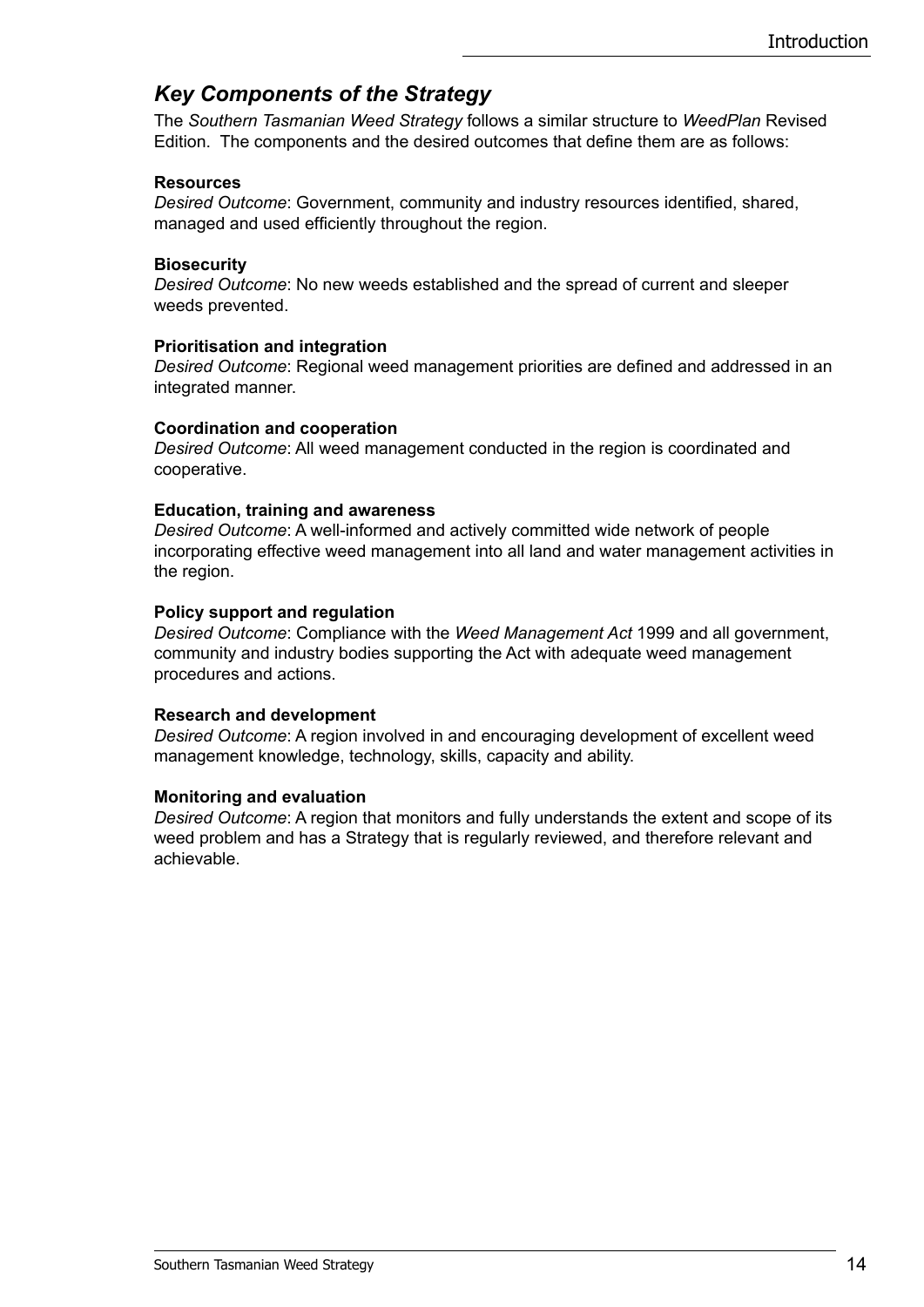### *Key Components of the Strategy*

The *Southern Tasmanian Weed Strategy* follows a similar structure to *WeedPlan* Revised Edition. The components and the desired outcomes that define them are as follows:

#### **Resources**

*Desired Outcome*: Government, community and industry resources identified, shared, managed and used efficiently throughout the region.

#### **Biosecurity**

*Desired Outcome*: No new weeds established and the spread of current and sleeper weeds prevented.

#### **Prioritisation and integration**

*Desired Outcome*: Regional weed management priorities are defined and addressed in an integrated manner.

#### **Coordination and cooperation**

*Desired Outcome*: All weed management conducted in the region is coordinated and cooperative.

#### **Education, training and awareness**

*Desired Outcome*: A well-informed and actively committed wide network of people incorporating effective weed management into all land and water management activities in the region.

#### **Policy support and regulation**

*Desired Outcome*: Compliance with the *Weed Management Act* 1999 and all government, community and industry bodies supporting the Act with adequate weed management procedures and actions.

#### **Research and development**

*Desired Outcome*: A region involved in and encouraging development of excellent weed management knowledge, technology, skills, capacity and ability.

#### **Monitoring and evaluation**

*Desired Outcome*: A region that monitors and fully understands the extent and scope of its weed problem and has a Strategy that is regularly reviewed, and therefore relevant and achievable.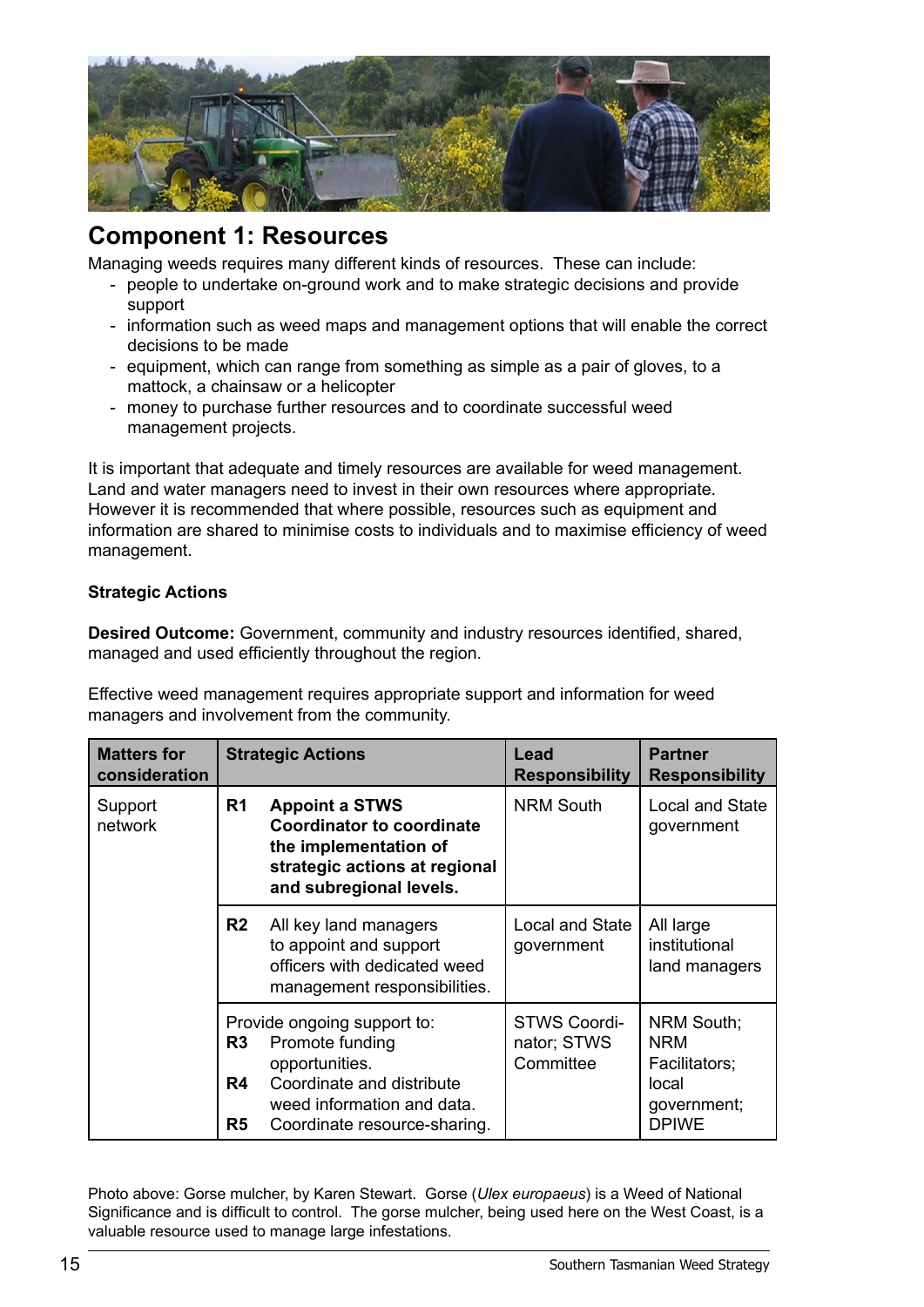

## **Component 1: Resources**

Managing weeds requires many different kinds of resources. These can include:

- people to undertake on-ground work and to make strategic decisions and provide support
- information such as weed maps and management options that will enable the correct decisions to be made
- equipment, which can range from something as simple as a pair of gloves, to a mattock, a chainsaw or a helicopter
- money to purchase further resources and to coordinate successful weed management projects.

It is important that adequate and timely resources are available for weed management. Land and water managers need to invest in their own resources where appropriate. However it is recommended that where possible, resources such as equipment and information are shared to minimise costs to individuals and to maximise efficiency of weed management.

#### **Strategic Actions**

**Desired Outcome:** Government, community and industry resources identified, shared, managed and used efficiently throughout the region.

Effective weed management requires appropriate support and information for weed managers and involvement from the community.

| <b>Matters for</b><br>consideration |                                        | <b>Strategic Actions</b>                                                                                                                                    | Lead<br><b>Responsibility</b>                   | <b>Partner</b><br><b>Responsibility</b>                                           |
|-------------------------------------|----------------------------------------|-------------------------------------------------------------------------------------------------------------------------------------------------------------|-------------------------------------------------|-----------------------------------------------------------------------------------|
| Support<br>network                  | R1                                     | <b>Appoint a STWS</b><br>Coordinator to coordinate<br>the implementation of<br>strategic actions at regional<br>and subregional levels.                     | <b>NRM South</b>                                | Local and State<br>government                                                     |
|                                     | R <sub>2</sub>                         | All key land managers<br>to appoint and support<br>officers with dedicated weed<br>management responsibilities.                                             | Local and State<br>government                   | All large<br>institutional<br>land managers                                       |
|                                     | R <sub>3</sub><br>R4<br>R <sub>5</sub> | Provide ongoing support to:<br>Promote funding<br>opportunities.<br>Coordinate and distribute<br>weed information and data.<br>Coordinate resource-sharing. | <b>STWS Coordi-</b><br>nator; STWS<br>Committee | NRM South:<br><b>NRM</b><br>Facilitators;<br>local<br>government;<br><b>DPIWE</b> |

Photo above: Gorse mulcher, by Karen Stewart. Gorse (*Ulex europaeus*) is a Weed of National Significance and is difficult to control. The gorse mulcher, being used here on the West Coast, is a valuable resource used to manage large infestations.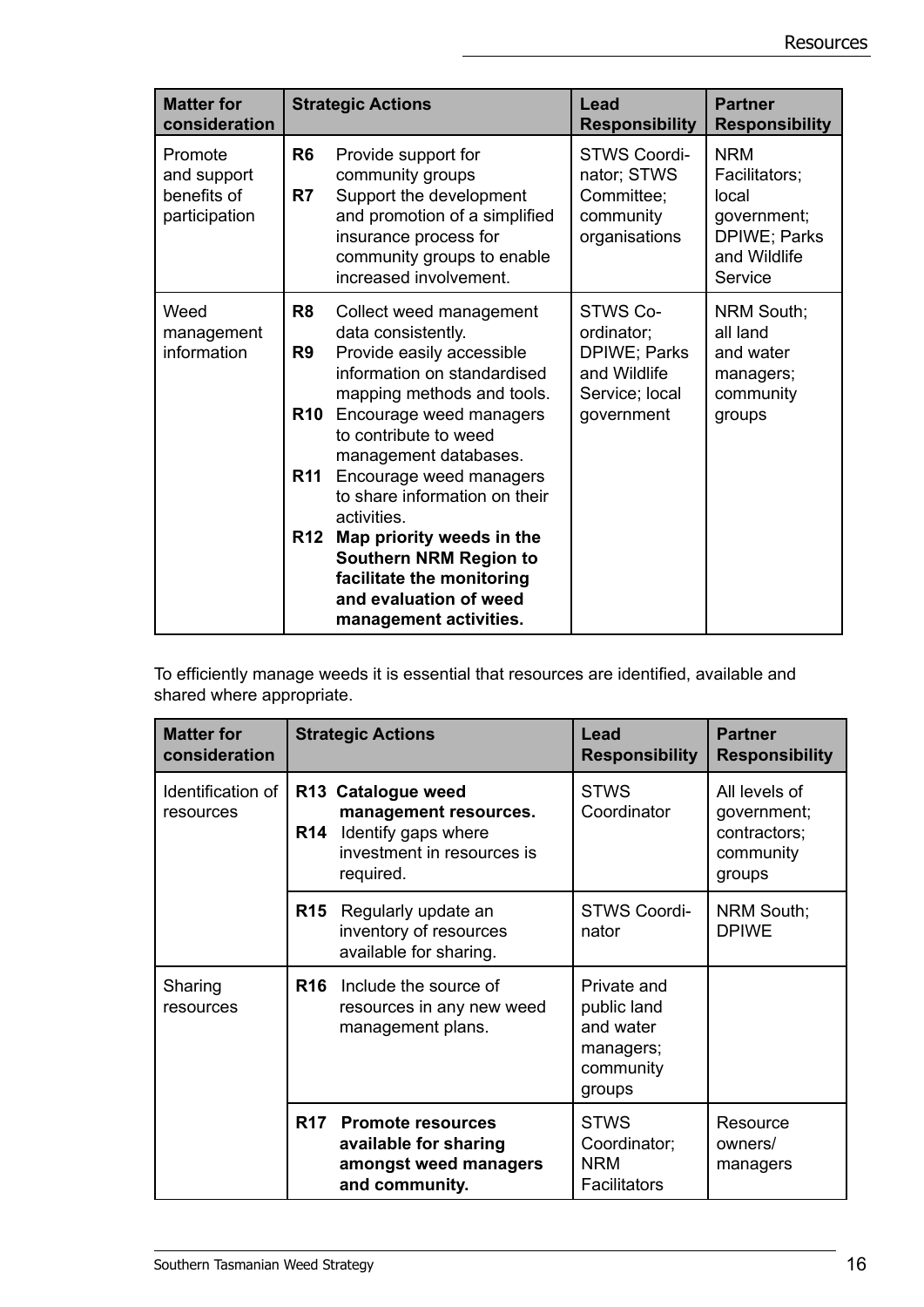| <b>Matter for</b><br>consideration                     |                                    | <b>Strategic Actions</b>                                                                                                                                                                                               | <b>Lead</b><br><b>Responsibility</b>                                                   | <b>Partner</b><br><b>Responsibility</b>                                                        |
|--------------------------------------------------------|------------------------------------|------------------------------------------------------------------------------------------------------------------------------------------------------------------------------------------------------------------------|----------------------------------------------------------------------------------------|------------------------------------------------------------------------------------------------|
| Promote<br>and support<br>benefits of<br>participation | R <sub>6</sub><br>R7               | Provide support for<br>community groups<br>Support the development<br>and promotion of a simplified<br>insurance process for<br>community groups to enable<br>increased involvement.                                   | <b>STWS Coordi-</b><br>nator; STWS<br>Committee;<br>community<br>organisations         | <b>NRM</b><br>Facilitators;<br>local<br>government;<br>DPIWE; Parks<br>and Wildlife<br>Service |
| Weed<br>management<br>information                      | R8<br>R <sub>9</sub><br><b>R10</b> | Collect weed management<br>data consistently.<br>Provide easily accessible<br>information on standardised<br>mapping methods and tools.<br>Encourage weed managers<br>to contribute to weed<br>management databases.   | STWS Co-<br>ordinator;<br>DPIWE; Parks<br>and Wildlife<br>Service; local<br>government | NRM South;<br>all land<br>and water<br>managers;<br>community<br>groups                        |
|                                                        | <b>R11</b><br><b>R12</b>           | Encourage weed managers<br>to share information on their<br>activities.<br>Map priority weeds in the<br><b>Southern NRM Region to</b><br>facilitate the monitoring<br>and evaluation of weed<br>management activities. |                                                                                        |                                                                                                |

To efficiently manage weeds it is essential that resources are identified, available and shared where appropriate.

| <b>Matter for</b><br>consideration |            | <b>Strategic Actions</b>                                                                                      | Lead<br><b>Responsibility</b>                                               | <b>Partner</b><br><b>Responsibility</b>                             |
|------------------------------------|------------|---------------------------------------------------------------------------------------------------------------|-----------------------------------------------------------------------------|---------------------------------------------------------------------|
| Identification of<br>resources     | <b>R14</b> | R13 Catalogue weed<br>management resources.<br>Identify gaps where<br>investment in resources is<br>required. | <b>STWS</b><br>Coordinator                                                  | All levels of<br>government;<br>contractors;<br>community<br>groups |
|                                    | <b>R15</b> | Regularly update an<br>inventory of resources<br>available for sharing.                                       | STWS Coordi-<br>nator                                                       | NRM South;<br><b>DPIWE</b>                                          |
| Sharing<br>resources               | <b>R16</b> | Include the source of<br>resources in any new weed<br>management plans.                                       | Private and<br>public land<br>and water<br>managers;<br>community<br>groups |                                                                     |
|                                    | R17        | <b>Promote resources</b><br>available for sharing<br>amongst weed managers<br>and community.                  | <b>STWS</b><br>Coordinator;<br><b>NRM</b><br><b>Facilitators</b>            | Resource<br>owners/<br>managers                                     |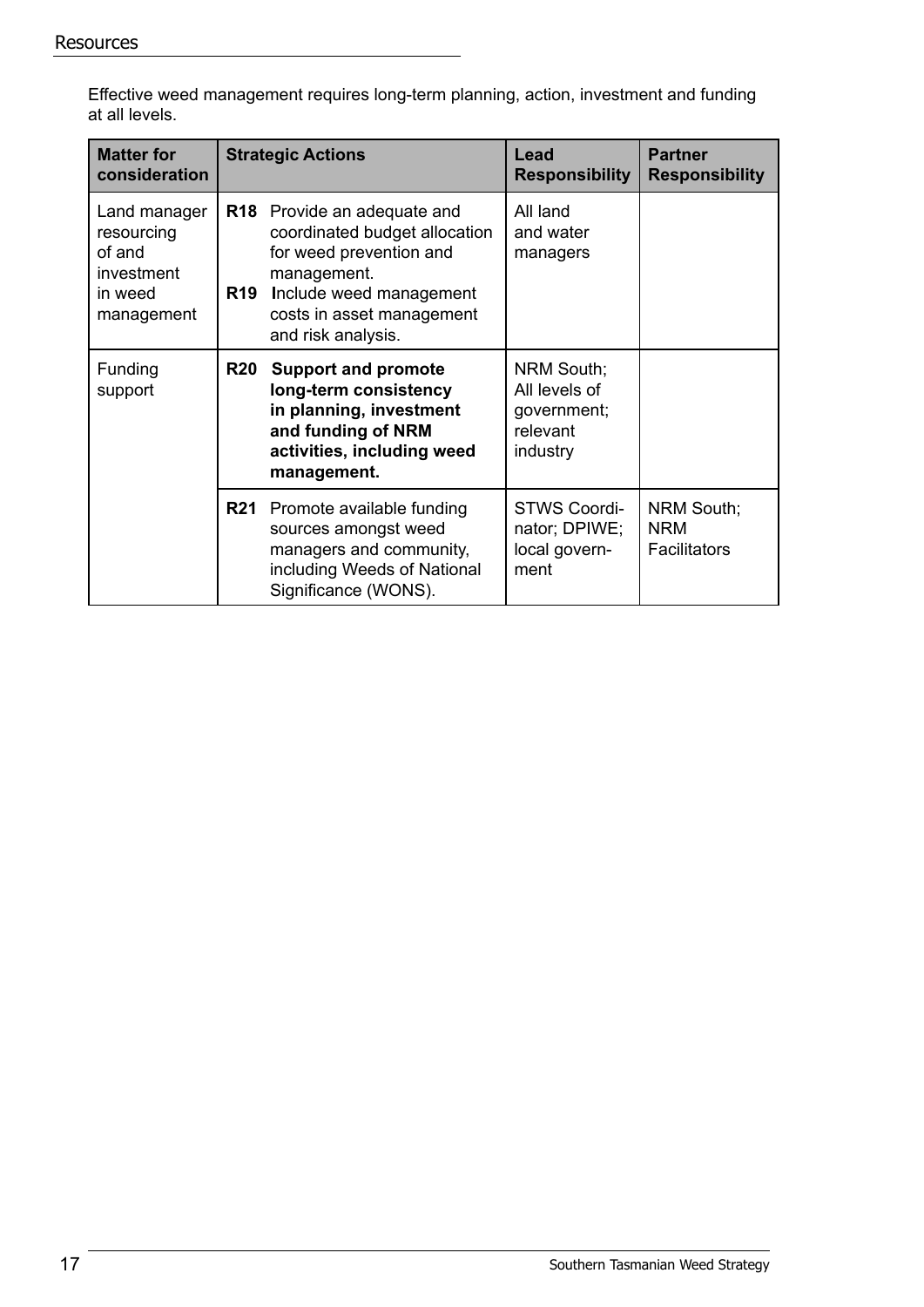| at all levels.                                                              |            |                                                                                                                                                                                             |                                                        |                                         |  |
|-----------------------------------------------------------------------------|------------|---------------------------------------------------------------------------------------------------------------------------------------------------------------------------------------------|--------------------------------------------------------|-----------------------------------------|--|
| <b>Matter for</b><br>consideration                                          |            | <b>Strategic Actions</b>                                                                                                                                                                    | Lead<br><b>Responsibility</b>                          | <b>Partner</b><br><b>Responsibility</b> |  |
| Land manager<br>resourcing<br>of and<br>investment<br>in weed<br>management | <b>R19</b> | <b>R18</b> Provide an adequate and<br>coordinated budget allocation<br>for weed prevention and<br>management.<br>Include weed management<br>costs in asset management<br>and risk analysis. | All land<br>and water<br>managers                      |                                         |  |
| Funding<br>support                                                          | <b>R20</b> | <b>Support and promote</b><br>long-term consistency<br>in planning, investment<br>and funding of NRM                                                                                        | NRM South;<br>All levels of<br>government;<br>relevant |                                         |  |

industry

ment

STWS Coordinator; DPIWE; local governNRM South;

NRM **Facilitators** 

**activities, including weed** 

**management.**

**R21** Promote available funding sources amongst weed managers and community, including Weeds of National

Significance (WONS).

Effective weed management requires long-term planning, action, investment and funding at all levels.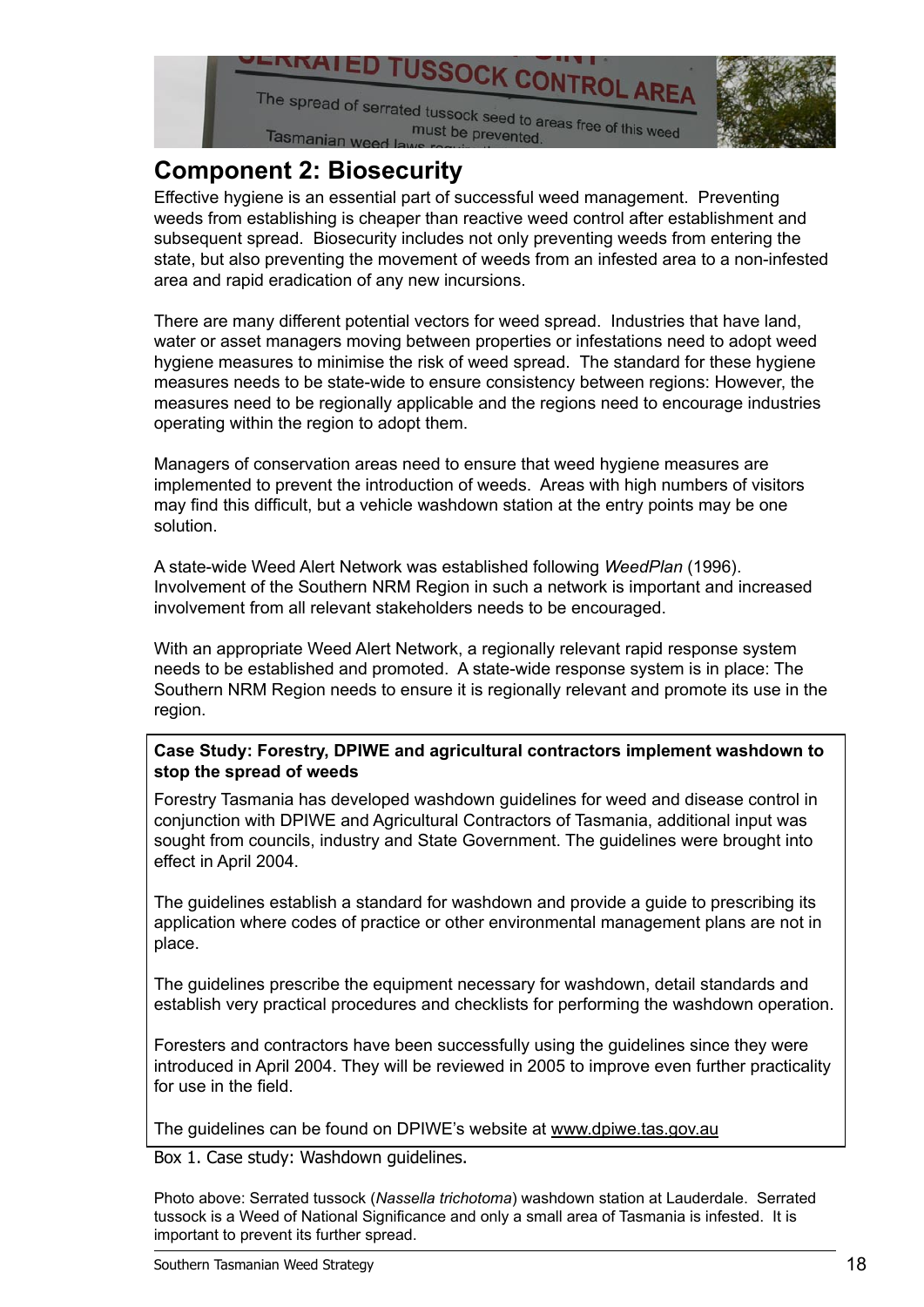

# **Component 2: Biosecurity**

Effective hygiene is an essential part of successful weed management. Preventing weeds from establishing is cheaper than reactive weed control after establishment and subsequent spread. Biosecurity includes not only preventing weeds from entering the state, but also preventing the movement of weeds from an infested area to a non-infested area and rapid eradication of any new incursions.

There are many different potential vectors for weed spread. Industries that have land, water or asset managers moving between properties or infestations need to adopt weed hygiene measures to minimise the risk of weed spread. The standard for these hygiene measures needs to be state-wide to ensure consistency between regions: However, the measures need to be regionally applicable and the regions need to encourage industries operating within the region to adopt them.

Managers of conservation areas need to ensure that weed hygiene measures are implemented to prevent the introduction of weeds. Areas with high numbers of visitors may find this difficult, but a vehicle washdown station at the entry points may be one solution.

A state-wide Weed Alert Network was established following *WeedPlan* (1996). Involvement of the Southern NRM Region in such a network is important and increased involvement from all relevant stakeholders needs to be encouraged.

With an appropriate Weed Alert Network, a regionally relevant rapid response system needs to be established and promoted. A state-wide response system is in place: The Southern NRM Region needs to ensure it is regionally relevant and promote its use in the region.

#### **Case Study: Forestry, DPIWE and agricultural contractors implement washdown to stop the spread of weeds**

Forestry Tasmania has developed washdown guidelines for weed and disease control in conjunction with DPIWE and Agricultural Contractors of Tasmania, additional input was sought from councils, industry and State Government. The guidelines were brought into effect in April 2004.

The guidelines establish a standard for washdown and provide a guide to prescribing its application where codes of practice or other environmental management plans are not in place.

The guidelines prescribe the equipment necessary for washdown, detail standards and establish very practical procedures and checklists for performing the washdown operation.

Foresters and contractors have been successfully using the guidelines since they were introduced in April 2004. They will be reviewed in 2005 to improve even further practicality for use in the field.

The guidelines can be found on DPIWE's website at www.dpiwe.tas.gov.au

Box 1. Case study: Washdown guidelines.

Photo above: Serrated tussock (*Nassella trichotoma*) washdown station at Lauderdale. Serrated tussock is a Weed of National Significance and only a small area of Tasmania is infested. It is important to prevent its further spread.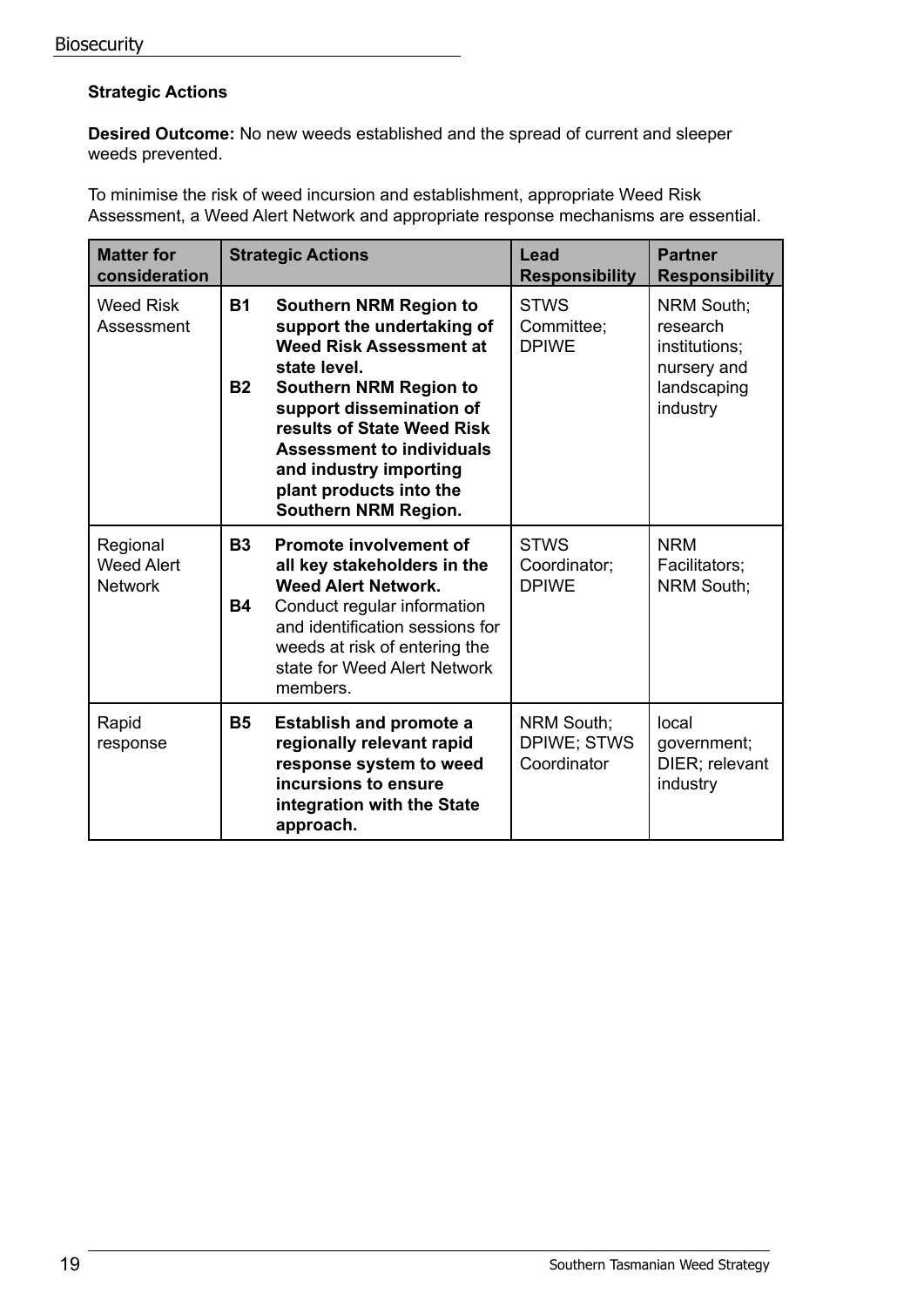#### **Strategic Actions**

**Desired Outcome:** No new weeds established and the spread of current and sleeper weeds prevented.

To minimise the risk of weed incursion and establishment, appropriate Weed Risk Assessment, a Weed Alert Network and appropriate response mechanisms are essential.

| <b>Matter for</b><br>consideration              |                        | <b>Strategic Actions</b>                                                                                                                                                                                                                                                                                                  | Lead<br><b>Responsibility</b>                          | <b>Partner</b><br><b>Responsibility</b>                                           |
|-------------------------------------------------|------------------------|---------------------------------------------------------------------------------------------------------------------------------------------------------------------------------------------------------------------------------------------------------------------------------------------------------------------------|--------------------------------------------------------|-----------------------------------------------------------------------------------|
| <b>Weed Risk</b><br>Assessment                  | <b>B1</b><br><b>B2</b> | <b>Southern NRM Region to</b><br>support the undertaking of<br><b>Weed Risk Assessment at</b><br>state level.<br><b>Southern NRM Region to</b><br>support dissemination of<br>results of State Weed Risk<br><b>Assessment to individuals</b><br>and industry importing<br>plant products into the<br>Southern NRM Region. | <b>STWS</b><br>Committee:<br><b>DPIWE</b>              | NRM South;<br>research<br>institutions;<br>nursery and<br>landscaping<br>industry |
| Regional<br><b>Weed Alert</b><br><b>Network</b> | <b>B3</b><br><b>B4</b> | Promote involvement of<br>all key stakeholders in the<br><b>Weed Alert Network.</b><br>Conduct regular information<br>and identification sessions for<br>weeds at risk of entering the<br>state for Weed Alert Network<br>members.                                                                                        | <b>STWS</b><br>Coordinator;<br><b>DPIWE</b>            | <b>NRM</b><br>Facilitators;<br><b>NRM South:</b>                                  |
| Rapid<br>response                               | <b>B5</b>              | <b>Establish and promote a</b><br>regionally relevant rapid<br>response system to weed<br>incursions to ensure<br>integration with the State<br>approach.                                                                                                                                                                 | <b>NRM South:</b><br><b>DPIWE; STWS</b><br>Coordinator | local<br>government;<br>DIER; relevant<br>industry                                |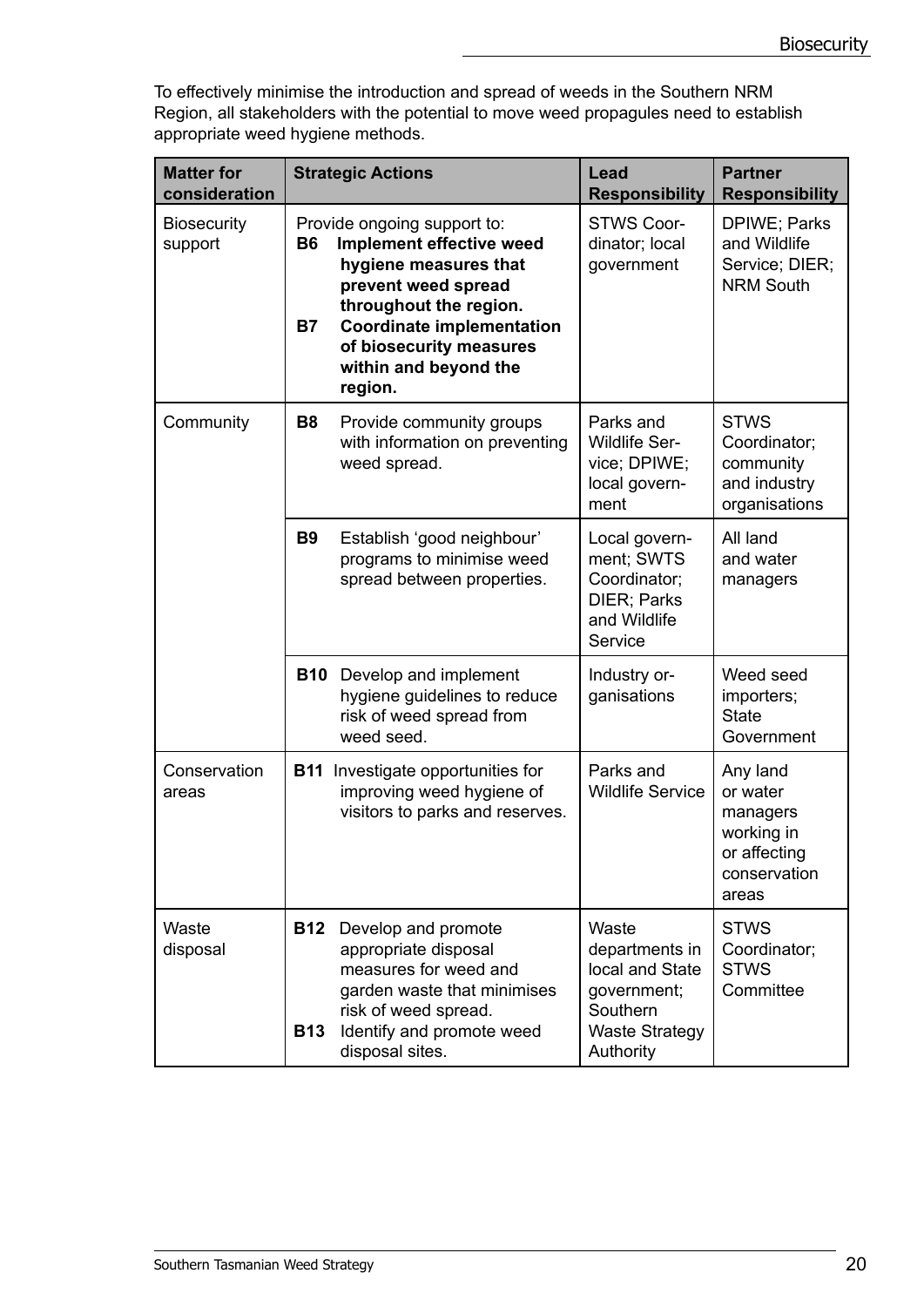To effectively minimise the introduction and spread of weeds in the Southern NRM Region, all stakeholders with the potential to move weed propagules need to establish appropriate weed hygiene methods.

| <b>Matter for</b><br>consideration | <b>Strategic Actions</b>                                                                                                                                                                                                                                       | Lead<br><b>Responsibility</b>                                                                               | <b>Partner</b><br><b>Responsibility</b>                                                 |
|------------------------------------|----------------------------------------------------------------------------------------------------------------------------------------------------------------------------------------------------------------------------------------------------------------|-------------------------------------------------------------------------------------------------------------|-----------------------------------------------------------------------------------------|
| <b>Biosecurity</b><br>support      | Provide ongoing support to:<br>Implement effective weed<br><b>B6</b><br>hygiene measures that<br>prevent weed spread<br>throughout the region.<br><b>Coordinate implementation</b><br><b>B7</b><br>of biosecurity measures<br>within and beyond the<br>region. | <b>STWS Coor-</b><br>dinator; local<br>government                                                           | DPIWE; Parks<br>and Wildlife<br>Service; DIER;<br><b>NRM South</b>                      |
| Community                          | <b>B8</b><br>Provide community groups<br>with information on preventing<br>weed spread.                                                                                                                                                                        | Parks and<br><b>Wildlife Ser-</b><br>vice; DPIWE;<br>local govern-<br>ment                                  | <b>STWS</b><br>Coordinator;<br>community<br>and industry<br>organisations               |
|                                    | <b>B9</b><br>Establish 'good neighbour'<br>programs to minimise weed<br>spread between properties.                                                                                                                                                             | Local govern-<br>ment; SWTS<br>Coordinator;<br>DIER; Parks<br>and Wildlife<br>Service                       | All land<br>and water<br>managers                                                       |
|                                    | Develop and implement<br><b>B10</b><br>hygiene guidelines to reduce<br>risk of weed spread from<br>weed seed.                                                                                                                                                  | Industry or-<br>ganisations                                                                                 | Weed seed<br>importers;<br><b>State</b><br>Government                                   |
| Conservation<br>areas              | <b>B11</b> Investigate opportunities for<br>improving weed hygiene of<br>visitors to parks and reserves.                                                                                                                                                       | Parks and<br><b>Wildlife Service</b>                                                                        | Any land<br>or water<br>managers<br>working in<br>or affecting<br>conservation<br>areas |
| Waste<br>disposal                  | <b>B12</b><br>Develop and promote<br>appropriate disposal<br>measures for weed and<br>garden waste that minimises<br>risk of weed spread.<br>Identify and promote weed<br><b>B13</b><br>disposal sites.                                                        | Waste<br>departments in<br>local and State<br>government;<br>Southern<br><b>Waste Strategy</b><br>Authority | <b>STWS</b><br>Coordinator;<br><b>STWS</b><br>Committee                                 |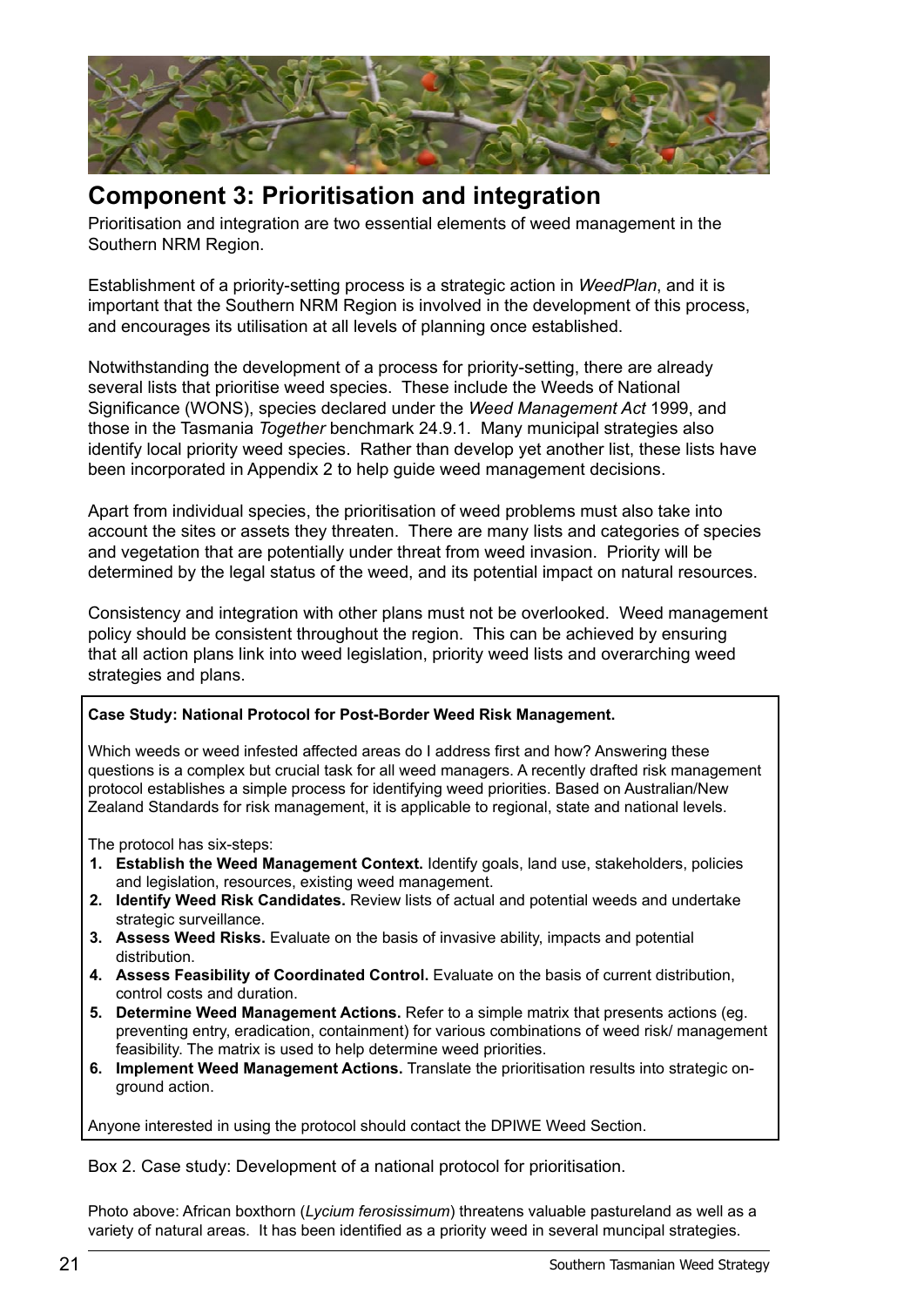

# **Component 3: Prioritisation and integration**

Prioritisation and integration are two essential elements of weed management in the Southern NRM Region.

Establishment of a priority-setting process is a strategic action in *WeedPlan*, and it is important that the Southern NRM Region is involved in the development of this process, and encourages its utilisation at all levels of planning once established.

Notwithstanding the development of a process for priority-setting, there are already several lists that prioritise weed species. These include the Weeds of National Significance (WONS), species declared under the *Weed Management Act* 1999, and those in the Tasmania *Together* benchmark 24.9.1. Many municipal strategies also identify local priority weed species. Rather than develop yet another list, these lists have been incorporated in Appendix 2 to help guide weed management decisions.

Apart from individual species, the prioritisation of weed problems must also take into account the sites or assets they threaten. There are many lists and categories of species and vegetation that are potentially under threat from weed invasion. Priority will be determined by the legal status of the weed, and its potential impact on natural resources.

Consistency and integration with other plans must not be overlooked. Weed management policy should be consistent throughout the region. This can be achieved by ensuring that all action plans link into weed legislation, priority weed lists and overarching weed strategies and plans.

#### **Case Study: National Protocol for Post-Border Weed Risk Management.**

Which weeds or weed infested affected areas do I address first and how? Answering these questions is a complex but crucial task for all weed managers. A recently drafted risk management protocol establishes a simple process for identifying weed priorities. Based on Australian/New Zealand Standards for risk management, it is applicable to regional, state and national levels.

The protocol has six-steps:

- **1. Establish the Weed Management Context.** Identify goals, land use, stakeholders, policies and legislation, resources, existing weed management.
- **2. Identify Weed Risk Candidates.** Review lists of actual and potential weeds and undertake strategic surveillance.
- **3. Assess Weed Risks.** Evaluate on the basis of invasive ability, impacts and potential distribution.
- 4. Assess Feasibility of Coordinated Control. Evaluate on the basis of current distribution, control costs and duration.
- **5. Determine Weed Management Actions.** Refer to a simple matrix that presents actions (eg. preventing entry, eradication, containment) for various combinations of weed risk/ management feasibility. The matrix is used to help determine weed priorities.
- **6. Implement Weed Management Actions.** Translate the prioritisation results into strategic onground action.

Anyone interested in using the protocol should contact the DPIWE Weed Section.

Box 2. Case study: Development of a national protocol for prioritisation.

Photo above: African boxthorn (*Lycium ferosissimum*) threatens valuable pastureland as well as a variety of natural areas. It has been identified as a priority weed in several muncipal strategies.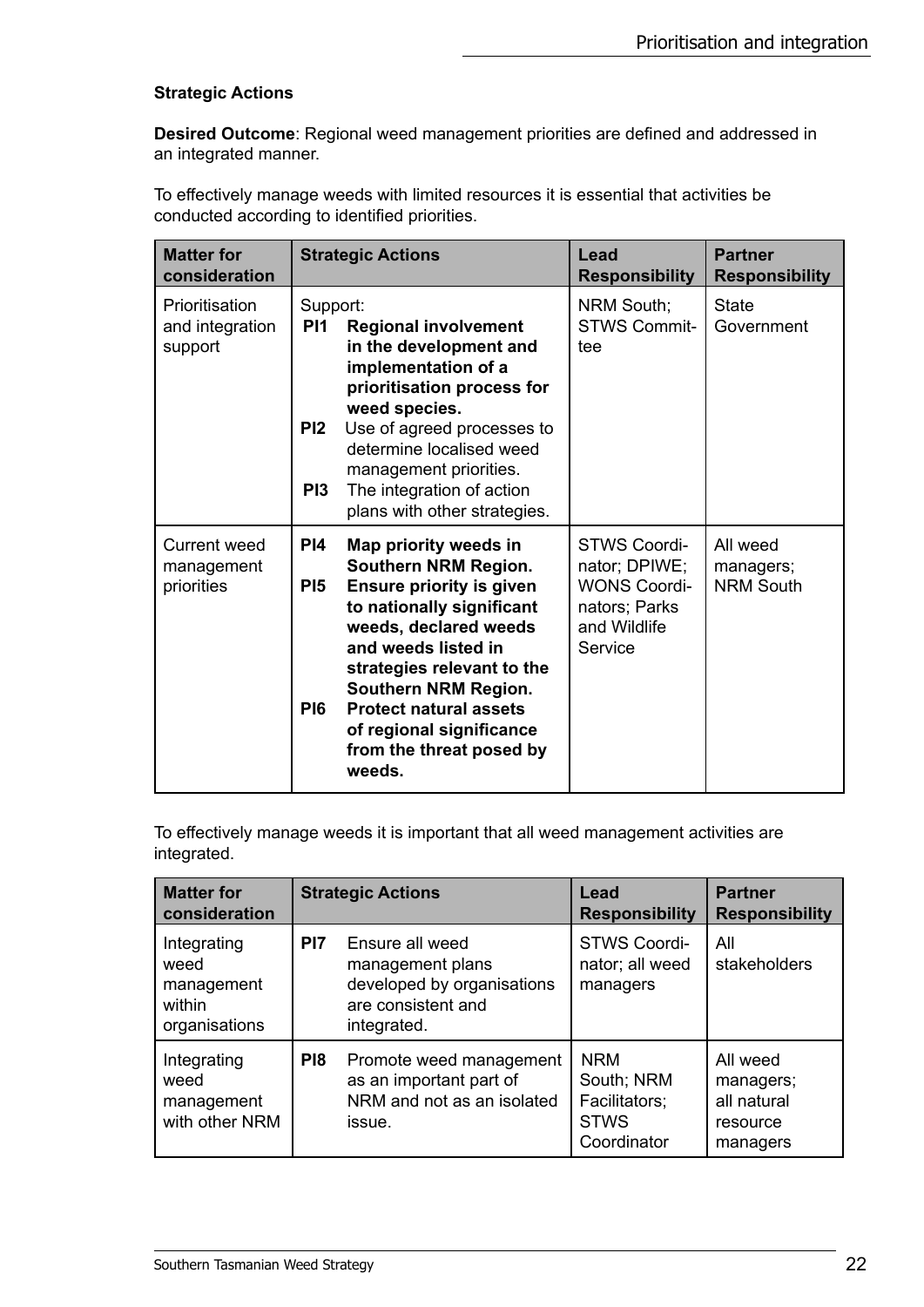#### **Strategic Actions**

**Desired Outcome**: Regional weed management priorities are defined and addressed in an integrated manner.

To effectively manage weeds with limited resources it is essential that activities be conducted according to identified priorities.

| <b>Matter for</b><br>consideration           | <b>Strategic Actions</b>                                                                                                                                                                                                                                                                                                                                                   | Lead<br><b>Responsibility</b>                                                                           | <b>Partner</b><br><b>Responsibility</b>   |
|----------------------------------------------|----------------------------------------------------------------------------------------------------------------------------------------------------------------------------------------------------------------------------------------------------------------------------------------------------------------------------------------------------------------------------|---------------------------------------------------------------------------------------------------------|-------------------------------------------|
| Prioritisation<br>and integration<br>support | Support:<br>PI <sub>1</sub><br><b>Regional involvement</b><br>in the development and<br>implementation of a<br>prioritisation process for<br>weed species.<br>Use of agreed processes to<br>PI2<br>determine localised weed<br>management priorities.<br>The integration of action<br>PI3<br>plans with other strategies.                                                  | NRM South;<br><b>STWS Commit-</b><br>tee                                                                | <b>State</b><br>Government                |
| Current weed<br>management<br>priorities     | PI4<br>Map priority weeds in<br><b>Southern NRM Region.</b><br>P <sub>15</sub><br><b>Ensure priority is given</b><br>to nationally significant<br>weeds, declared weeds<br>and weeds listed in<br>strategies relevant to the<br>Southern NRM Region.<br><b>Protect natural assets</b><br>P <sub>16</sub><br>of regional significance<br>from the threat posed by<br>weeds. | <b>STWS Coordi-</b><br>nator; DPIWE;<br><b>WONS Coordi-</b><br>nators; Parks<br>and Wildlife<br>Service | All weed<br>managers;<br><b>NRM South</b> |

To effectively manage weeds it is important that all weed management activities are integrated.

| <b>Matter for</b><br>consideration                           |                 | <b>Strategic Actions</b>                                                                               | Lead<br><b>Responsibility</b>                                           | <b>Partner</b><br><b>Responsibility</b>                      |
|--------------------------------------------------------------|-----------------|--------------------------------------------------------------------------------------------------------|-------------------------------------------------------------------------|--------------------------------------------------------------|
| Integrating<br>weed<br>management<br>within<br>organisations | PI <sub>7</sub> | Ensure all weed<br>management plans<br>developed by organisations<br>are consistent and<br>integrated. | <b>STWS Coordi-</b><br>nator; all weed<br>managers                      | All<br>stakeholders                                          |
| Integrating<br>weed<br>management<br>with other NRM          | P <sub>18</sub> | Promote weed management<br>as an important part of<br>NRM and not as an isolated<br>issue.             | <b>NRM</b><br>South; NRM<br>Facilitators;<br><b>STWS</b><br>Coordinator | All weed<br>managers;<br>all natural<br>resource<br>managers |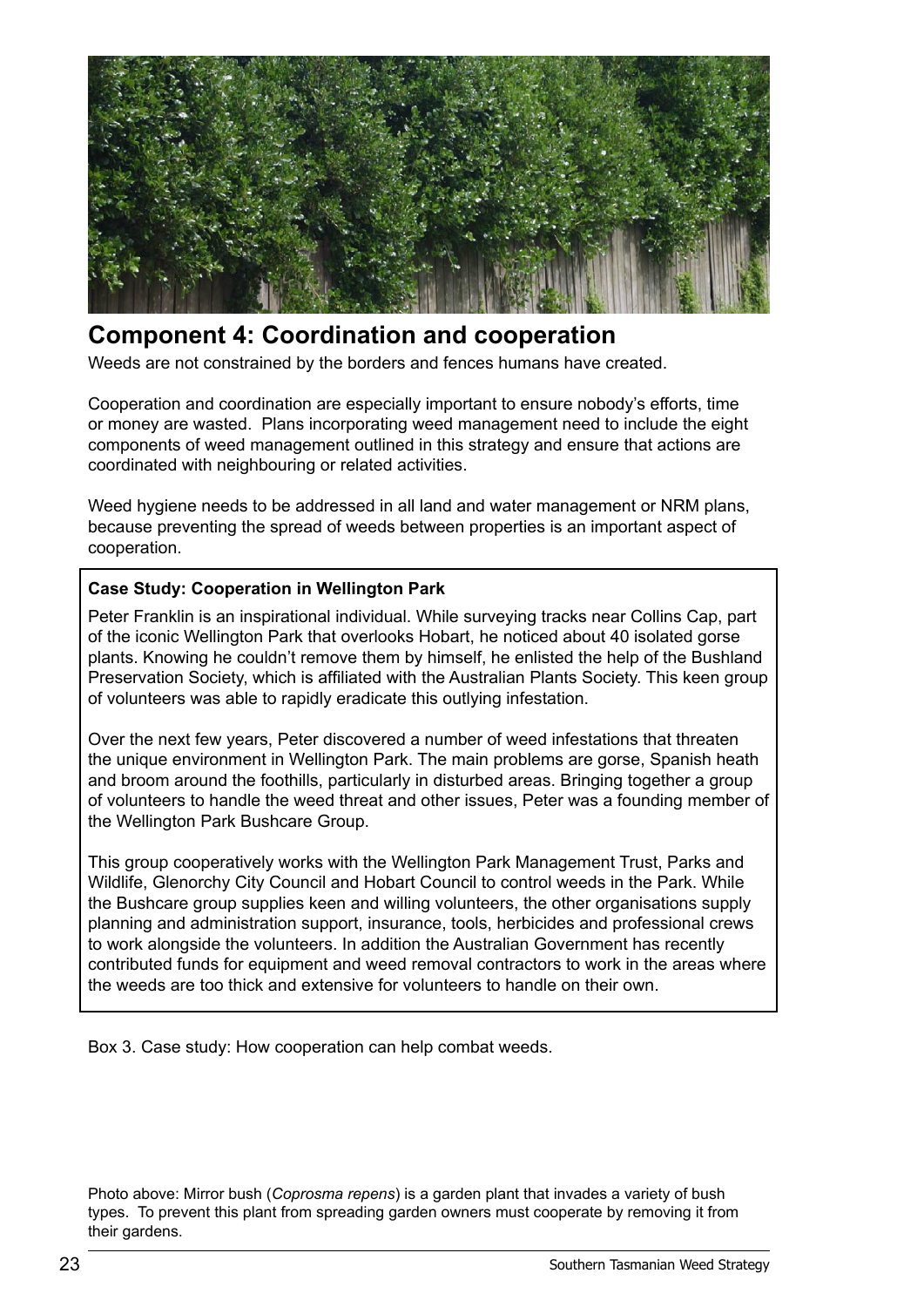

# **Component 4: Coordination and cooperation**

Weeds are not constrained by the borders and fences humans have created.

Cooperation and coordination are especially important to ensure nobody's efforts, time or money are wasted. Plans incorporating weed management need to include the eight components of weed management outlined in this strategy and ensure that actions are coordinated with neighbouring or related activities.

Weed hygiene needs to be addressed in all land and water management or NRM plans, because preventing the spread of weeds between properties is an important aspect of cooperation.

#### **Case Study: Cooperation in Wellington Park**

Peter Franklin is an inspirational individual. While surveying tracks near Collins Cap, part of the iconic Wellington Park that overlooks Hobart, he noticed about 40 isolated gorse plants. Knowing he couldn't remove them by himself, he enlisted the help of the Bushland Preservation Society, which is affiliated with the Australian Plants Society. This keen group of volunteers was able to rapidly eradicate this outlying infestation.

Over the next few years, Peter discovered a number of weed infestations that threaten the unique environment in Wellington Park. The main problems are gorse, Spanish heath and broom around the foothills, particularly in disturbed areas. Bringing together a group of volunteers to handle the weed threat and other issues, Peter was a founding member of the Wellington Park Bushcare Group.

This group cooperatively works with the Wellington Park Management Trust, Parks and Wildlife, Glenorchy City Council and Hobart Council to control weeds in the Park. While the Bushcare group supplies keen and willing volunteers, the other organisations supply planning and administration support, insurance, tools, herbicides and professional crews to work alongside the volunteers. In addition the Australian Government has recently contributed funds for equipment and weed removal contractors to work in the areas where the weeds are too thick and extensive for volunteers to handle on their own.

Box 3. Case study: How cooperation can help combat weeds.

Photo above: Mirror bush (*Coprosma repens*) is a garden plant that invades a variety of bush types. To prevent this plant from spreading garden owners must cooperate by removing it from their gardens.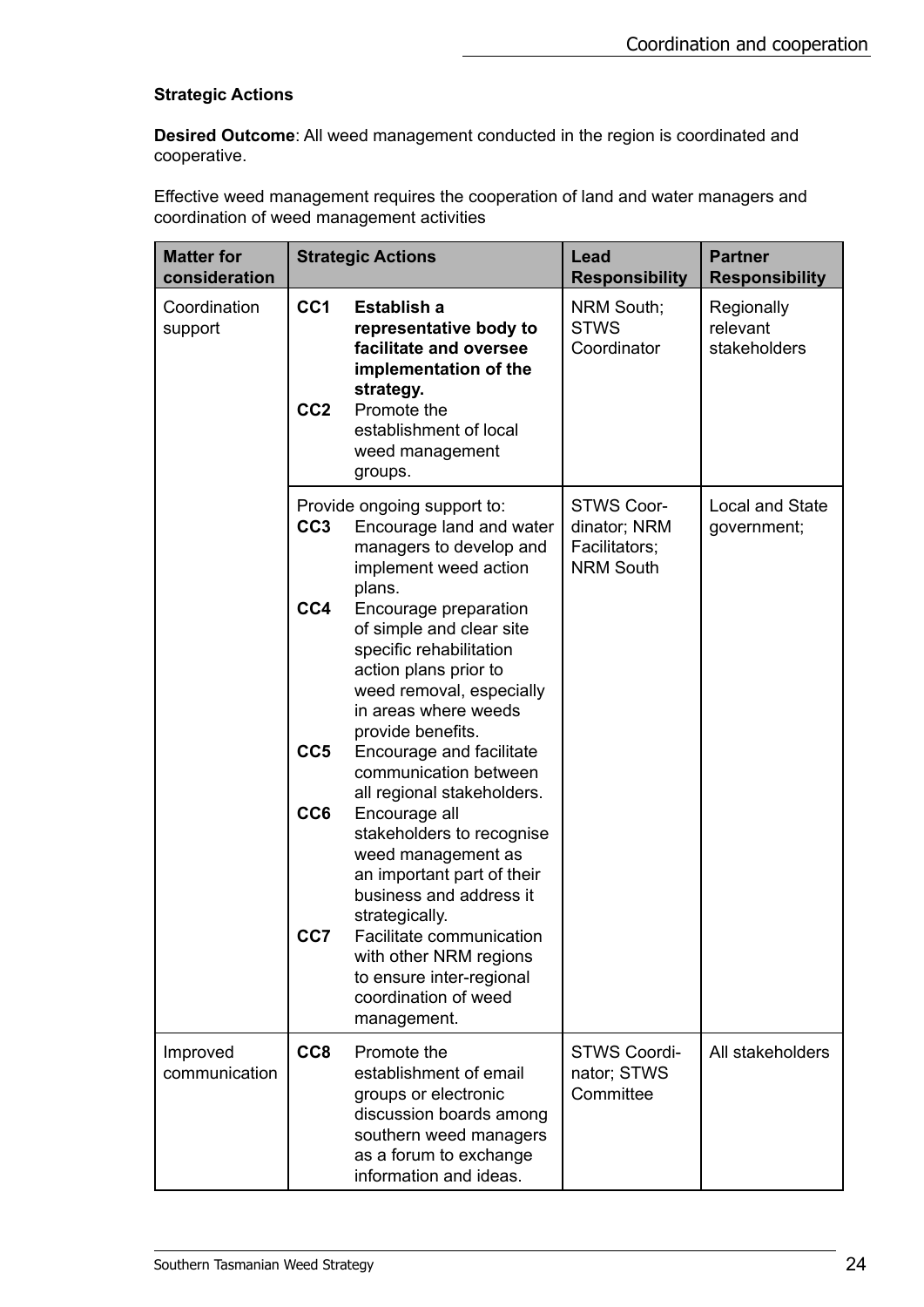#### **Strategic Actions**

**Desired Outcome**: All weed management conducted in the region is coordinated and cooperative.

Effective weed management requires the cooperation of land and water managers and coordination of weed management activities

| <b>Matter for</b><br>consideration |                                    | <b>Strategic Actions</b>                                                                                                                                                       | Lead<br><b>Responsibility</b>                                          | <b>Partner</b><br><b>Responsibility</b> |
|------------------------------------|------------------------------------|--------------------------------------------------------------------------------------------------------------------------------------------------------------------------------|------------------------------------------------------------------------|-----------------------------------------|
| Coordination<br>support            | CC <sub>1</sub><br>CC <sub>2</sub> | Establish a<br>representative body to<br>facilitate and oversee<br>implementation of the<br>strategy.<br>Promote the<br>establishment of local<br>weed management<br>groups.   | NRM South;<br><b>STWS</b><br>Coordinator                               | Regionally<br>relevant<br>stakeholders  |
|                                    | CC <sub>3</sub>                    | Provide ongoing support to:<br>Encourage land and water<br>managers to develop and<br>implement weed action<br>plans.                                                          | <b>STWS Coor-</b><br>dinator; NRM<br>Facilitators;<br><b>NRM South</b> | <b>Local and State</b><br>government;   |
|                                    | CC4                                | Encourage preparation<br>of simple and clear site<br>specific rehabilitation<br>action plans prior to<br>weed removal, especially<br>in areas where weeds<br>provide benefits. |                                                                        |                                         |
|                                    | CC <sub>5</sub>                    | Encourage and facilitate<br>communication between<br>all regional stakeholders.                                                                                                |                                                                        |                                         |
|                                    | CC <sub>6</sub><br>CC7             | Encourage all<br>stakeholders to recognise<br>weed management as<br>an important part of their<br>business and address it<br>strategically.<br>Facilitate communication        |                                                                        |                                         |
|                                    |                                    | with other NRM regions<br>to ensure inter-regional<br>coordination of weed<br>management.                                                                                      |                                                                        |                                         |
| Improved<br>communication          | CC <sub>8</sub>                    | Promote the<br>establishment of email<br>groups or electronic<br>discussion boards among<br>southern weed managers<br>as a forum to exchange<br>information and ideas.         | <b>STWS Coordi-</b><br>nator; STWS<br>Committee                        | All stakeholders                        |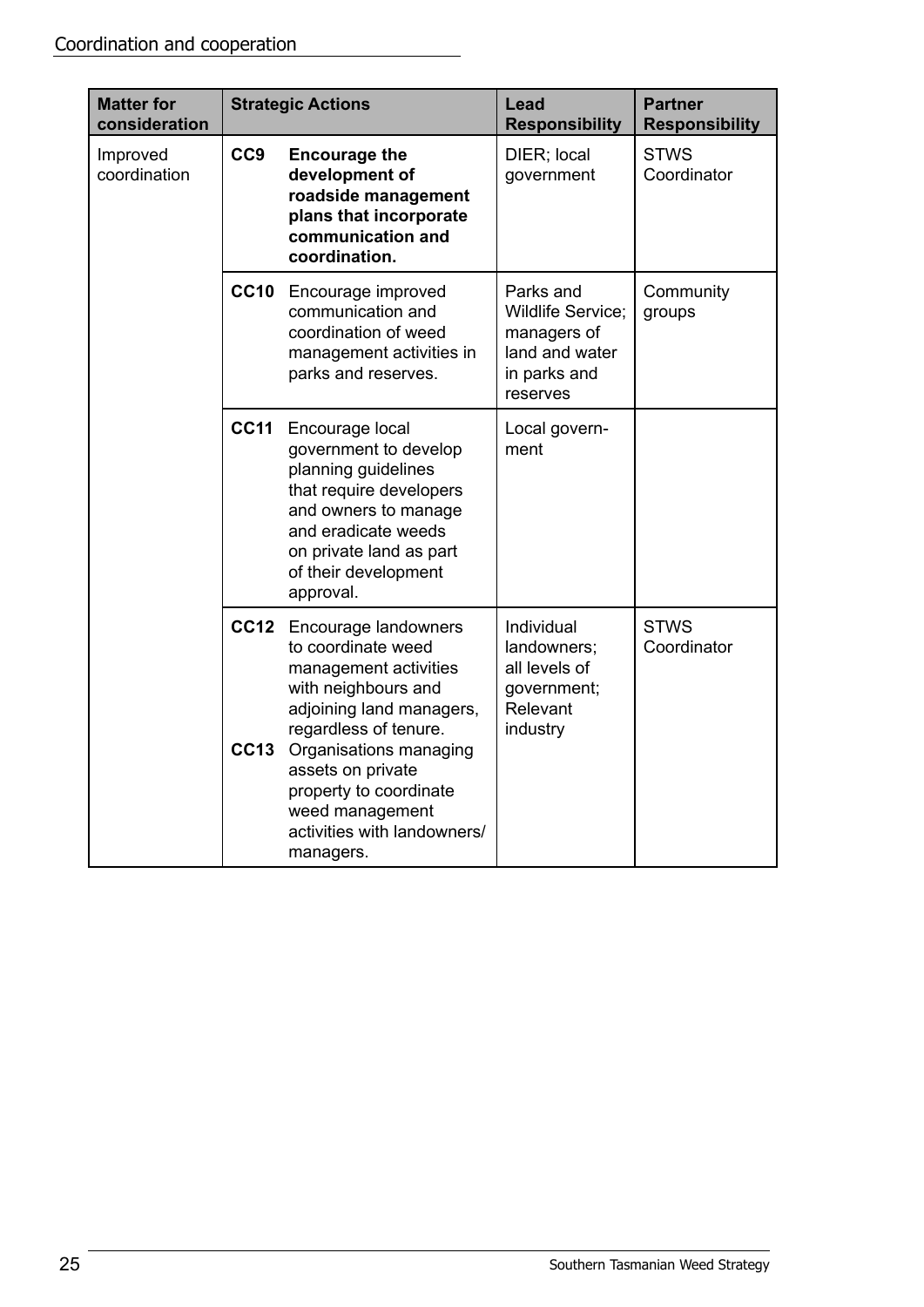| <b>Matter for</b><br>consideration |                 | <b>Strategic Actions</b>                                                                                                                                                                                                                                                                     | Lead<br><b>Responsibility</b>                                                                      | <b>Partner</b><br><b>Responsibility</b> |
|------------------------------------|-----------------|----------------------------------------------------------------------------------------------------------------------------------------------------------------------------------------------------------------------------------------------------------------------------------------------|----------------------------------------------------------------------------------------------------|-----------------------------------------|
| Improved<br>coordination           | CC <sub>9</sub> | <b>Encourage the</b><br>development of<br>roadside management<br>plans that incorporate<br>communication and<br>coordination.                                                                                                                                                                | DIER; local<br>government                                                                          | <b>STWS</b><br>Coordinator              |
|                                    |                 | CC10 Encourage improved<br>communication and<br>coordination of weed<br>management activities in<br>parks and reserves.                                                                                                                                                                      | Parks and<br><b>Wildlife Service;</b><br>managers of<br>land and water<br>in parks and<br>reserves | Community<br>groups                     |
|                                    | <b>CC11</b>     | Encourage local<br>government to develop<br>planning guidelines<br>that require developers<br>and owners to manage<br>and eradicate weeds<br>on private land as part<br>of their development<br>approval.                                                                                    | Local govern-<br>ment                                                                              |                                         |
|                                    | <b>CC13</b>     | CC12 Encourage landowners<br>to coordinate weed<br>management activities<br>with neighbours and<br>adjoining land managers,<br>regardless of tenure.<br>Organisations managing<br>assets on private<br>property to coordinate<br>weed management<br>activities with landowners/<br>managers. | Individual<br>landowners;<br>all levels of<br>government;<br>Relevant<br>industry                  | <b>STWS</b><br>Coordinator              |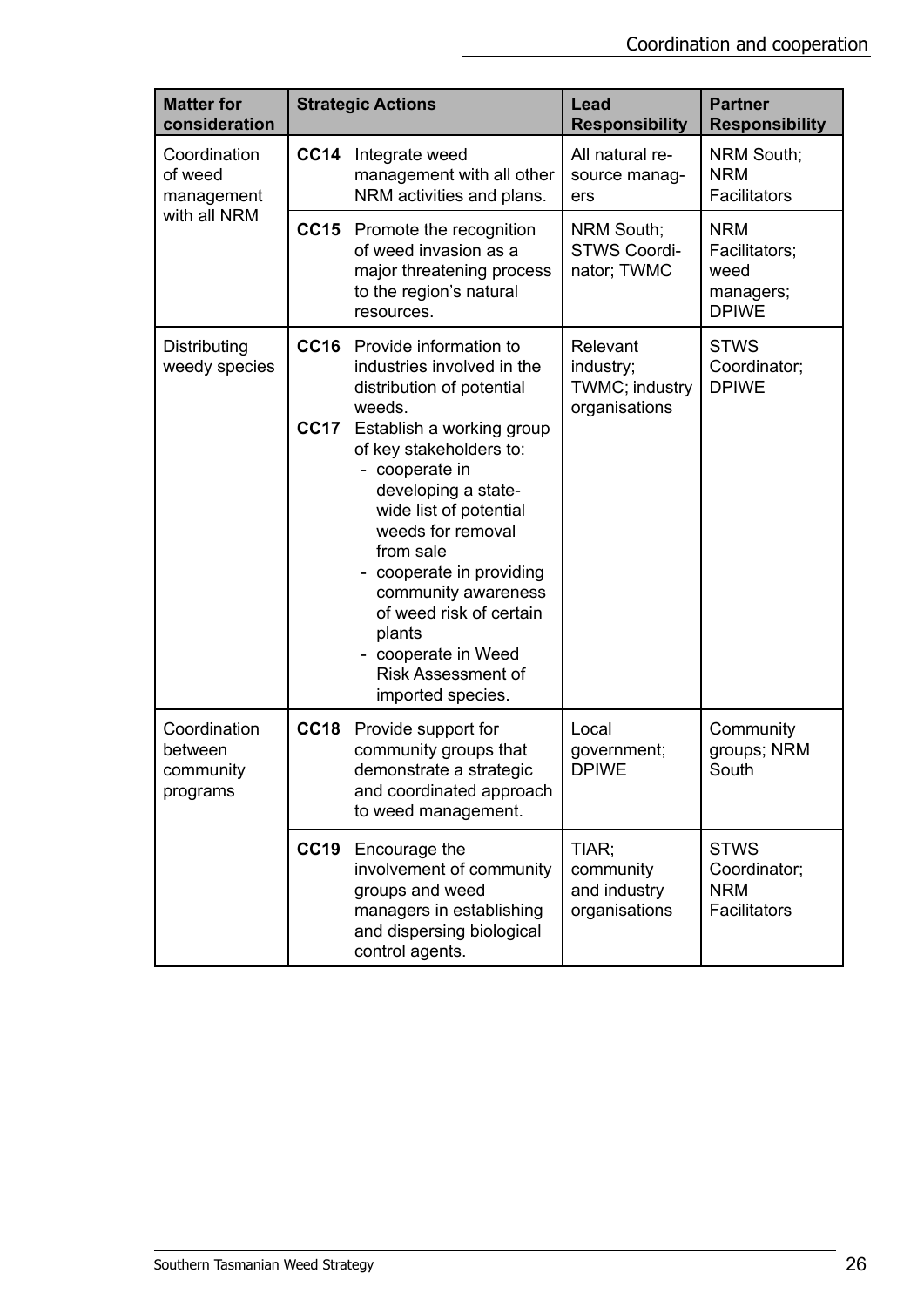| <b>Matter for</b><br>consideration               |                            | <b>Strategic Actions</b>                                                                                                                                                                                                                                                                                                                                                                                                  | Lead<br><b>Responsibility</b>                            | <b>Partner</b><br><b>Responsibility</b>                          |
|--------------------------------------------------|----------------------------|---------------------------------------------------------------------------------------------------------------------------------------------------------------------------------------------------------------------------------------------------------------------------------------------------------------------------------------------------------------------------------------------------------------------------|----------------------------------------------------------|------------------------------------------------------------------|
| Coordination<br>of weed<br>management            | <b>CC14</b>                | Integrate weed<br>management with all other<br>NRM activities and plans.                                                                                                                                                                                                                                                                                                                                                  | All natural re-<br>source manag-<br>ers                  | NRM South;<br><b>NRM</b><br>Facilitators                         |
| with all NRM                                     |                            | CC15 Promote the recognition<br>of weed invasion as a<br>major threatening process<br>to the region's natural<br>resources.                                                                                                                                                                                                                                                                                               | NRM South;<br><b>STWS Coordi-</b><br>nator; TWMC         | <b>NRM</b><br>Facilitators;<br>weed<br>managers;<br><b>DPIWE</b> |
| Distributing<br>weedy species                    | <b>CC16</b><br><b>CC17</b> | Provide information to<br>industries involved in the<br>distribution of potential<br>weeds.<br>Establish a working group<br>of key stakeholders to:<br>- cooperate in<br>developing a state-<br>wide list of potential<br>weeds for removal<br>from sale<br>- cooperate in providing<br>community awareness<br>of weed risk of certain<br>plants<br>- cooperate in Weed<br><b>Risk Assessment of</b><br>imported species. | Relevant<br>industry;<br>TWMC; industry<br>organisations | <b>STWS</b><br>Coordinator;<br><b>DPIWE</b>                      |
| Coordination<br>between<br>community<br>programs | <b>CC18</b>                | Provide support for<br>community groups that<br>demonstrate a strategic<br>and coordinated approach<br>to weed management.                                                                                                                                                                                                                                                                                                | Local<br>government;<br><b>DPIWE</b>                     | Community<br>groups; NRM<br>South                                |
|                                                  | <b>CC19</b>                | Encourage the<br>involvement of community<br>groups and weed<br>managers in establishing<br>and dispersing biological<br>control agents.                                                                                                                                                                                                                                                                                  | TIAR;<br>community<br>and industry<br>organisations      | <b>STWS</b><br>Coordinator;<br><b>NRM</b><br>Facilitators        |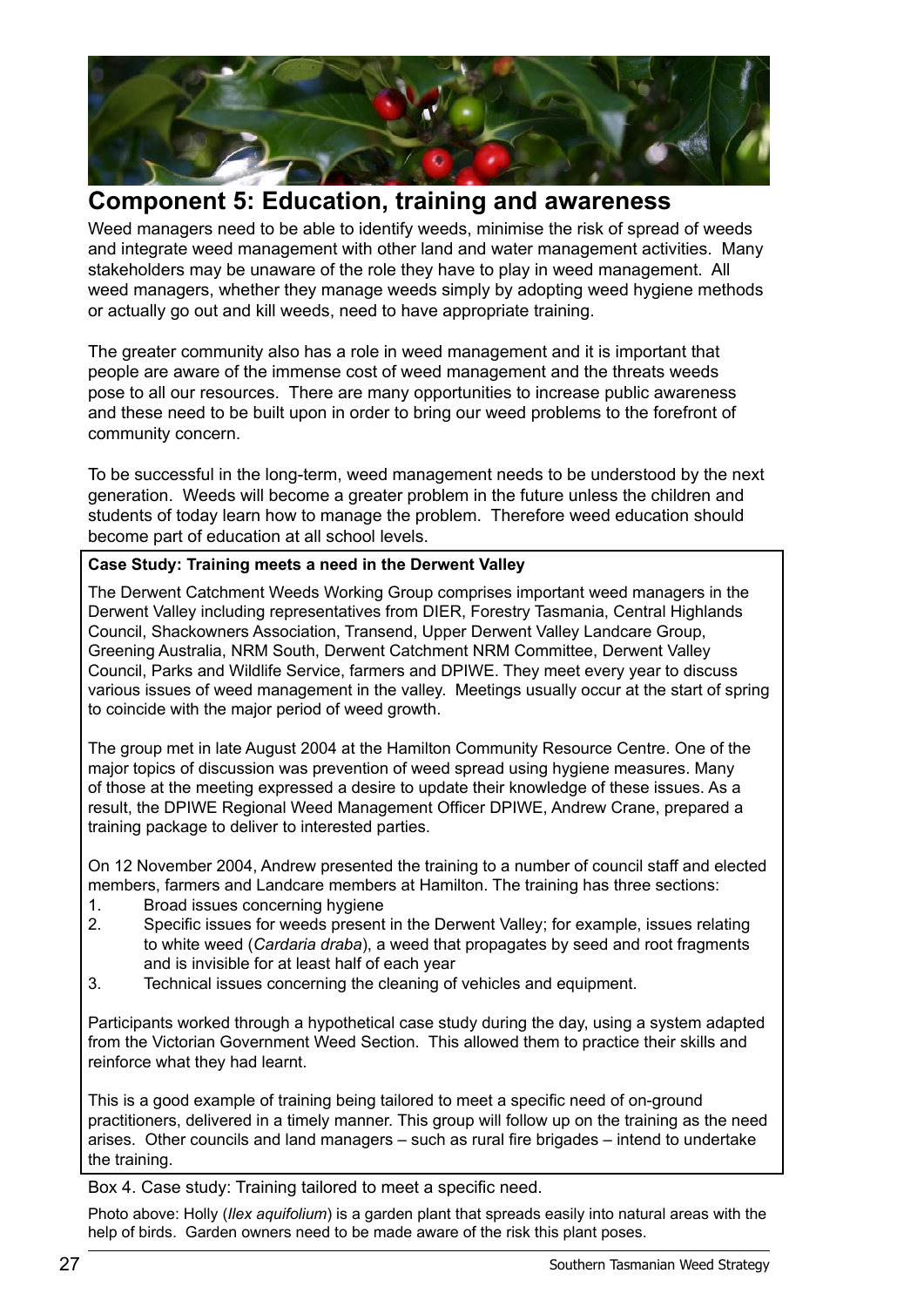

# **Component 5: Education, training and awareness**

Weed managers need to be able to identify weeds, minimise the risk of spread of weeds and integrate weed management with other land and water management activities. Many stakeholders may be unaware of the role they have to play in weed management. All weed managers, whether they manage weeds simply by adopting weed hygiene methods or actually go out and kill weeds, need to have appropriate training.

The greater community also has a role in weed management and it is important that people are aware of the immense cost of weed management and the threats weeds pose to all our resources. There are many opportunities to increase public awareness and these need to be built upon in order to bring our weed problems to the forefront of community concern.

To be successful in the long-term, weed management needs to be understood by the next generation. Weeds will become a greater problem in the future unless the children and students of today learn how to manage the problem. Therefore weed education should become part of education at all school levels.

#### **Case Study: Training meets a need in the Derwent Valley**

The Derwent Catchment Weeds Working Group comprises important weed managers in the Derwent Valley including representatives from DIER, Forestry Tasmania, Central Highlands Council, Shackowners Association, Transend, Upper Derwent Valley Landcare Group, Greening Australia, NRM South, Derwent Catchment NRM Committee, Derwent Valley Council, Parks and Wildlife Service, farmers and DPIWE. They meet every year to discuss various issues of weed management in the valley. Meetings usually occur at the start of spring to coincide with the major period of weed growth.

The group met in late August 2004 at the Hamilton Community Resource Centre. One of the major topics of discussion was prevention of weed spread using hygiene measures. Many of those at the meeting expressed a desire to update their knowledge of these issues. As a result, the DPIWE Regional Weed Management Officer DPIWE, Andrew Crane, prepared a training package to deliver to interested parties.

On 12 November 2004, Andrew presented the training to a number of council staff and elected members, farmers and Landcare members at Hamilton. The training has three sections:

- 1. Broad issues concerning hygiene
- 2. Specific issues for weeds present in the Derwent Valley; for example, issues relating to white weed (*Cardaria draba*), a weed that propagates by seed and root fragments and is invisible for at least half of each year
- 3. Technical issues concerning the cleaning of vehicles and equipment.

Participants worked through a hypothetical case study during the day, using a system adapted from the Victorian Government Weed Section. This allowed them to practice their skills and reinforce what they had learnt.

This is a good example of training being tailored to meet a specific need of on-ground practitioners, delivered in a timely manner. This group will follow up on the training as the need arises. Other councils and land managers – such as rural fire brigades – intend to undertake the training.

Box 4. Case study: Training tailored to meet a specific need.

Photo above: Holly (*Ilex aquifolium*) is a garden plant that spreads easily into natural areas with the help of birds. Garden owners need to be made aware of the risk this plant poses.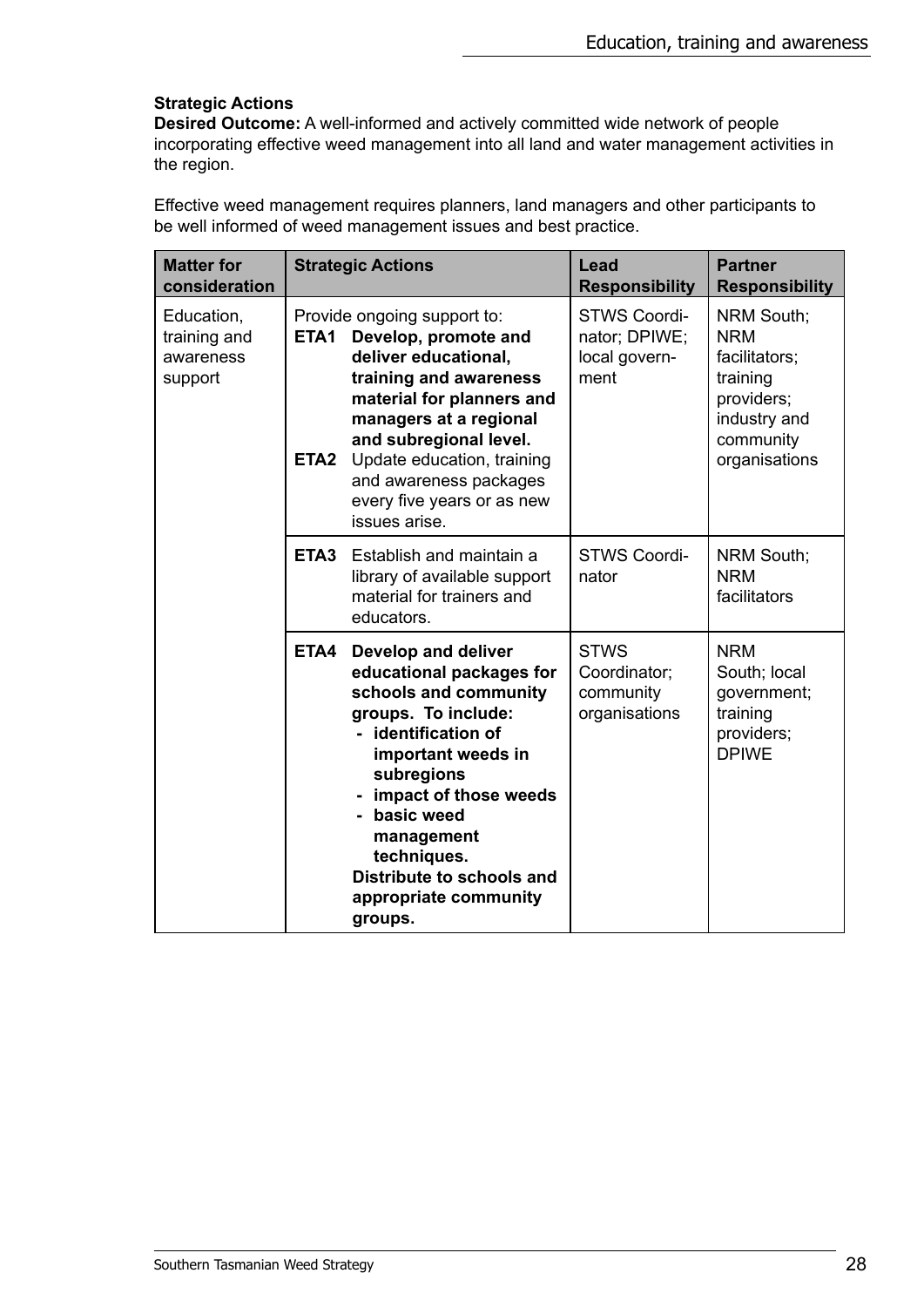#### **Strategic Actions**

**Desired Outcome:** A well-informed and actively committed wide network of people incorporating effective weed management into all land and water management activities in the region.

Effective weed management requires planners, land managers and other participants to be well informed of weed management issues and best practice.

| <b>Matter for</b><br>consideration                 |                          | <b>Strategic Actions</b>                                                                                                                                                                                                                                                                          | Lead<br><b>Responsibility</b>                                 | <b>Partner</b><br><b>Responsibility</b>                                                                                  |
|----------------------------------------------------|--------------------------|---------------------------------------------------------------------------------------------------------------------------------------------------------------------------------------------------------------------------------------------------------------------------------------------------|---------------------------------------------------------------|--------------------------------------------------------------------------------------------------------------------------|
| Education,<br>training and<br>awareness<br>support | ETA1<br>ETA <sub>2</sub> | Provide ongoing support to:<br>Develop, promote and<br>deliver educational,<br>training and awareness<br>material for planners and<br>managers at a regional<br>and subregional level.<br>Update education, training<br>and awareness packages<br>every five years or as new<br>issues arise.     | <b>STWS Coordi-</b><br>nator; DPIWE;<br>local govern-<br>ment | <b>NRM South;</b><br><b>NRM</b><br>facilitators;<br>training<br>providers;<br>industry and<br>community<br>organisations |
|                                                    | ETA <sub>3</sub>         | Establish and maintain a<br>library of available support<br>material for trainers and<br>educators.                                                                                                                                                                                               | <b>STWS Coordi-</b><br>nator                                  | <b>NRM South;</b><br><b>NRM</b><br>facilitators                                                                          |
|                                                    | ETA4                     | Develop and deliver<br>educational packages for<br>schools and community<br>groups. To include:<br>- identification of<br>important weeds in<br>subregions<br>- impact of those weeds<br>basic weed<br>management<br>techniques.<br>Distribute to schools and<br>appropriate community<br>groups. | <b>STWS</b><br>Coordinator;<br>community<br>organisations     | <b>NRM</b><br>South; local<br>government;<br>training<br>providers;<br><b>DPIWE</b>                                      |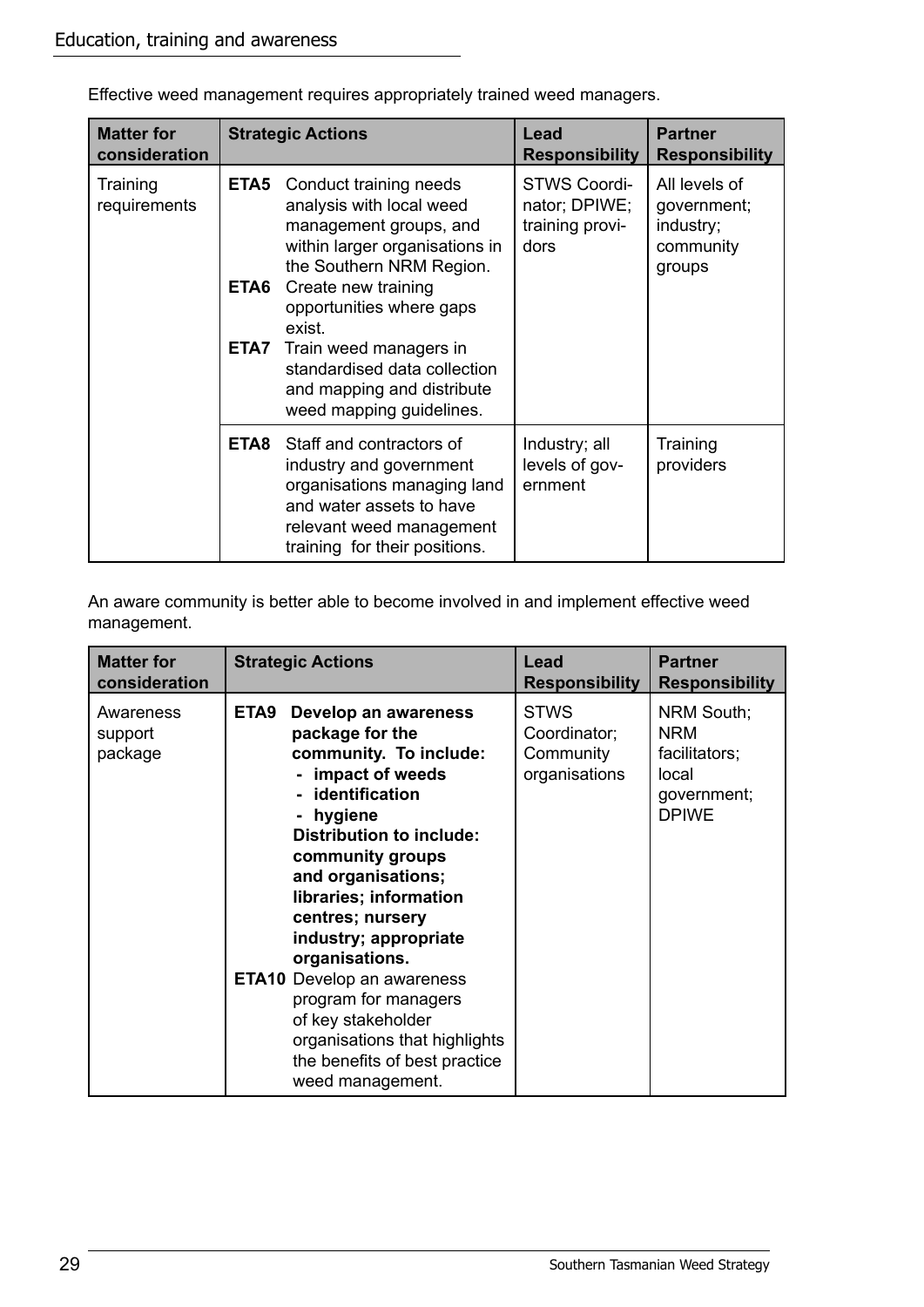| <b>Matter for</b><br>consideration |                      | <b>Strategic Actions</b>                                                                                                                                                                                                                                                                                                    | Lead<br><b>Responsibility</b>                                   | <b>Partner</b><br><b>Responsibility</b>                          |
|------------------------------------|----------------------|-----------------------------------------------------------------------------------------------------------------------------------------------------------------------------------------------------------------------------------------------------------------------------------------------------------------------------|-----------------------------------------------------------------|------------------------------------------------------------------|
| Training<br>requirements           | ETA5<br>ETA6<br>ETA7 | Conduct training needs<br>analysis with local weed<br>management groups, and<br>within larger organisations in<br>the Southern NRM Region.<br>Create new training<br>opportunities where gaps<br>exist.<br>Train weed managers in<br>standardised data collection<br>and mapping and distribute<br>weed mapping guidelines. | <b>STWS Coordi-</b><br>nator; DPIWE;<br>training provi-<br>dors | All levels of<br>government;<br>industry;<br>community<br>groups |
|                                    | ETA8                 | Staff and contractors of<br>industry and government<br>organisations managing land<br>and water assets to have<br>relevant weed management<br>training for their positions.                                                                                                                                                 | Industry; all<br>levels of gov-<br>ernment                      | Training<br>providers                                            |

Effective weed management requires appropriately trained weed managers.

An aware community is better able to become involved in and implement effective weed management.

| <b>Matter for</b>               | <b>Strategic Actions</b>                                                                                                                                                                                                                                                                                                                                                                                                                                                     | Lead                                                      | <b>Partner</b>                                                                    |
|---------------------------------|------------------------------------------------------------------------------------------------------------------------------------------------------------------------------------------------------------------------------------------------------------------------------------------------------------------------------------------------------------------------------------------------------------------------------------------------------------------------------|-----------------------------------------------------------|-----------------------------------------------------------------------------------|
| consideration                   |                                                                                                                                                                                                                                                                                                                                                                                                                                                                              | <b>Responsibility</b>                                     | <b>Responsibility</b>                                                             |
| Awareness<br>support<br>package | ETA9<br>Develop an awareness<br>package for the<br>community. To include:<br>- impact of weeds<br>- identification<br>hygiene<br><b>Distribution to include:</b><br>community groups<br>and organisations;<br>libraries; information<br>centres; nursery<br>industry; appropriate<br>organisations.<br><b>ETA10</b> Develop an awareness<br>program for managers<br>of key stakeholder<br>organisations that highlights<br>the benefits of best practice<br>weed management. | <b>STWS</b><br>Coordinator;<br>Community<br>organisations | NRM South;<br><b>NRM</b><br>facilitators;<br>local<br>government;<br><b>DPIWE</b> |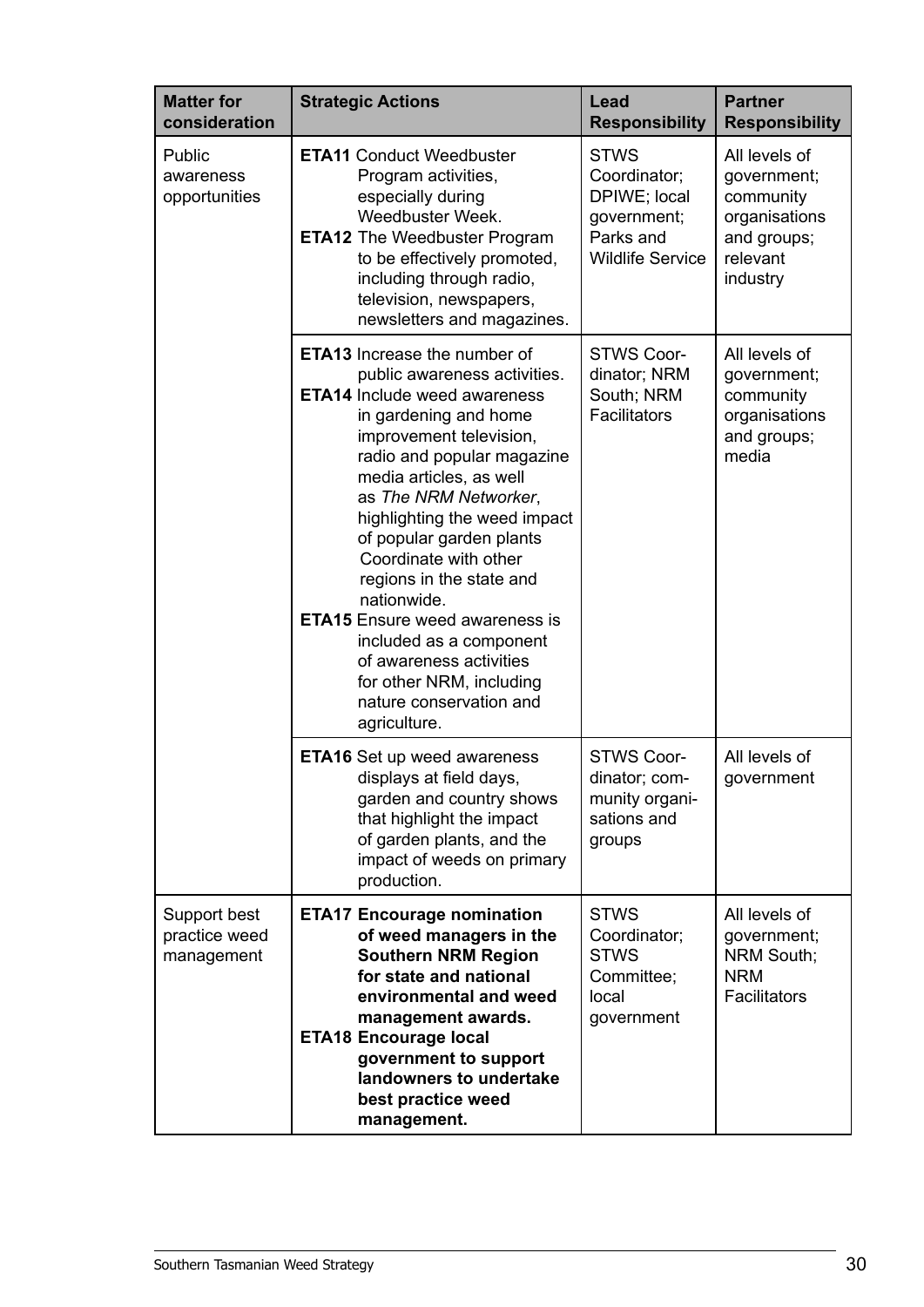| <b>Matter for</b><br>consideration          | <b>Strategic Actions</b>                                                                                                                                                                                                                                                                                                                                                                                                                                                                                                                               | Lead<br><b>Responsibility</b>                                                                      | <b>Partner</b><br><b>Responsibility</b>                                                           |
|---------------------------------------------|--------------------------------------------------------------------------------------------------------------------------------------------------------------------------------------------------------------------------------------------------------------------------------------------------------------------------------------------------------------------------------------------------------------------------------------------------------------------------------------------------------------------------------------------------------|----------------------------------------------------------------------------------------------------|---------------------------------------------------------------------------------------------------|
| Public<br>awareness<br>opportunities        | <b>ETA11 Conduct Weedbuster</b><br>Program activities,<br>especially during<br>Weedbuster Week.<br><b>ETA12</b> The Weedbuster Program<br>to be effectively promoted,<br>including through radio,<br>television, newspapers,<br>newsletters and magazines.                                                                                                                                                                                                                                                                                             | <b>STWS</b><br>Coordinator;<br>DPIWE; local<br>government;<br>Parks and<br><b>Wildlife Service</b> | All levels of<br>government;<br>community<br>organisations<br>and groups;<br>relevant<br>industry |
|                                             | <b>ETA13</b> Increase the number of<br>public awareness activities.<br><b>ETA14</b> Include weed awareness<br>in gardening and home<br>improvement television,<br>radio and popular magazine<br>media articles, as well<br>as The NRM Networker,<br>highlighting the weed impact<br>of popular garden plants<br>Coordinate with other<br>regions in the state and<br>nationwide.<br><b>ETA15</b> Ensure weed awareness is<br>included as a component<br>of awareness activities<br>for other NRM, including<br>nature conservation and<br>agriculture. | <b>STWS Coor-</b><br>dinator; NRM<br>South; NRM<br>Facilitators                                    | All levels of<br>government;<br>community<br>organisations<br>and groups;<br>media                |
|                                             | <b>ETA16</b> Set up weed awareness<br>displays at field days,<br>garden and country shows<br>that highlight the impact<br>of garden plants, and the<br>impact of weeds on primary<br>production.                                                                                                                                                                                                                                                                                                                                                       | <b>STWS Coor-</b><br>dinator; com<br>munity organi-<br>sations and<br>groups                       | All levels of<br>government                                                                       |
| Support best<br>practice weed<br>management | <b>ETA17 Encourage nomination</b><br>of weed managers in the<br><b>Southern NRM Region</b><br>for state and national<br>environmental and weed<br>management awards.<br><b>ETA18 Encourage local</b><br>government to support<br>landowners to undertake<br>best practice weed<br>management.                                                                                                                                                                                                                                                          | <b>STWS</b><br>Coordinator;<br><b>STWS</b><br>Committee;<br>local<br>government                    | All levels of<br>government;<br>NRM South;<br><b>NRM</b><br>Facilitators                          |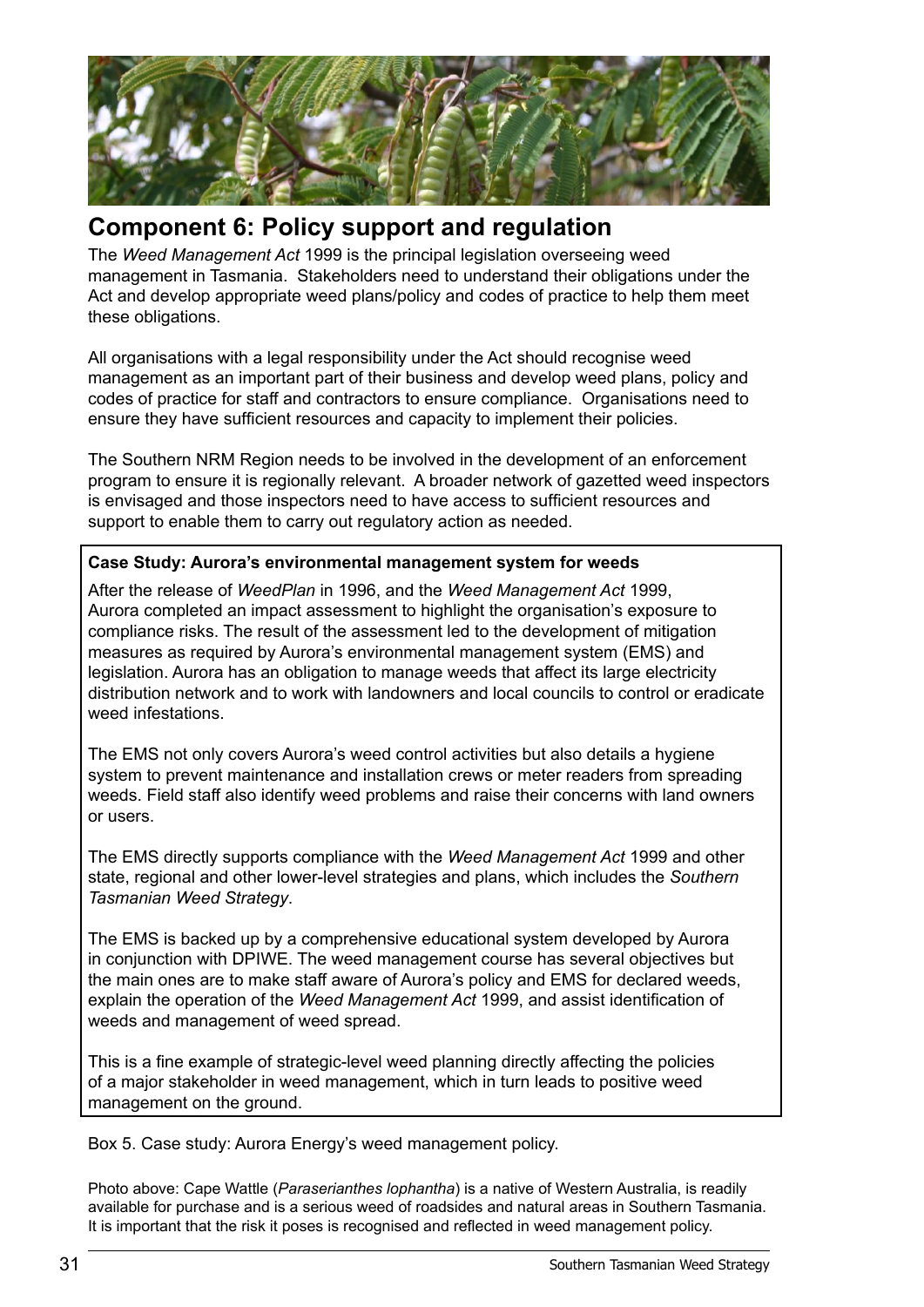

# **Component 6: Policy support and regulation**

The *Weed Management Act* 1999 is the principal legislation overseeing weed management in Tasmania. Stakeholders need to understand their obligations under the Act and develop appropriate weed plans/policy and codes of practice to help them meet these obligations.

All organisations with a legal responsibility under the Act should recognise weed management as an important part of their business and develop weed plans, policy and codes of practice for staff and contractors to ensure compliance. Organisations need to ensure they have sufficient resources and capacity to implement their policies.

The Southern NRM Region needs to be involved in the development of an enforcement program to ensure it is regionally relevant. A broader network of gazetted weed inspectors is envisaged and those inspectors need to have access to sufficient resources and support to enable them to carry out regulatory action as needed.

#### **Case Study: Aurora's environmental management system for weeds**

After the release of *WeedPlan* in 1996, and the *Weed Management Act* 1999, Aurora completed an impact assessment to highlight the organisation's exposure to compliance risks. The result of the assessment led to the development of mitigation measures as required by Aurora's environmental management system (EMS) and legislation. Aurora has an obligation to manage weeds that affect its large electricity distribution network and to work with landowners and local councils to control or eradicate weed infestations.

The EMS not only covers Aurora's weed control activities but also details a hygiene system to prevent maintenance and installation crews or meter readers from spreading weeds. Field staff also identify weed problems and raise their concerns with land owners or users.

The EMS directly supports compliance with the *Weed Management Act* 1999 and other state, regional and other lower-level strategies and plans, which includes the *Southern Tasmanian Weed Strategy*.

The EMS is backed up by a comprehensive educational system developed by Aurora in conjunction with DPIWE. The weed management course has several objectives but the main ones are to make staff aware of Aurora's policy and EMS for declared weeds, explain the operation of the *Weed Management Act* 1999, and assist identification of weeds and management of weed spread.

This is a fine example of strategic-level weed planning directly affecting the policies of a major stakeholder in weed management, which in turn leads to positive weed management on the ground.

Box 5. Case study: Aurora Energy's weed management policy.

Photo above: Cape Wattle (*Paraserianthes lophantha*) is a native of Western Australia, is readily available for purchase and is a serious weed of roadsides and natural areas in Southern Tasmania. It is important that the risk it poses is recognised and reflected in weed management policy.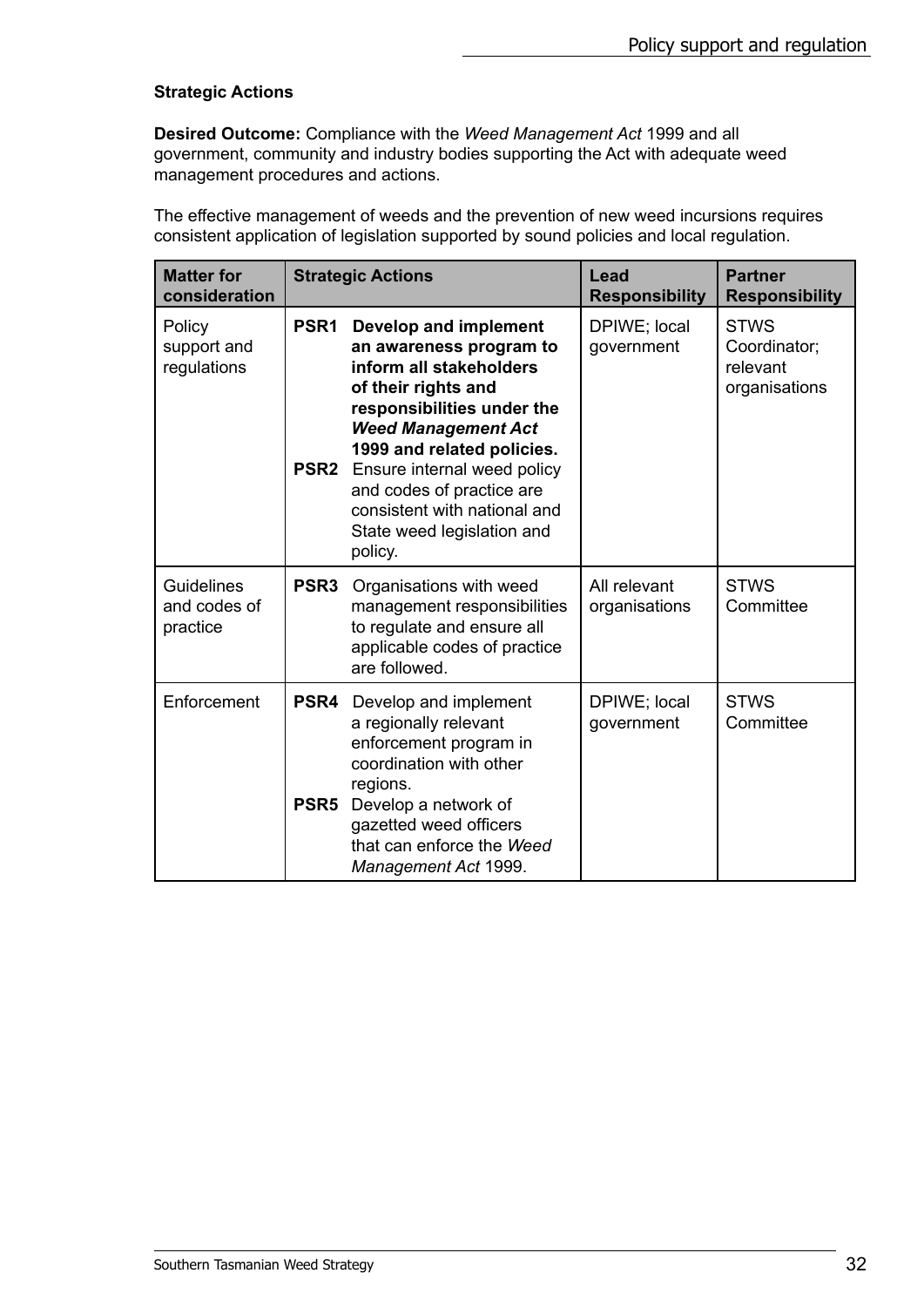#### **Strategic Actions**

**Desired Outcome:** Compliance with the *Weed Management Act* 1999 and all government, community and industry bodies supporting the Act with adequate weed management procedures and actions.

The effective management of weeds and the prevention of new weed incursions requires consistent application of legislation supported by sound policies and local regulation.

| <b>Matter for</b><br>consideration     |                                      | <b>Strategic Actions</b>                                                                                                                                                                                                                                                                                                                 | Lead<br><b>Responsibility</b> | <b>Partner</b><br><b>Responsibility</b>                  |
|----------------------------------------|--------------------------------------|------------------------------------------------------------------------------------------------------------------------------------------------------------------------------------------------------------------------------------------------------------------------------------------------------------------------------------------|-------------------------------|----------------------------------------------------------|
| Policy<br>support and<br>regulations   | PSR <sub>1</sub><br>PSR <sub>2</sub> | <b>Develop and implement</b><br>an awareness program to<br>inform all stakeholders<br>of their rights and<br>responsibilities under the<br><b>Weed Management Act</b><br>1999 and related policies.<br>Ensure internal weed policy<br>and codes of practice are<br>consistent with national and<br>State weed legislation and<br>policy. | DPIWE; local<br>government    | <b>STWS</b><br>Coordinator;<br>relevant<br>organisations |
| Guidelines<br>and codes of<br>practice | PSR <sub>3</sub>                     | Organisations with weed<br>management responsibilities<br>to regulate and ensure all<br>applicable codes of practice<br>are followed.                                                                                                                                                                                                    | All relevant<br>organisations | <b>STWS</b><br>Committee                                 |
| Enforcement                            | PSR4<br>PSR <sub>5</sub>             | Develop and implement<br>a regionally relevant<br>enforcement program in<br>coordination with other<br>regions.<br>Develop a network of<br>gazetted weed officers<br>that can enforce the Weed<br>Management Act 1999.                                                                                                                   | DPIWE; local<br>government    | <b>STWS</b><br>Committee                                 |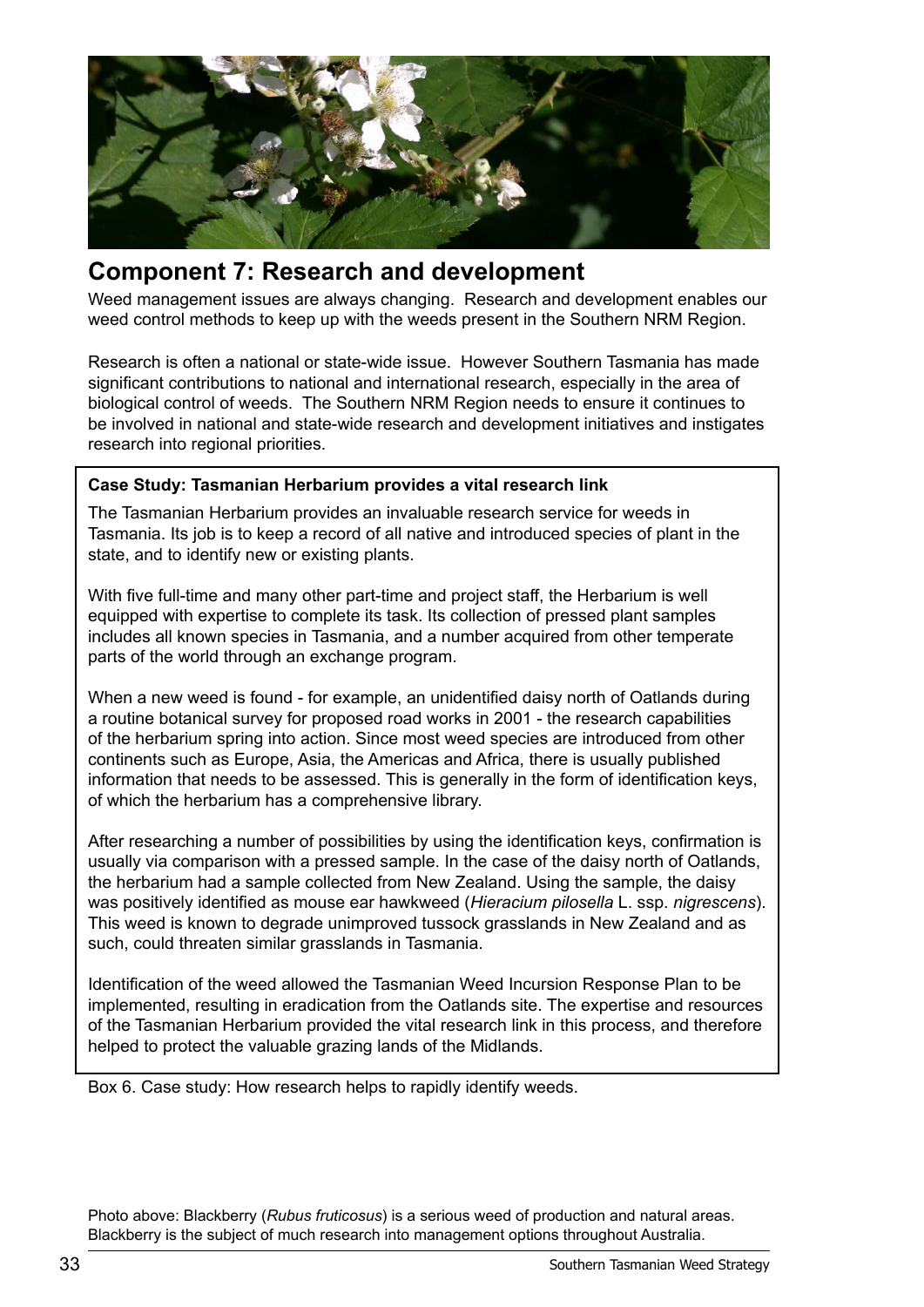

# **Component 7: Research and development**

Weed management issues are always changing. Research and development enables our weed control methods to keep up with the weeds present in the Southern NRM Region.

Research is often a national or state-wide issue. However Southern Tasmania has made significant contributions to national and international research, especially in the area of biological control of weeds. The Southern NRM Region needs to ensure it continues to be involved in national and state-wide research and development initiatives and instigates research into regional priorities.

#### **Case Study: Tasmanian Herbarium provides a vital research link**

The Tasmanian Herbarium provides an invaluable research service for weeds in Tasmania. Its job is to keep a record of all native and introduced species of plant in the state, and to identify new or existing plants.

With five full-time and many other part-time and project staff, the Herbarium is well equipped with expertise to complete its task. Its collection of pressed plant samples includes all known species in Tasmania, and a number acquired from other temperate parts of the world through an exchange program.

When a new weed is found - for example, an unidentified daisy north of Oatlands during a routine botanical survey for proposed road works in 2001 - the research capabilities of the herbarium spring into action. Since most weed species are introduced from other continents such as Europe, Asia, the Americas and Africa, there is usually published information that needs to be assessed. This is generally in the form of identification keys, of which the herbarium has a comprehensive library.

After researching a number of possibilities by using the identification keys, confirmation is usually via comparison with a pressed sample. In the case of the daisy north of Oatlands, the herbarium had a sample collected from New Zealand. Using the sample, the daisy was positively identified as mouse ear hawkweed (*Hieracium pilosella* L. ssp. *nigrescens*). This weed is known to degrade unimproved tussock grasslands in New Zealand and as such, could threaten similar grasslands in Tasmania.

Identification of the weed allowed the Tasmanian Weed Incursion Response Plan to be implemented, resulting in eradication from the Oatlands site. The expertise and resources of the Tasmanian Herbarium provided the vital research link in this process, and therefore helped to protect the valuable grazing lands of the Midlands.

Box 6. Case study: How research helps to rapidly identify weeds.

Photo above: Blackberry (*Rubus fruticosus*) is a serious weed of production and natural areas. Blackberry is the subject of much research into management options throughout Australia.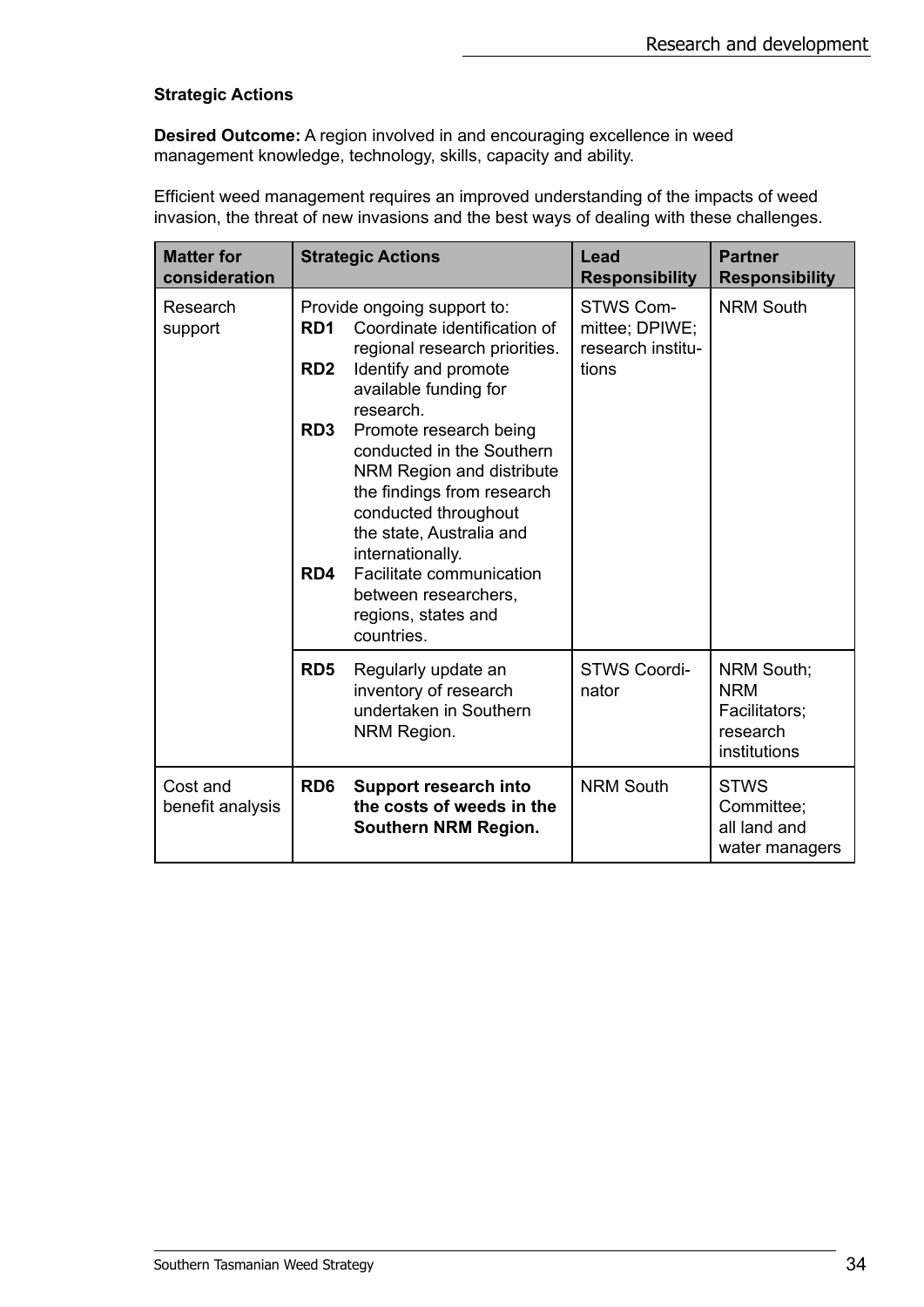#### **Strategic Actions**

**Desired Outcome:** A region involved in and encouraging excellence in weed management knowledge, technology, skills, capacity and ability.

Efficient weed management requires an improved understanding of the impacts of weed invasion, the threat of new invasions and the best ways of dealing with these challenges.

| <b>Matter for</b><br>consideration |                                    | <b>Strategic Actions</b>                                                                                                                                                                                                                                                                     | Lead<br><b>Responsibility</b>                             | <b>Partner</b><br><b>Responsibility</b>                                      |
|------------------------------------|------------------------------------|----------------------------------------------------------------------------------------------------------------------------------------------------------------------------------------------------------------------------------------------------------------------------------------------|-----------------------------------------------------------|------------------------------------------------------------------------------|
| Research<br>support                | RD <sub>1</sub><br>RD <sub>2</sub> | Provide ongoing support to:<br>Coordinate identification of<br>regional research priorities.<br>Identify and promote<br>available funding for                                                                                                                                                | STWS Com-<br>mittee; DPIWE;<br>research institu-<br>tions | <b>NRM South</b>                                                             |
|                                    | RD <sub>3</sub><br>RD4             | research.<br>Promote research being<br>conducted in the Southern<br>NRM Region and distribute<br>the findings from research<br>conducted throughout<br>the state, Australia and<br>internationally.<br>Facilitate communication<br>between researchers,<br>regions, states and<br>countries. |                                                           |                                                                              |
|                                    | RD <sub>5</sub>                    | Regularly update an<br>inventory of research<br>undertaken in Southern<br>NRM Region.                                                                                                                                                                                                        | <b>STWS Coordi-</b><br>nator                              | <b>NRM South;</b><br><b>NRM</b><br>Facilitators;<br>research<br>institutions |
| Cost and<br>benefit analysis       | RD <sub>6</sub>                    | <b>Support research into</b><br>the costs of weeds in the<br>Southern NRM Region.                                                                                                                                                                                                            | <b>NRM South</b>                                          | <b>STWS</b><br>Committee;<br>all land and<br>water managers                  |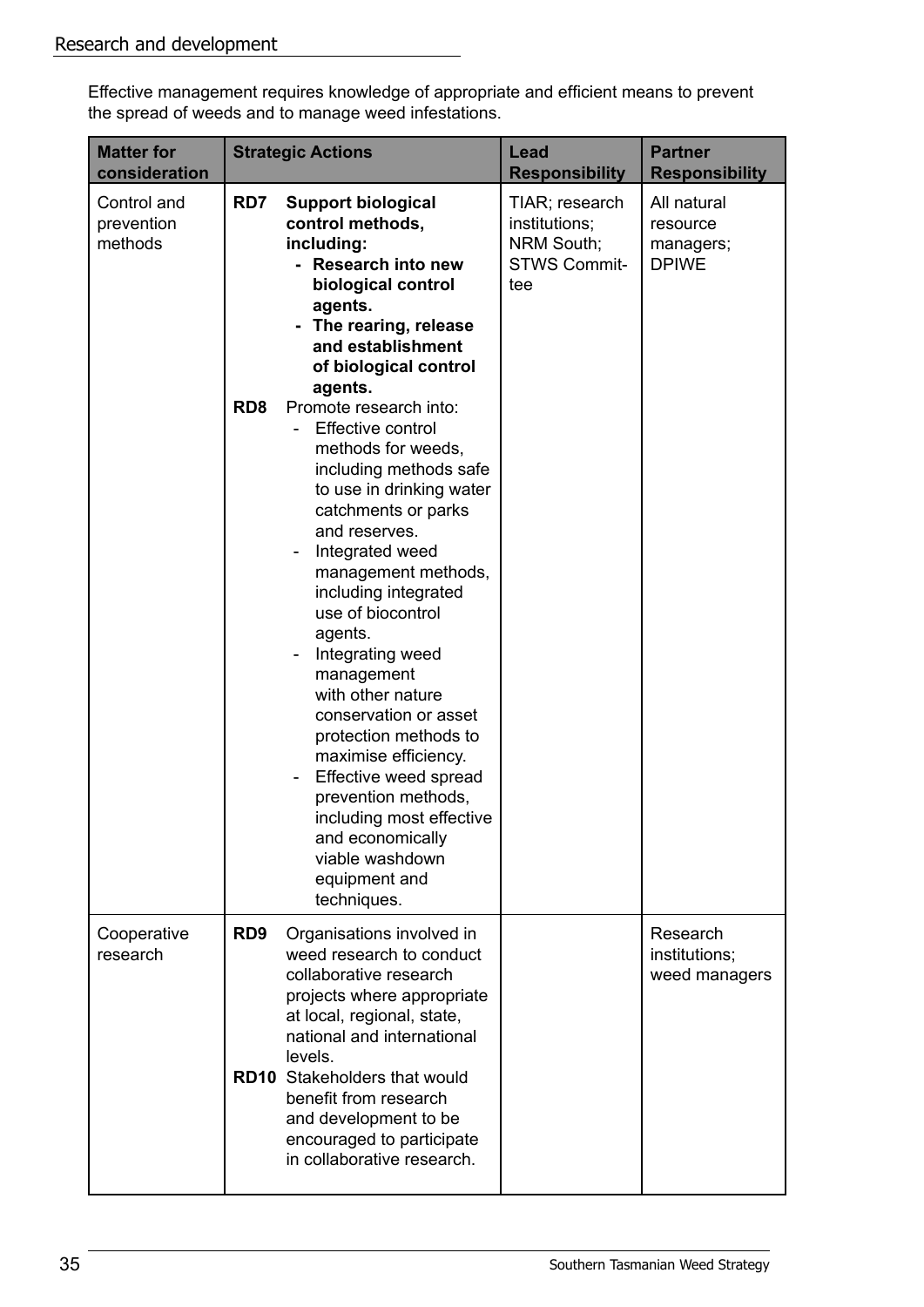Effective management requires knowledge of appropriate and efficient means to prevent the spread of weeds and to manage weed infestations.

| <b>Matter for</b><br>consideration   |                        | <b>Strategic Actions</b>                                                                                                                                                                                                                                                                                                                                                                                                                                                                                                                                                                                                                                                                                                                                           | Lead<br><b>Responsibility</b>                                               | <b>Partner</b><br><b>Responsibility</b>              |
|--------------------------------------|------------------------|--------------------------------------------------------------------------------------------------------------------------------------------------------------------------------------------------------------------------------------------------------------------------------------------------------------------------------------------------------------------------------------------------------------------------------------------------------------------------------------------------------------------------------------------------------------------------------------------------------------------------------------------------------------------------------------------------------------------------------------------------------------------|-----------------------------------------------------------------------------|------------------------------------------------------|
| Control and<br>prevention<br>methods | RD7<br>RD <sub>8</sub> | <b>Support biological</b><br>control methods,<br>including:<br><b>Research into new</b><br>biological control<br>agents.<br>The rearing, release<br>and establishment<br>of biological control<br>agents.<br>Promote research into:<br>Effective control<br>methods for weeds,<br>including methods safe<br>to use in drinking water<br>catchments or parks<br>and reserves.<br>Integrated weed<br>management methods,<br>including integrated<br>use of biocontrol<br>agents.<br>Integrating weed<br>management<br>with other nature<br>conservation or asset<br>protection methods to<br>maximise efficiency.<br>Effective weed spread<br>prevention methods,<br>including most effective<br>and economically<br>viable washdown<br>equipment and<br>techniques. | TIAR; research<br>institutions;<br>NRM South;<br><b>STWS Commit-</b><br>tee | All natural<br>resource<br>managers;<br><b>DPIWE</b> |
| Cooperative<br>research              | RD <sub>9</sub>        | Organisations involved in<br>weed research to conduct<br>collaborative research<br>projects where appropriate<br>at local, regional, state,<br>national and international<br>levels.<br><b>RD10</b> Stakeholders that would<br>benefit from research<br>and development to be<br>encouraged to participate<br>in collaborative research.                                                                                                                                                                                                                                                                                                                                                                                                                           |                                                                             | Research<br>institutions;<br>weed managers           |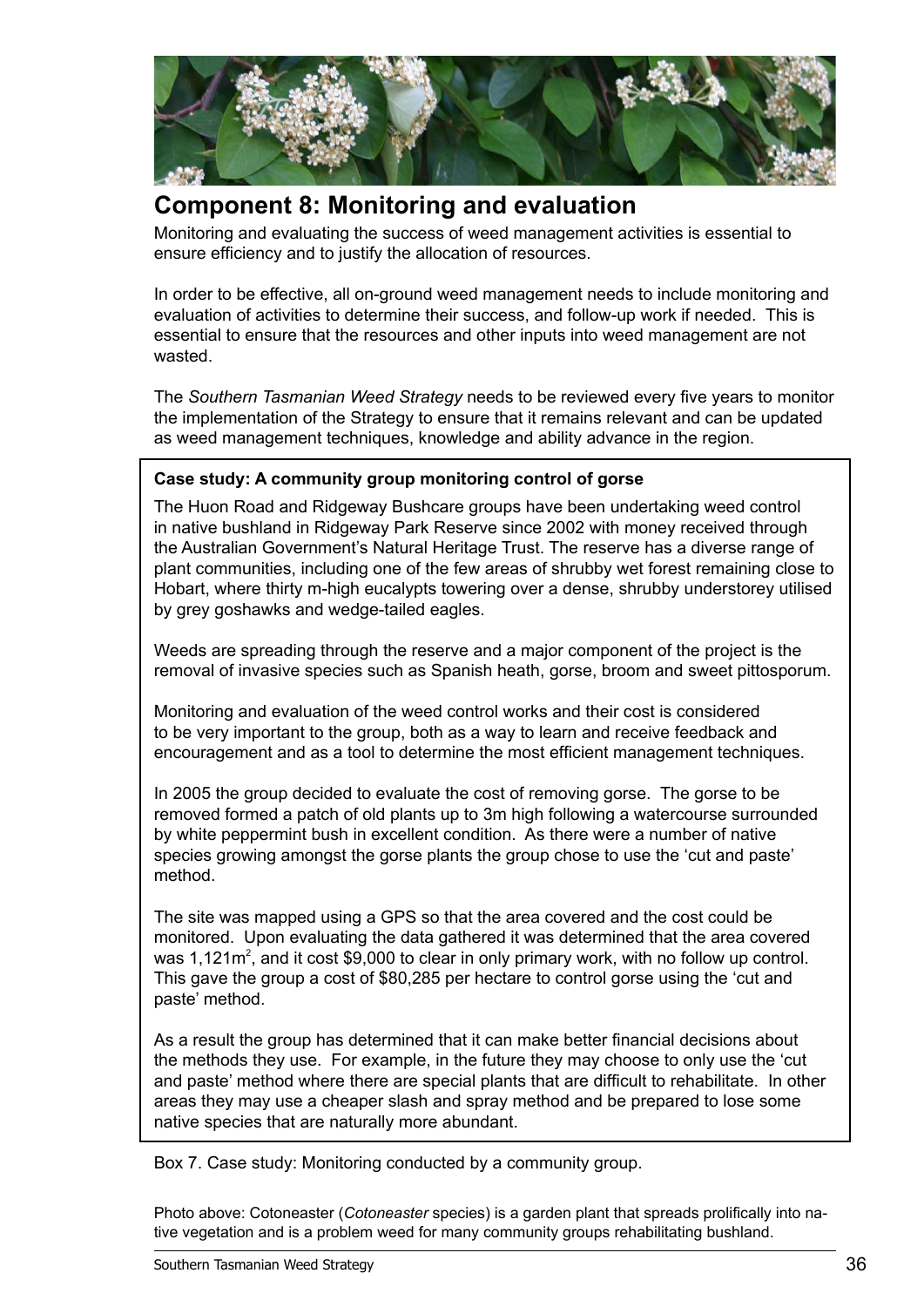

## **Component 8: Monitoring and evaluation**

Monitoring and evaluating the success of weed management activities is essential to ensure efficiency and to justify the allocation of resources.

In order to be effective, all on-ground weed management needs to include monitoring and evaluation of activities to determine their success, and follow-up work if needed. This is essential to ensure that the resources and other inputs into weed management are not wasted.

The *Southern Tasmanian Weed Strategy* needs to be reviewed every five years to monitor the implementation of the Strategy to ensure that it remains relevant and can be updated as weed management techniques, knowledge and ability advance in the region.

#### **Case study: A community group monitoring control of gorse**

The Huon Road and Ridgeway Bushcare groups have been undertaking weed control in native bushland in Ridgeway Park Reserve since 2002 with money received through the Australian Government's Natural Heritage Trust. The reserve has a diverse range of plant communities, including one of the few areas of shrubby wet forest remaining close to Hobart, where thirty m-high eucalypts towering over a dense, shrubby understorey utilised by grey goshawks and wedge-tailed eagles.

Weeds are spreading through the reserve and a major component of the project is the removal of invasive species such as Spanish heath, gorse, broom and sweet pittosporum.

Monitoring and evaluation of the weed control works and their cost is considered to be very important to the group, both as a way to learn and receive feedback and encouragement and as a tool to determine the most efficient management techniques.

In 2005 the group decided to evaluate the cost of removing gorse. The gorse to be removed formed a patch of old plants up to 3m high following a watercourse surrounded by white peppermint bush in excellent condition. As there were a number of native species growing amongst the gorse plants the group chose to use the 'cut and paste' method.

The site was mapped using a GPS so that the area covered and the cost could be monitored. Upon evaluating the data gathered it was determined that the area covered was  $1,121m^2$ , and it cost \$9,000 to clear in only primary work, with no follow up control. This gave the group a cost of \$80,285 per hectare to control gorse using the 'cut and paste' method.

As a result the group has determined that it can make better financial decisions about the methods they use. For example, in the future they may choose to only use the 'cut and paste' method where there are special plants that are difficult to rehabilitate. In other areas they may use a cheaper slash and spray method and be prepared to lose some native species that are naturally more abundant.

Box 7. Case study: Monitoring conducted by a community group.

Photo above: Cotoneaster (*Cotoneaster* species) is a garden plant that spreads prolifically into native vegetation and is a problem weed for many community groups rehabilitating bushland.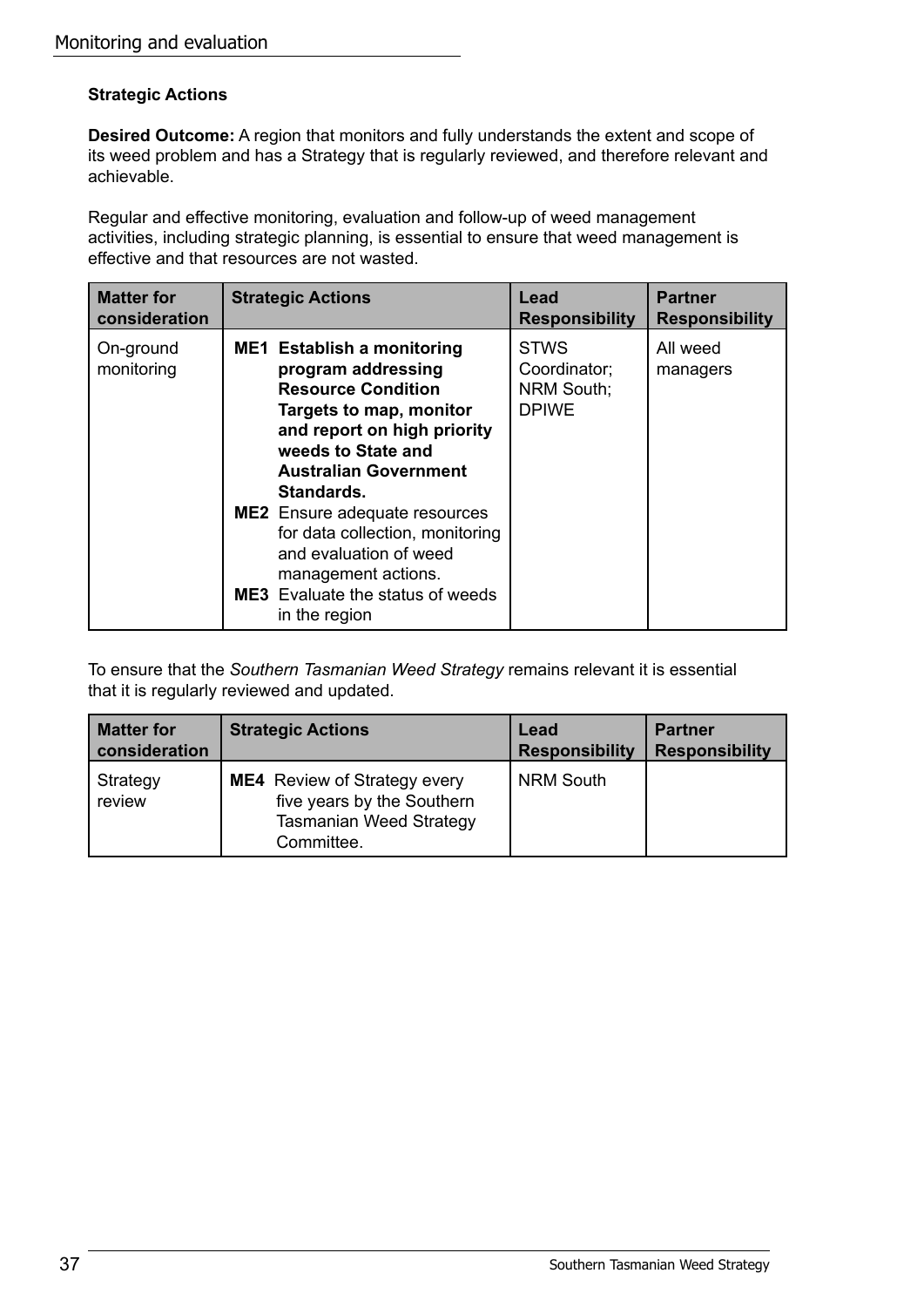#### **Strategic Actions**

**Desired Outcome:** A region that monitors and fully understands the extent and scope of its weed problem and has a Strategy that is regularly reviewed, and therefore relevant and achievable.

Regular and effective monitoring, evaluation and follow-up of weed management activities, including strategic planning, is essential to ensure that weed management is effective and that resources are not wasted.

| <b>Matter for</b>       | <b>Strategic Actions</b>                                                                                                                                                                                                                                                                                                                                                                                   | Lead                                                             | <b>Partner</b>        |
|-------------------------|------------------------------------------------------------------------------------------------------------------------------------------------------------------------------------------------------------------------------------------------------------------------------------------------------------------------------------------------------------------------------------------------------------|------------------------------------------------------------------|-----------------------|
| consideration           |                                                                                                                                                                                                                                                                                                                                                                                                            | <b>Responsibility</b>                                            | <b>Responsibility</b> |
| On-ground<br>monitoring | <b>ME1</b> Establish a monitoring<br>program addressing<br><b>Resource Condition</b><br>Targets to map, monitor<br>and report on high priority<br>weeds to State and<br><b>Australian Government</b><br>Standards.<br><b>ME2</b> Ensure adequate resources<br>for data collection, monitoring<br>and evaluation of weed<br>management actions.<br><b>ME3</b> Evaluate the status of weeds<br>in the region | <b>STWS</b><br>Coordinator;<br><b>NRM South;</b><br><b>DPIWE</b> | All weed<br>managers  |

To ensure that the *Southern Tasmanian Weed Strategy* remains relevant it is essential that it is regularly reviewed and updated.

| <b>Matter for</b>  | <b>Strategic Actions</b>                                                                                          | Lead                  | <b>Partner</b>        |
|--------------------|-------------------------------------------------------------------------------------------------------------------|-----------------------|-----------------------|
| consideration      |                                                                                                                   | <b>Responsibility</b> | <b>Responsibility</b> |
| Strategy<br>review | <b>ME4</b> Review of Strategy every<br>five years by the Southern<br><b>Tasmanian Weed Strategy</b><br>Committee. | <b>NRM South</b>      |                       |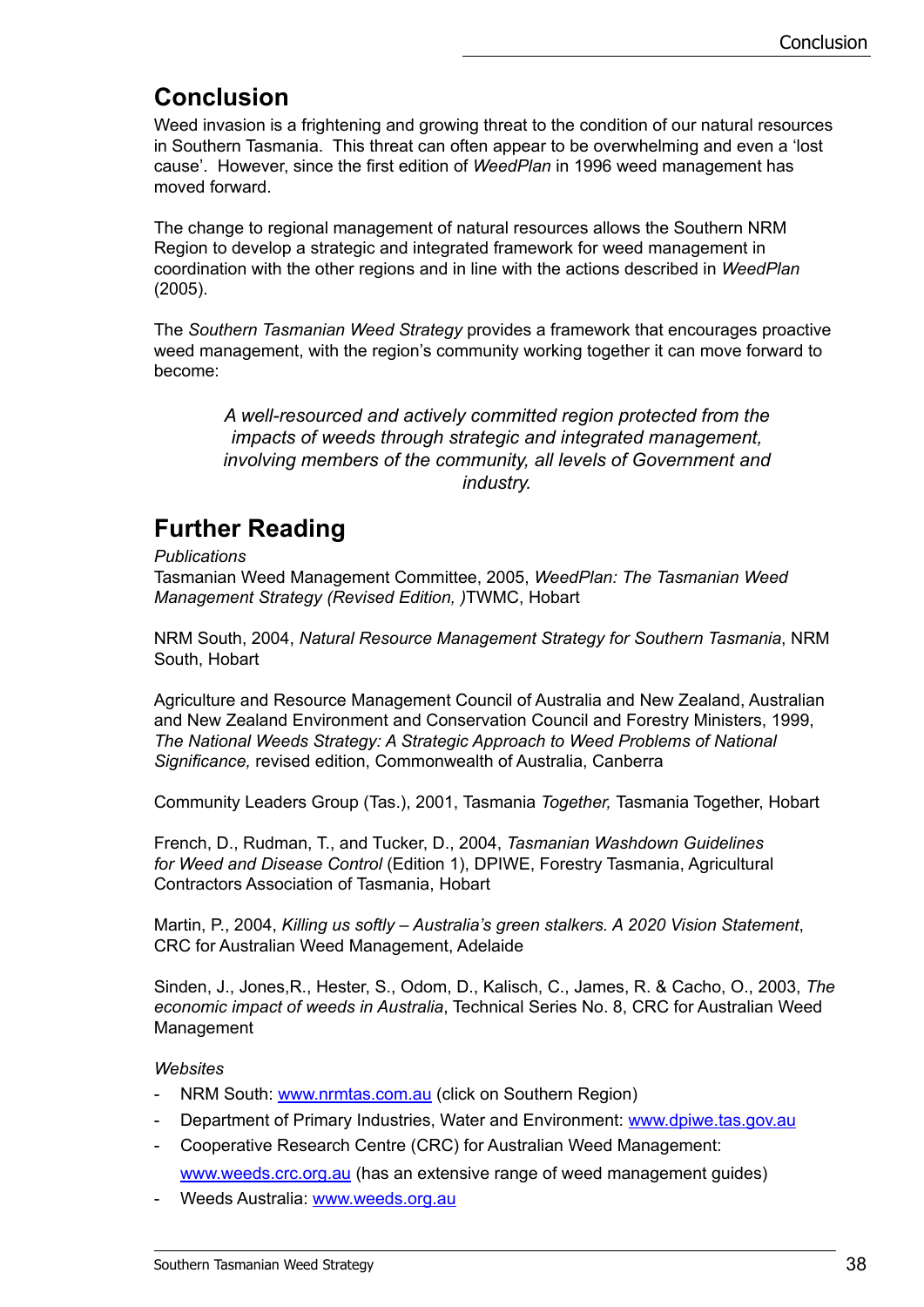# **Conclusion**

Weed invasion is a frightening and growing threat to the condition of our natural resources in Southern Tasmania. This threat can often appear to be overwhelming and even a 'lost cause'. However, since the first edition of *WeedPlan* in 1996 weed management has moved forward.

The change to regional management of natural resources allows the Southern NRM Region to develop a strategic and integrated framework for weed management in coordination with the other regions and in line with the actions described in *WeedPlan*  (2005).

The *Southern Tasmanian Weed Strategy* provides a framework that encourages proactive weed management, with the region's community working together it can move forward to become:

*A well-resourced and actively committed region protected from the impacts of weeds through strategic and integrated management, involving members of the community, all levels of Government and industry.*

# **Further Reading**

*Publications*

Tasmanian Weed Management Committee, 2005, *WeedPlan: The Tasmanian Weed Management Strategy (Revised Edition, )*TWMC, Hobart

NRM South, 2004, *Natural Resource Management Strategy for Southern Tasmania*, NRM South, Hobart

Agriculture and Resource Management Council of Australia and New Zealand, Australian and New Zealand Environment and Conservation Council and Forestry Ministers, 1999, *The National Weeds Strategy: A Strategic Approach to Weed Problems of National Significance,* revised edition, Commonwealth of Australia, Canberra

Community Leaders Group (Tas.), 2001, Tasmania *Together,* Tasmania Together, Hobart

French, D., Rudman, T., and Tucker, D., 2004, *Tasmanian Washdown Guidelines for Weed and Disease Control* (Edition 1), DPIWE, Forestry Tasmania, Agricultural Contractors Association of Tasmania, Hobart

Martin, P., 2004, *Killing us softly – Australia's green stalkers. A 2020 Vision Statement*, CRC for Australian Weed Management, Adelaide

Sinden, J., Jones,R., Hester, S., Odom, D., Kalisch, C., James, R. & Cacho, O., 2003, *The economic impact of weeds in Australia*, Technical Series No. 8, CRC for Australian Weed **Management** 

#### *Websites*

- NRM South: www.nrmtas.com.au (click on Southern Region)
- Department of Primary Industries, Water and Environment: www.dpiwe.tas.gov.au
- Cooperative Research Centre (CRC) for Australian Weed Management:

www.weeds.crc.org.au (has an extensive range of weed management guides)

Weeds Australia: www.weeds.org.au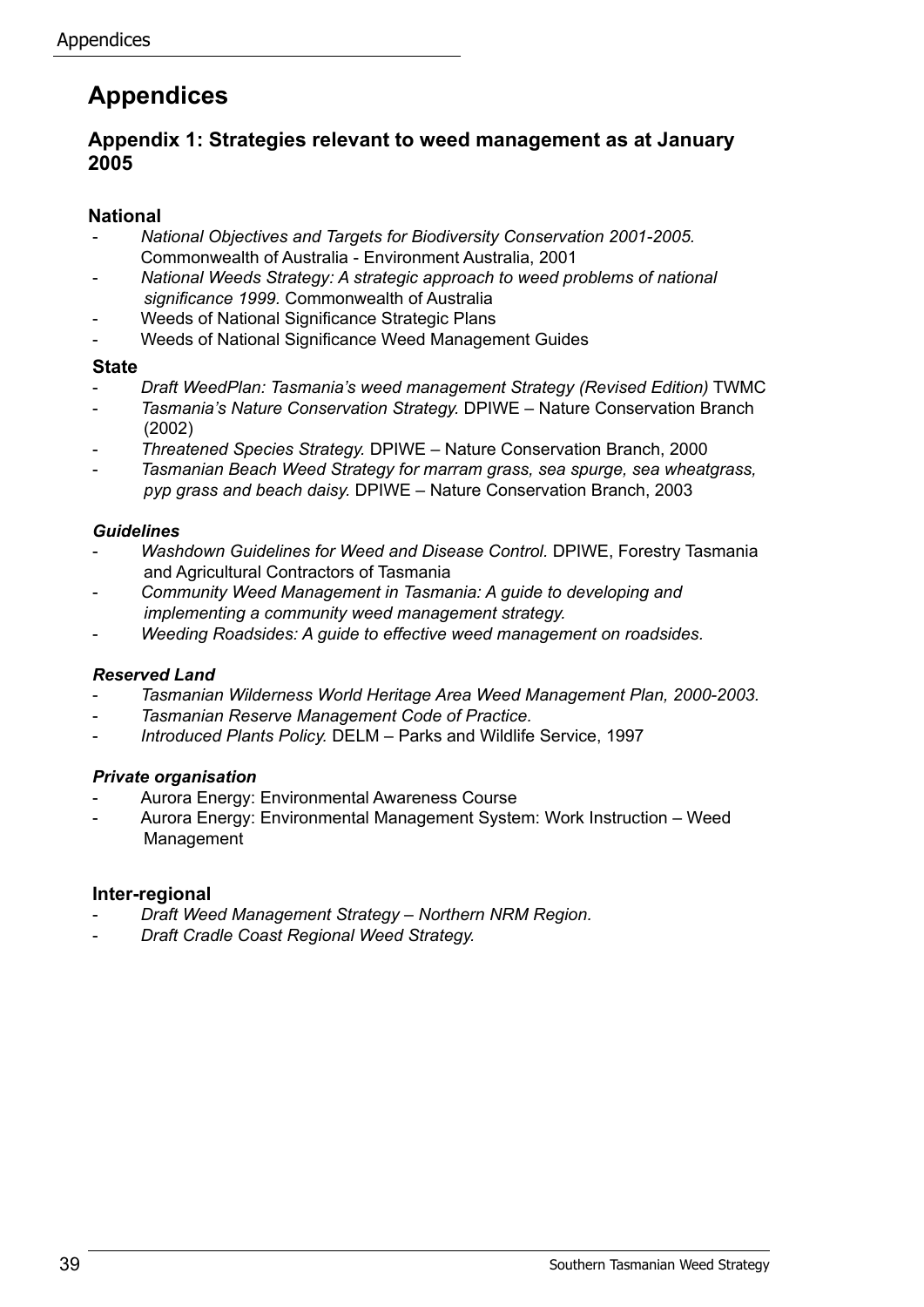# **Appendices**

#### **Appendix 1: Strategies relevant to weed management as at January 2005**

#### **National**

- *National Objectives and Targets for Biodiversity Conservation 2001-2005.* Commonwealth of Australia - Environment Australia, 2001
- *National Weeds Strategy: A strategic approach to weed problems of national significance 1999.* Commonwealth of Australia
- Weeds of National Significance Strategic Plans
- Weeds of National Significance Weed Management Guides

#### **State**

- *Draft WeedPlan: Tasmania's weed management Strategy (Revised Edition)* TWMC
- *Tasmania's Nature Conservation Strategy.* DPIWE Nature Conservation Branch (2002)
- *Threatened Species Strategy.* DPIWE Nature Conservation Branch, 2000
- *Tasmanian Beach Weed Strategy for marram grass, sea spurge, sea wheatgrass, pyp grass and beach daisy.* DPIWE – Nature Conservation Branch, 2003

#### *Guidelines*

- *Washdown Guidelines for Weed and Disease Control.* DPIWE, Forestry Tasmania and Agricultural Contractors of Tasmania
- *Community Weed Management in Tasmania: A guide to developing and implementing a community weed management strategy.*
- *Weeding Roadsides: A guide to effective weed management on roadsides.*

#### *Reserved Land*

- *Tasmanian Wilderness World Heritage Area Weed Management Plan, 2000-2003.*
- **Tasmanian Reserve Management Code of Practice.**
- *Introduced Plants Policy.* DELM Parks and Wildlife Service, 1997

#### *Private organisation*

- Aurora Energy: Environmental Awareness Course
- Aurora Energy: Environmental Management System: Work Instruction Weed Management

#### **Inter-regional**

- *Draft Weed Management Strategy Northern NRM Region.*
- *Draft Cradle Coast Regional Weed Strategy.*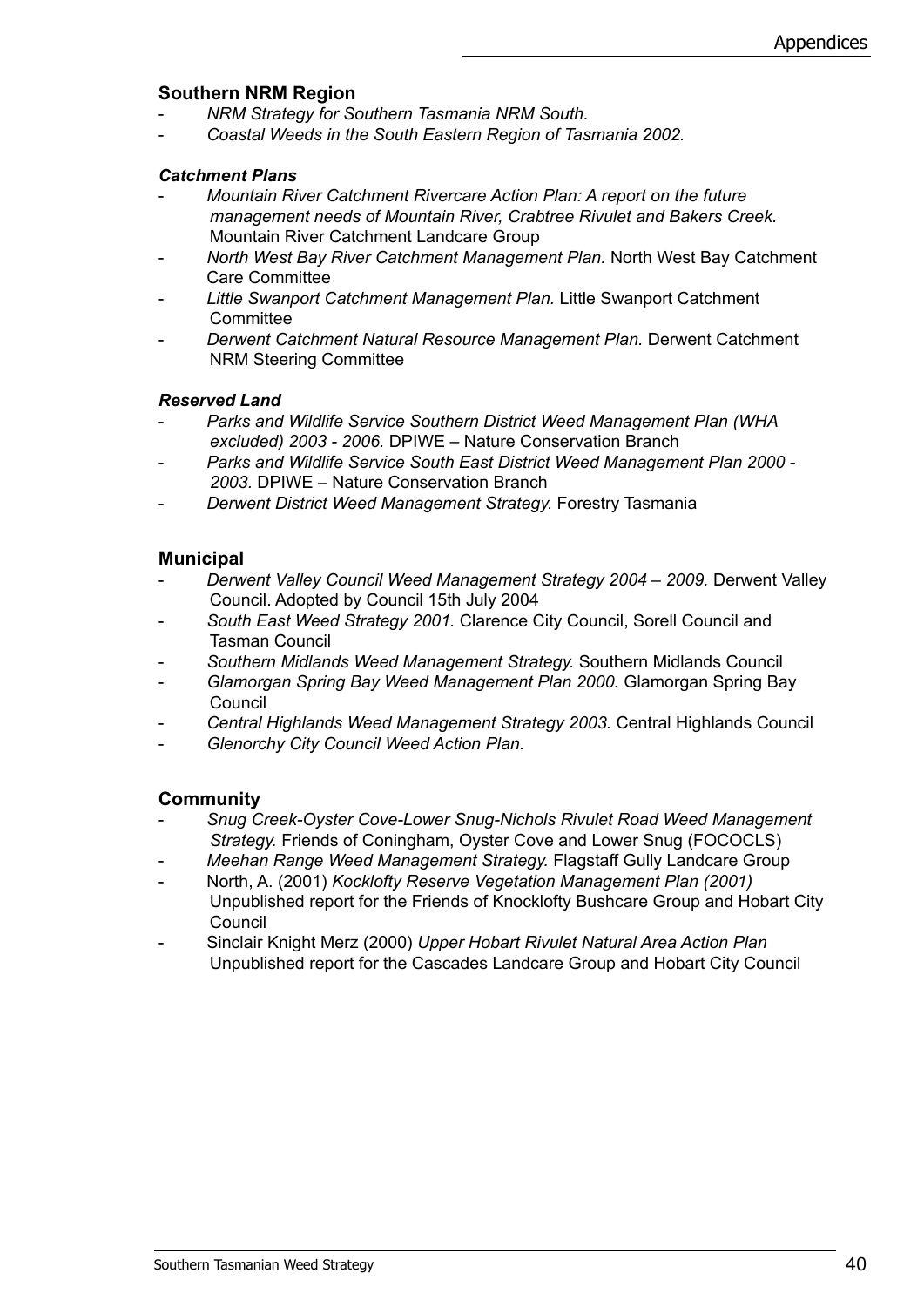#### **Southern NRM Region**

- *NRM Strategy for Southern Tasmania NRM South.*
- *Coastal Weeds in the South Eastern Region of Tasmania 2002.*

#### *Catchment Plans*

- *Mountain River Catchment Rivercare Action Plan: A report on the future management needs of Mountain River, Crabtree Rivulet and Bakers Creek.*  Mountain River Catchment Landcare Group
- *North West Bay River Catchment Management Plan.* North West Bay Catchment Care Committee
- *Little Swanport Catchment Management Plan.* Little Swanport Catchment **Committee**
- *Derwent Catchment Natural Resource Management Plan.* Derwent Catchment NRM Steering Committee

#### *Reserved Land*

- *Parks and Wildlife Service Southern District Weed Management Plan (WHA excluded) 2003 - 2006.* DPIWE – Nature Conservation Branch
- *Parks and Wildlife Service South East District Weed Management Plan 2000 2003.* DPIWE – Nature Conservation Branch
- *Derwent District Weed Management Strategy.* Forestry Tasmania

#### **Municipal**

- *Derwent Valley Council Weed Management Strategy 2004 2009.* Derwent Valley Council. Adopted by Council 15th July 2004
- *South East Weed Strategy 2001.* Clarence City Council, Sorell Council and Tasman Council
- *Southern Midlands Weed Management Strategy.* Southern Midlands Council
- *Glamorgan Spring Bay Weed Management Plan 2000.* Glamorgan Spring Bay Council
- *Central Highlands Weed Management Strategy 2003.* Central Highlands Council
- *Glenorchy City Council Weed Action Plan.*

#### **Community**

- *Snug Creek-Oyster Cove-Lower Snug-Nichols Rivulet Road Weed Management Strategy.* Friends of Coningham, Oyster Cove and Lower Snug (FOCOCLS)
- *Meehan Range Weed Management Strategy.* Flagstaff Gully Landcare Group
- North, A. (2001) *Kocklofty Reserve Vegetation Management Plan (2001)* Unpublished report for the Friends of Knocklofty Bushcare Group and Hobart City **Council**
- Sinclair Knight Merz (2000) *Upper Hobart Rivulet Natural Area Action Plan*  Unpublished report for the Cascades Landcare Group and Hobart City Council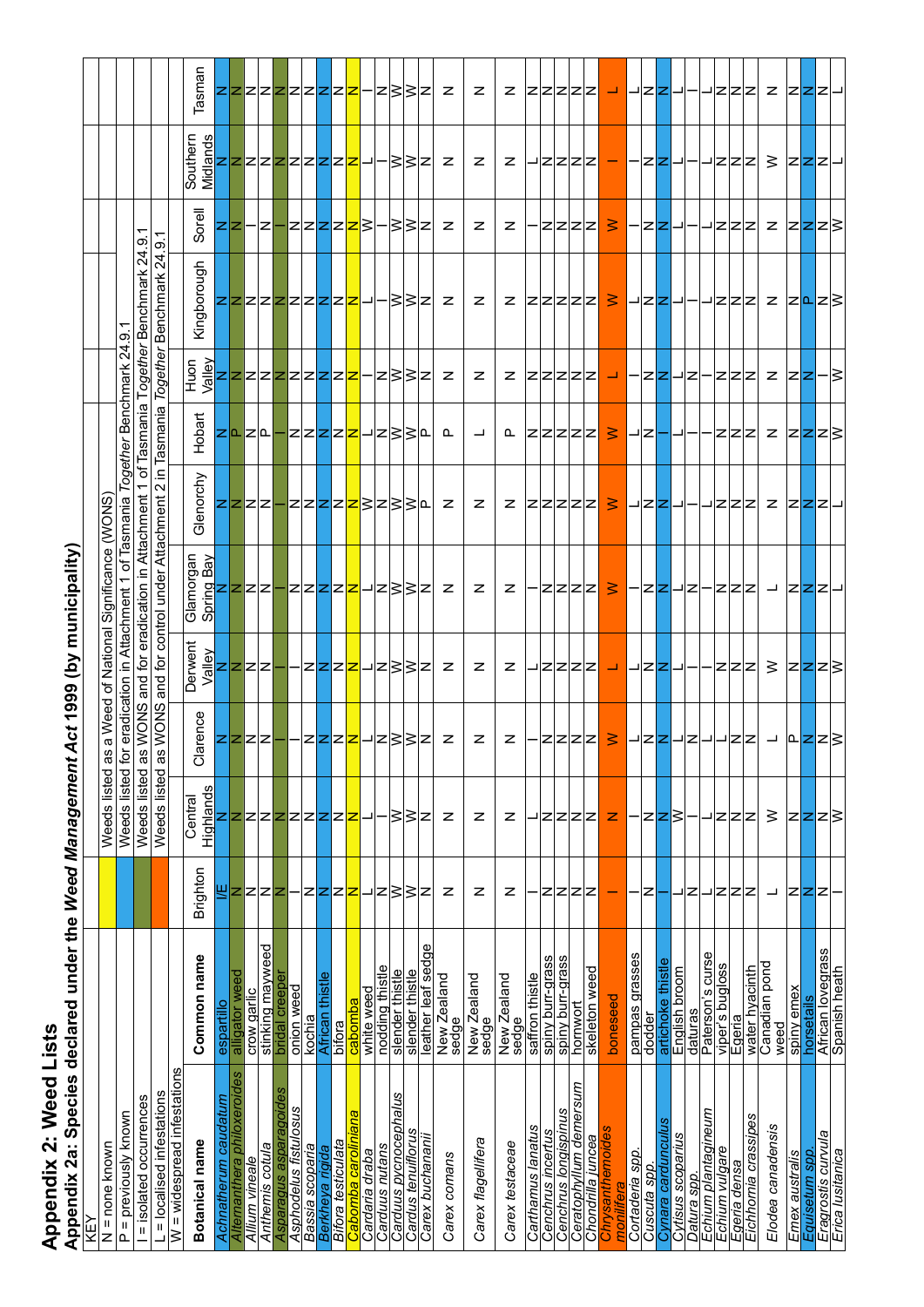| Appendix 2: Weed Lists<br>Appendix 2a: Species | declared under the Weed Management    |          |                    |                                                              |                                      | Act 1999 (by municipality)                 |                           |                             |                               |                                     |                               |                                                            |                                          |
|------------------------------------------------|---------------------------------------|----------|--------------------|--------------------------------------------------------------|--------------------------------------|--------------------------------------------|---------------------------|-----------------------------|-------------------------------|-------------------------------------|-------------------------------|------------------------------------------------------------|------------------------------------------|
|                                                |                                       |          |                    |                                                              |                                      |                                            |                           |                             |                               |                                     |                               |                                                            |                                          |
| $N =$ none known                               |                                       |          | Weeds listed a     | a Weed<br>o                                                  | National<br>Ⴆ                        | Significance                               | <b>CMOWS</b>              |                             |                               |                                     |                               |                                                            |                                          |
| = previously known<br>$\Omega$                 |                                       |          | Weeds listed for   | eradication                                                  |                                      | in Attachment                              | Together<br>of Tasmania   |                             | $\overline{2}$<br>Benchmark   | $\overline{O}$                      |                               |                                                            |                                          |
| = isolated occurrences                         |                                       |          | Weeds listed a     | WONS<br>S)                                                   | ₫<br>and                             | eradication                                | ৳<br>↽<br>in Attachment   | Tasmania                    | Together                      | $\overline{24}$<br><b>Benchmark</b> | თ                             |                                                            |                                          |
| = localised infestations                       |                                       |          | Weeds listed       | WONS<br>$\omega$<br>መ                                        | and                                  | for control under Attachment               | ⊒.<br>$\mathbf{\Omega}$   | Tasmania                    |                               | Together Benchmark 24.9.            |                               |                                                            |                                          |
| $W =$ widespread infestations                  |                                       |          | Central            |                                                              | Derwent                              |                                            |                           |                             | Huon                          |                                     |                               |                                                            |                                          |
| Botanical name                                 | Common name                           | Brighton | Highlands          | larence<br>$\overline{\circ}$                                | Nalley<br>>                          | Glamorgan<br>Spring Bay                    | Glenorchy                 | Hobart                      | Valley                        | Kingborough                         | Sorel                         |                                                            | Tasman                                   |
| Achnatherum caudatum                           | ₫<br>espartill                        | ₹        |                    |                                                              |                                      |                                            |                           |                             |                               |                                     | 22                            |                                                            |                                          |
| Alternanthera philoxeroides                    | alligator weed                        | z        | zz                 |                                                              | zzzz                                 |                                            |                           | <u> ZI</u> 기                |                               |                                     |                               |                                                            |                                          |
| Allium vineale                                 | crow garlic                           | z        |                    |                                                              |                                      |                                            |                           |                             |                               |                                     |                               |                                                            |                                          |
| Asparagus asparagoides<br>Anthemis cotula      | stinking mayweed<br>bridal creeper    | z<br>z   | z<br>z             |                                                              |                                      |                                            |                           |                             | ZZZZZZZZZZ <mark>Z</mark>     | <mark> Z Z Z Z Z Z Z Z _</mark> _ - | -1Z1.                         |                                                            |                                          |
| Asphodelus fistulosus                          | onion weed                            |          | ız                 |                                                              |                                      |                                            |                           |                             |                               |                                     |                               |                                                            |                                          |
| Bassia scoparia                                | kochia                                | z        | z                  |                                                              |                                      |                                            |                           |                             |                               |                                     |                               |                                                            |                                          |
| Berkheya rigida                                | African thistle                       | 222      | zz                 |                                                              |                                      |                                            |                           |                             |                               |                                     |                               |                                                            |                                          |
| Bifora testiculata                             | bifora                                |          |                    |                                                              |                                      |                                            |                           |                             |                               |                                     |                               |                                                            |                                          |
| ana<br>Cabomba carolini                        | cabomba                               |          | z                  |                                                              |                                      |                                            |                           |                             |                               |                                     |                               |                                                            |                                          |
| Cardaria draba                                 | white weed                            |          |                    |                                                              |                                      |                                            |                           |                             |                               |                                     |                               |                                                            |                                          |
| Carduus pycnocephalus<br>Carduus nutans        | nodding thistle<br>slender thistle    | z<br>і   | ≳                  | z z z = − z z z = z } } z                                    | − − z  <mark>z z z</mark>  → z } } z | <mark>ĝz z z z − z z z z −</mark>  z } } z | <mark>zzzz-zzzzzzz</mark> | −zzzzz <mark>z</mark> jzsse | z }}2                         | - } } z                             | – z z z z z } − } } z         |                                                            | Z Z Z Z Z Z Z Z  <del>Z</del>  — Z } } Z |
| Cardus tenuiflorus                             | slender thistle                       | ∣≳       | ∣≥                 |                                                              |                                      |                                            |                           |                             |                               |                                     |                               |                                                            |                                          |
| Carex buchanani                                | leather leaf sedge                    | z        | z                  |                                                              |                                      |                                            |                           |                             |                               |                                     |                               |                                                            |                                          |
| Carex comans                                   | New Zealand<br>sedge                  | z        | z                  | z                                                            | z                                    | z                                          | z                         | ௳                           | z                             | z                                   | z                             | z                                                          | z                                        |
| Carex flagellifera                             | New Zealand<br>sedge                  | z        | z                  | z                                                            | z                                    | z                                          | z                         | ᆜ                           | z                             | z                                   | z                             | z                                                          | z                                        |
| Carex testaceae                                | New Zealand<br>sedge                  | z        | z                  | z                                                            | z                                    | z                                          | z                         | ൨                           | z                             | z                                   | z                             | z                                                          | z                                        |
| Carthamus lanatus                              | saffron thistle                       |          |                    |                                                              |                                      |                                            |                           |                             |                               |                                     |                               |                                                            |                                          |
| Cenchrus incertus                              | spiny burr-grass                      | z        | z                  |                                                              |                                      |                                            |                           |                             |                               |                                     |                               |                                                            |                                          |
| Cenchrus longispinus                           | spiny burr-grass                      | Z Z      | zz                 |                                                              |                                      |                                            |                           |                             |                               |                                     |                               |                                                            |                                          |
| Ceratophyllum demersum<br>Chondrilla juncea    | skeleton weed<br>hornwort             | z        | z                  | 2222                                                         | <u> JZZZZ</u>                        | Z Z Z Z                                    | Z Z Z Z Z                 | Z Z Z Z Z                   | Z Z Z Z Z                     | Z Z Z Z Z                           | ZZZZ                          |                                                            | Z Z Z Z Z                                |
| Chrysanthemoides<br>monilitera                 | boneseed                              |          | z                  | $\geq$                                                       | <mark>-┙  </mark> ┛  <b>∠ ∠ </b> ┛ ━ | $\geq$                                     | ∣                         | ∣                           | المسا                         | $\geq$                              | ∣                             | <u> ᅴ</u> Z Z Z <mark>  —  </mark> ― Z <mark> Z</mark>  ᅬ― |                                          |
| Cortaderia spp.                                | pampas grasses                        |          |                    |                                                              |                                      |                                            |                           | ⊐∣z∣                        |                               |                                     |                               |                                                            |                                          |
| Cuscuta spp                                    | dodder                                | z        | z                  |                                                              |                                      | - z  <b>z</b>  → z                         | ᅴZZU-                     |                             | · Z Z – Z                     | ᅴZZU                                | Z Z - -                       |                                                            |                                          |
| Cynara cardunculus<br>Cytisus scoparius        | Φ<br>artichoke thist<br>English broom |          | z ≳                |                                                              |                                      |                                            |                           |                             |                               |                                     |                               |                                                            |                                          |
| Datura spp.                                    | daturas                               | z        |                    |                                                              |                                      |                                            |                           | –⊩                          |                               |                                     |                               |                                                            |                                          |
| Echium plantagineum                            | Paterson's curse                      |          |                    |                                                              |                                      |                                            |                           |                             |                               |                                     |                               |                                                            |                                          |
| Echium vulgare                                 | viper's bugloss                       | z        | z                  |                                                              |                                      |                                            |                           |                             |                               |                                     |                               |                                                            |                                          |
| Eichhornia crassipes<br>Egeria densa           | water hyacinth<br>Egeria              | z<br>⊵   | z<br>ız            | ┃– z  <mark>z</mark>  – z – – z z  –  û  <mark>z </mark> z } | - Z Z Z                              | - Z Z Z  →  Z  <b>Z</b>  Z →               | JZZZ Z Z <b>Z</b> ZJ      | Z Z Z                       | z z z  z  z  <mark>z -</mark> | uzzz z z <mark>lo</mark> z }        | uzzzi z  z <mark>z</mark> z } |                                                            |                                          |
| Elodea canadensis                              | Canadian pond                         | ᆜ        | ≥                  |                                                              |                                      |                                            |                           |                             |                               |                                     |                               |                                                            |                                          |
|                                                | weed                                  |          |                    |                                                              | $\geq  z z z \geq$                   |                                            |                           | z z <mark>z</mark> z3       |                               |                                     |                               |                                                            |                                          |
| Emex australis                                 | spiny emex<br>horsetails              |          |                    |                                                              |                                      |                                            |                           |                             |                               |                                     |                               |                                                            |                                          |
| Eragrostis curvula<br>Equisetum spp            | African lovegrass                     | zzz      | z <mark>z</mark> z |                                                              |                                      |                                            |                           |                             |                               |                                     |                               |                                                            |                                          |
| Erica Iusitanica                               | Spanish heath                         |          |                    |                                                              |                                      |                                            |                           |                             | -∣≳                           |                                     |                               |                                                            |                                          |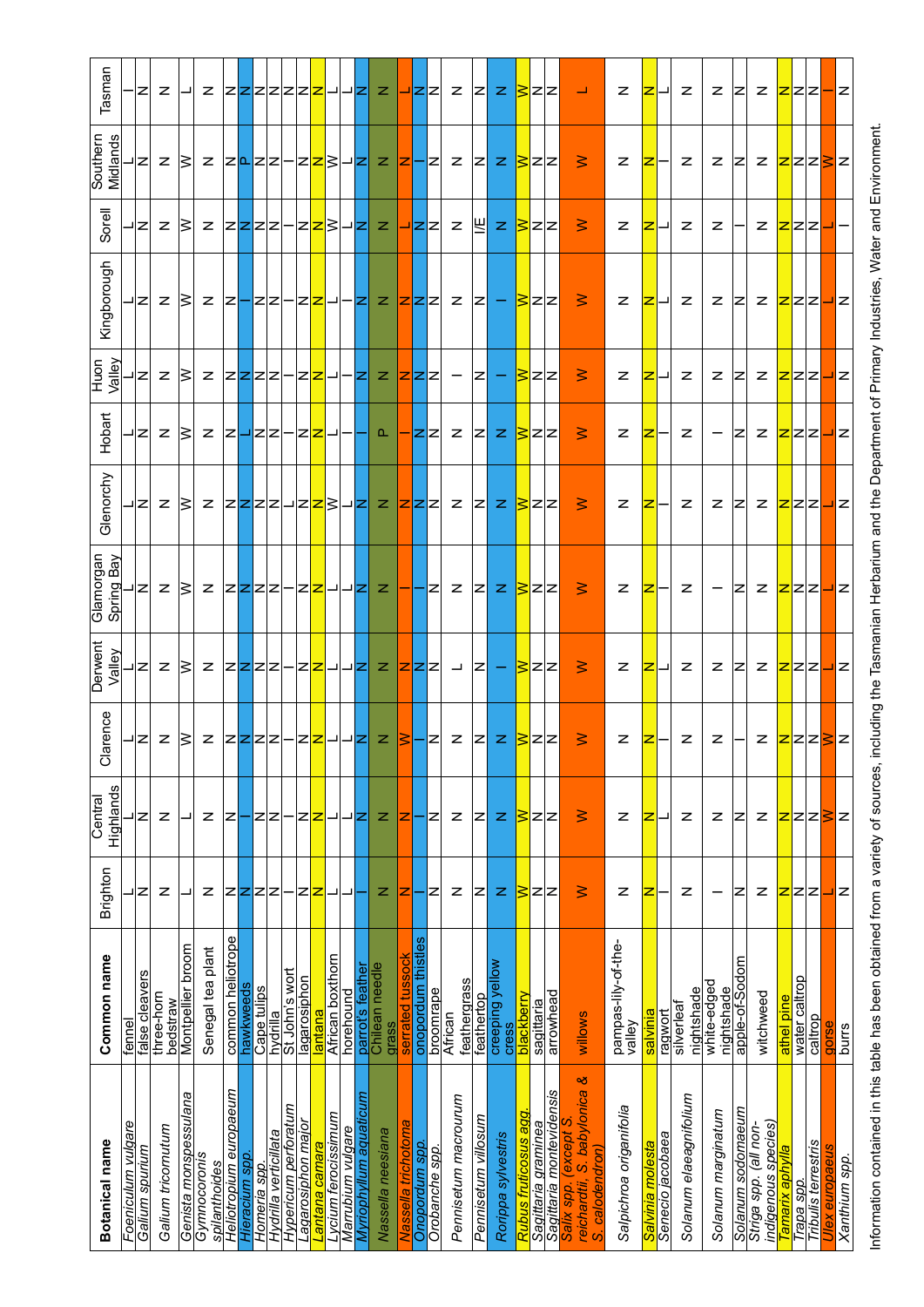| Tasman                       |                    | z              | z                      |                       | z                             |                        |                |             |                       |                      | Z Z Z Z Z  <del>Z</del>  _ _ Z               |                     |                   |                        | z                       |                    | 니디디                |                | z                       | zı                  | z                               |                      | BZZ                 |                          | لى                                                                         | z                            | z                |                  | z                        | z                         | $\left  \mathsf{z} \right $ | z                                            | <u>2</u> ZZ    |               |                            | – z          |               |
|------------------------------|--------------------|----------------|------------------------|-----------------------|-------------------------------|------------------------|----------------|-------------|-----------------------|----------------------|----------------------------------------------|---------------------|-------------------|------------------------|-------------------------|--------------------|--------------------|----------------|-------------------------|---------------------|---------------------------------|----------------------|---------------------|--------------------------|----------------------------------------------------------------------------|------------------------------|------------------|------------------|--------------------------|---------------------------|-----------------------------|----------------------------------------------|----------------|---------------|----------------------------|--------------|---------------|
| Southern<br>Midlands         |                    | z              | z                      | ∣≲                    | z                             |                        |                |             |                       |                      | z  <mark>l</mark> z z - z  <mark>z</mark>  } |                     |                   | ⊣z                     | z.                      |                    | <u> Z − </u> Z     |                | z                       | Z                   | z                               |                      | 3zz                 |                          | $\geq$                                                                     | z                            | ⊵                |                  | z                        | z                         | z                           | z                                            |                |               | 2ZZSZ                      |              |               |
| Sorell                       |                    | א⊧             | z                      | ∣3                    | z                             |                        |                |             | $ Z Z Z -$            |                      | 223                                          |                     |                   | ⊐∣Z∣                   | z                       |                    | ⊐ZZ                |                | z                       | 凹                   | z                               |                      | 322                 |                          | $\geq$                                                                     | z                            | z                |                  | z                        | z                         |                             | z                                            | 22Z            |               |                            |              |               |
| Kingborough                  |                    | צ⊧             | z                      | ∣≲                    | z                             | z                      |                | Z Z         |                       |                      | HZ <mark>Z</mark> J-HZ                       |                     |                   |                        | z.                      |                    | Z Z                |                | z                       |                     | $ z  -$                         |                      | 3zz                 |                          | $\geq$                                                                     | z                            | z                |                  | z                        | z                         | $ \mathsf{z} $              | z <mark>z</mark> zz                          |                |               |                            | ᅴᆮ           |               |
| Valley<br>Huon               |                    | z              | z                      | ∣≳                    | z                             |                        |                | 2222        |                       | —                    | 22                                           | ᅴ                   |                   | -ız                    | z                       |                    | zzz                |                |                         | $ \mathsf{z} $      |                                 |                      | 322                 |                          | $\geq$                                                                     | z                            | z                |                  | z                        | z                         | z                           | z                                            | Z Z Z          |               |                            |              | Ιz            |
| Hobart                       |                    | ⊣z             | z                      | ι3                    | z                             | $\vert$ zl             |                |             |                       |                      | 그zz-zz                                       | ᅴ                   |                   |                        | ௳                       |                    | zz                 |                | z                       | $\mathsf{z}$        | z                               |                      | ≧∣z∣z               |                          | $\geq$                                                                     | z                            | z                |                  | z                        | $\qquad \qquad -$         | z                           | z                                            | 222            |               |                            | ┙            | ΙZ            |
| Glenorchy                    |                    | ı∣z            | z                      | ∣≥                    | z                             |                        |                |             |                       |                      | Z <mark>Z</mark> ZZ24Z <mark>Z</mark> S      |                     |                   | ⊣∣z∣                   | z                       |                    | Z Z                |                | z                       | ızı                 | $\mathbb Z$                     |                      | S Z Z               |                          | ≧                                                                          | z                            | z                |                  | z                        | z                         | Z                           | z                                            | 222            |               |                            | ᅴᆮ           |               |
| Glamorgan<br>Spring Bay      |                    | z              | z                      | ∣≲                    | z                             |                        |                |             |                       |                      | Z <mark>Z</mark> ZZ-Z <mark>Z</mark> JJZ     |                     |                   |                        | z                       |                    |                    | z              | z                       | Z                   | z                               |                      | 322                 |                          | $\geq$                                                                     | z                            | z                |                  | z                        |                           | $ \mathsf{z} $              | z                                            |                |               | ZZZJC                      |              |               |
| Derwent<br>Valley            |                    | z              | z                      | IS                    | z                             |                        |                |             |                       |                      | Z Z Z Z – Z  <mark>Z</mark>                  |                     | 그그리               |                        | z                       |                    | zzz                |                | ᆜ                       | z                   |                                 |                      | Sz z                |                          | $\geq$                                                                     | z                            | z                |                  | z                        | z                         | $\left  \mathsf{z} \right $ | z                                            | Z Z Z          |               |                            | ᅴᆮ           |               |
| arence<br>$\overline{\circ}$ |                    | ız             | $z \geq$               |                       | z                             | Z Z Z Z                |                |             |                       |                      | -ZZJJJZ                                      |                     |                   |                        | z.                      | B                  |                    | ız             | z                       | 1Z                  | z                               |                      | Sz z                |                          | ≧                                                                          | z                            | ∣z               |                  | z                        | z                         |                             | z                                            |                |               | ZZZSZ                      |              |               |
| Highlands<br>Central         |                    | z              | z                      |                       | z                             | z                      |                | zz          |                       |                      | z<br>z                                       | ᆜ                   | ╜                 | z                      | z                       | z                  |                    | z              | z                       | z                   | z                               |                      | ≩zz                 |                          | $\geq$                                                                     | z                            | z                |                  | z                        | z                         | z                           | z                                            | Z Z Z          |               |                            | ℥            | z             |
| Brighton                     |                    | ש∣ב            | z                      |                       | z                             | z                      | z              | z           | z                     |                      | z<br>z                                       |                     |                   |                        | z                       | z                  |                    | z              | z                       | z                   | z                               | ⋧                    | z                   | z                        | $\geq$                                                                     | z                            | z                |                  | z                        |                           | z                           | z                                            |                | zzz           |                            |              | z             |
| Common name                  | fennel             | false cleavers | three-horn<br>bedstraw | Montpellier broom     | plant<br>Senegal tea          | common heliotrope      | hawkweeds      | Cape tulips | hydrilla              | St John's wort       | lagarosiphon<br>lantana                      | African boxthorn    | horehound         | parrot's feather       | Chilean needle<br>grass | serrated tussock   | onopordum thistles | broomrape      | feathergrass<br>African | feathertop          | creeping yellow<br><b>Cress</b> | blackberry           | sagittaria          | arrowhead                | willows                                                                    | pampas-lily-of-the<br>valley | salvinia         | ragwort          | nightshade<br>silverleat | white-edged<br>nightshade | apple-of-Sodom              | witchweed                                    | athel pine     | water caltrop | caltrop                    | gors         | burrs         |
| Botanical name               | Foeniculum vulgare | Galium spurium | Galium tricornutum     | Genista monspessulana | Gymnocoronis<br>spilanthoides | Heliotropium europaeum | Hieracium spp. | Homeria spp | Hydrilla verticillata | Hypericum perforatum | agarosiphon major.<br>antana camara          | vcium ferocissimum. | Marrubium vulgare | Myriophyllum aquaticum | Nassella neesiana       | lassella trichotom | Onopordum spp.     | Orobanche spp. | Pennisetum macrourum    | Pennisetum villosum | Rorippa sylvestris              | Rubus fruticosus agg | Sagittaria graminea | Sagittaria montevidensis | ళ<br>reichardtii, S. babylonica<br>Salix spp. (except S<br>S. calodendron) | Salpichroa origanifolia      | Salvinia molesta | Senecio jacobaea | Solanum elaeagnifolium   | Solanum marginatum        | Solanum sodomaeum           | indigenous species)<br>Striga spp. (all non- | amarix aphylla | Trapa spp.    | <b>Tribulis terrestris</b> | ex europaeus | Xanthium spp. |

Information contained in this table has been obtained from a variety of sources, including the Tasmanian Herbarium and the Department of Primary Industries, Water and Environment. Information contained in this table has been obtained from a variety of sources, including the Tasmanian Herbarium and the Department of Primary Industries, Water and Environment.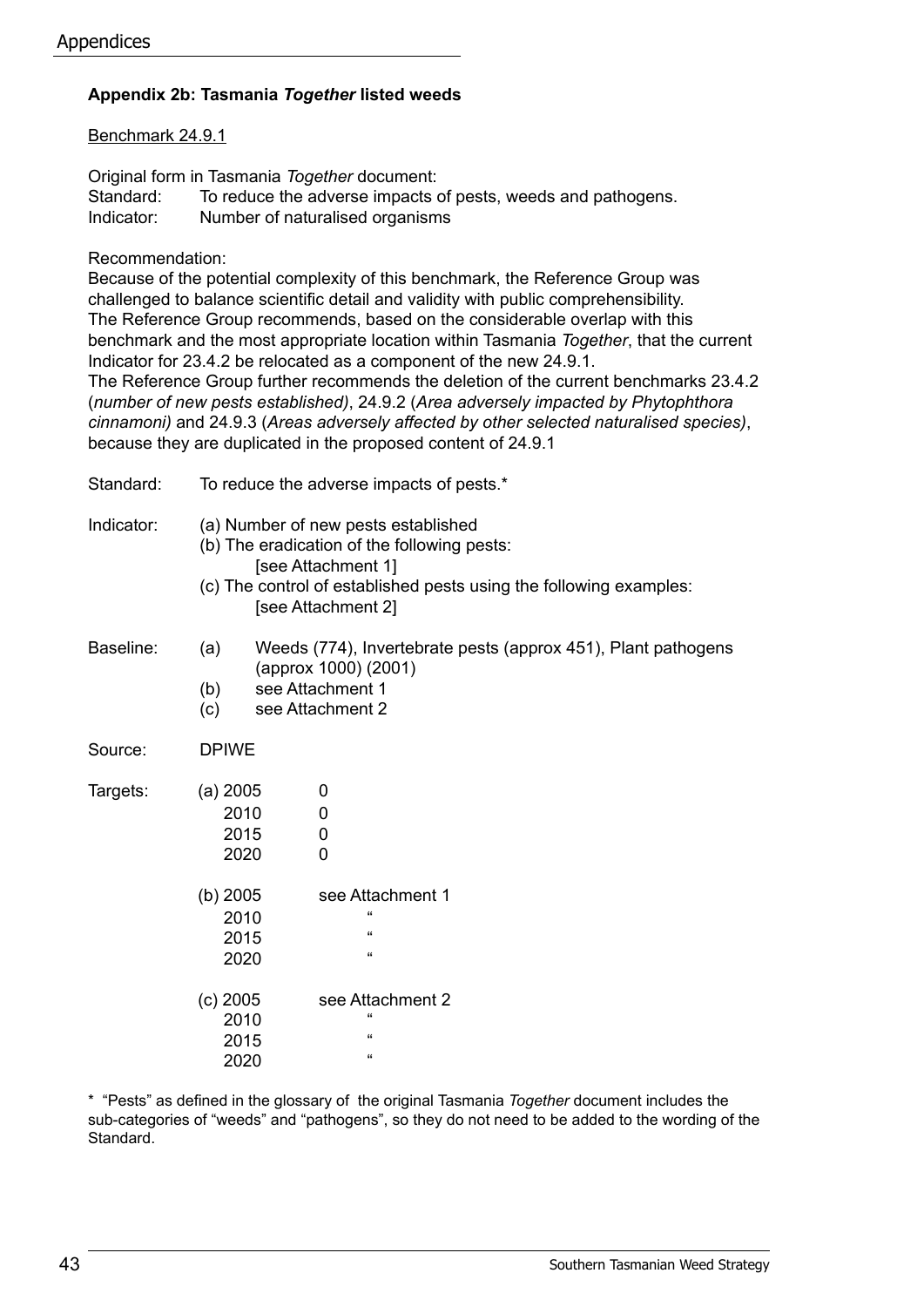#### **Appendix 2b: Tasmania** *Together* **listed weeds**

Benchmark 24.9.1

Original form in Tasmania *Together* document:

| Standard:  | To reduce the adverse impacts of pests, weeds and pathogens. |
|------------|--------------------------------------------------------------|
| Indicator: | Number of naturalised organisms                              |

Recommendation:

Because of the potential complexity of this benchmark, the Reference Group was challenged to balance scientific detail and validity with public comprehensibility. The Reference Group recommends, based on the considerable overlap with this benchmark and the most appropriate location within Tasmania *Together*, that the current Indicator for 23.4.2 be relocated as a component of the new 24.9.1. The Reference Group further recommends the deletion of the current benchmarks 23.4.2 (*number of new pests established)*, 24.9.2 (*Area adversely impacted by Phytophthora cinnamoni)* and 24.9.3 (*Areas adversely affected by other selected naturalised species)*, because they are duplicated in the proposed content of 24.9.1

| Standard:  | To reduce the adverse impacts of pests.*                                                                                                                                                             |                                                            |  |  |  |  |  |  |  |  |  |
|------------|------------------------------------------------------------------------------------------------------------------------------------------------------------------------------------------------------|------------------------------------------------------------|--|--|--|--|--|--|--|--|--|
| Indicator: | (a) Number of new pests established<br>(b) The eradication of the following pests:<br>[see Attachment 1]<br>(c) The control of established pests using the following examples:<br>[see Attachment 2] |                                                            |  |  |  |  |  |  |  |  |  |
| Baseline:  | Weeds (774), Invertebrate pests (approx 451), Plant pathogens<br>(a)<br>(approx 1000) (2001)<br>see Attachment 1<br>(b)<br>see Attachment 2<br>(c)                                                   |                                                            |  |  |  |  |  |  |  |  |  |
| Source:    | <b>DPIWE</b>                                                                                                                                                                                         |                                                            |  |  |  |  |  |  |  |  |  |
| Targets:   | $(a)$ 2005<br>2010<br>2015<br>2020                                                                                                                                                                   | 0<br>0<br>0<br>0                                           |  |  |  |  |  |  |  |  |  |
|            | (b) $2005$<br>2010<br>2015<br>2020                                                                                                                                                                   | see Attachment 1<br>$\epsilon$<br>$\epsilon$<br>$\epsilon$ |  |  |  |  |  |  |  |  |  |
|            | $(c)$ 2005<br>2010<br>2015<br>2020                                                                                                                                                                   | see Attachment 2<br>$\epsilon$<br>$\epsilon$<br>$\epsilon$ |  |  |  |  |  |  |  |  |  |

\* "Pests" as defined in the glossary of the original Tasmania *Together* document includes the sub-categories of "weeds" and "pathogens", so they do not need to be added to the wording of the Standard.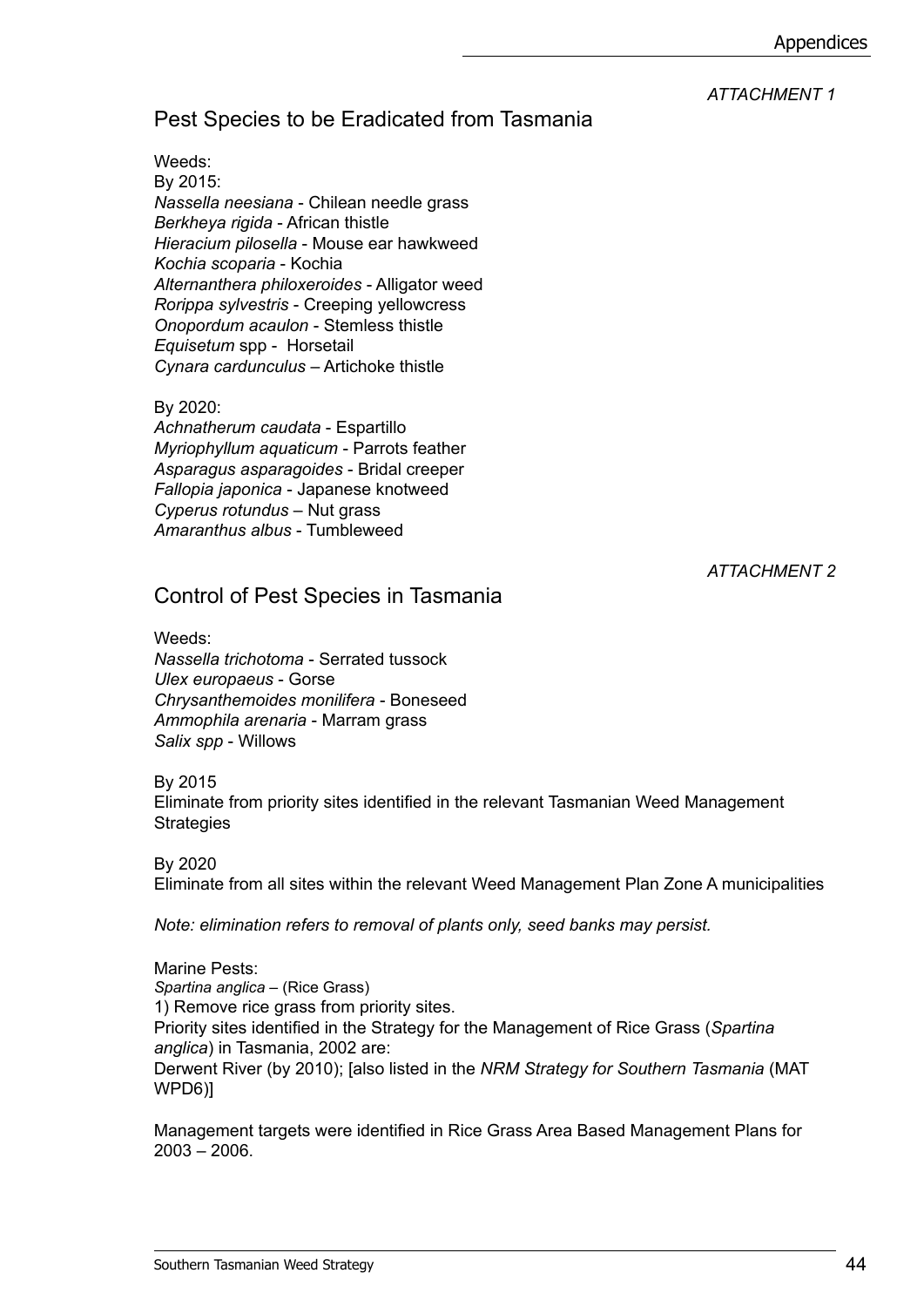## *ATTACHMENT 1*

# Pest Species to be Eradicated from Tasmania

Weeds: By 2015: *Nassella neesiana* - Chilean needle grass *Berkheya rigida* - African thistle *Hieracium pilosella* - Mouse ear hawkweed *Kochia scoparia* - Kochia *Alternanthera philoxeroides* - Alligator weed *Rorippa sylvestris* - Creeping yellowcress *Onopordum acaulon* - Stemless thistle *Equisetum* spp - Horsetail *Cynara cardunculus* – Artichoke thistle

### By 2020:

*Achnatherum caudata* - Espartillo *Myriophyllum aquaticum* - Parrots feather *Asparagus asparagoides* - Bridal creeper *Fallopia japonica* - Japanese knotweed *Cyperus rotundus* – Nut grass *Amaranthus albus* - Tumbleweed

*ATTACHMENT 2*

# Control of Pest Species in Tasmania

Weeds: *Nassella trichotoma* - Serrated tussock *Ulex europaeus* - Gorse *Chrysanthemoides monilifera* - Boneseed *Ammophila arenaria* - Marram grass *Salix spp* - Willows

By 2015

Eliminate from priority sites identified in the relevant Tasmanian Weed Management **Strategies** 

#### By 2020

Eliminate from all sites within the relevant Weed Management Plan Zone A municipalities

*Note: elimination refers to removal of plants only, seed banks may persist.*

Marine Pests: *Spartina anglica* – (Rice Grass) 1) Remove rice grass from priority sites. Priority sites identified in the Strategy for the Management of Rice Grass (*Spartina anglica*) in Tasmania, 2002 are: Derwent River (by 2010); [also listed in the *NRM Strategy for Southern Tasmania* (MAT WPD6)]

Management targets were identified in Rice Grass Area Based Management Plans for 2003 – 2006.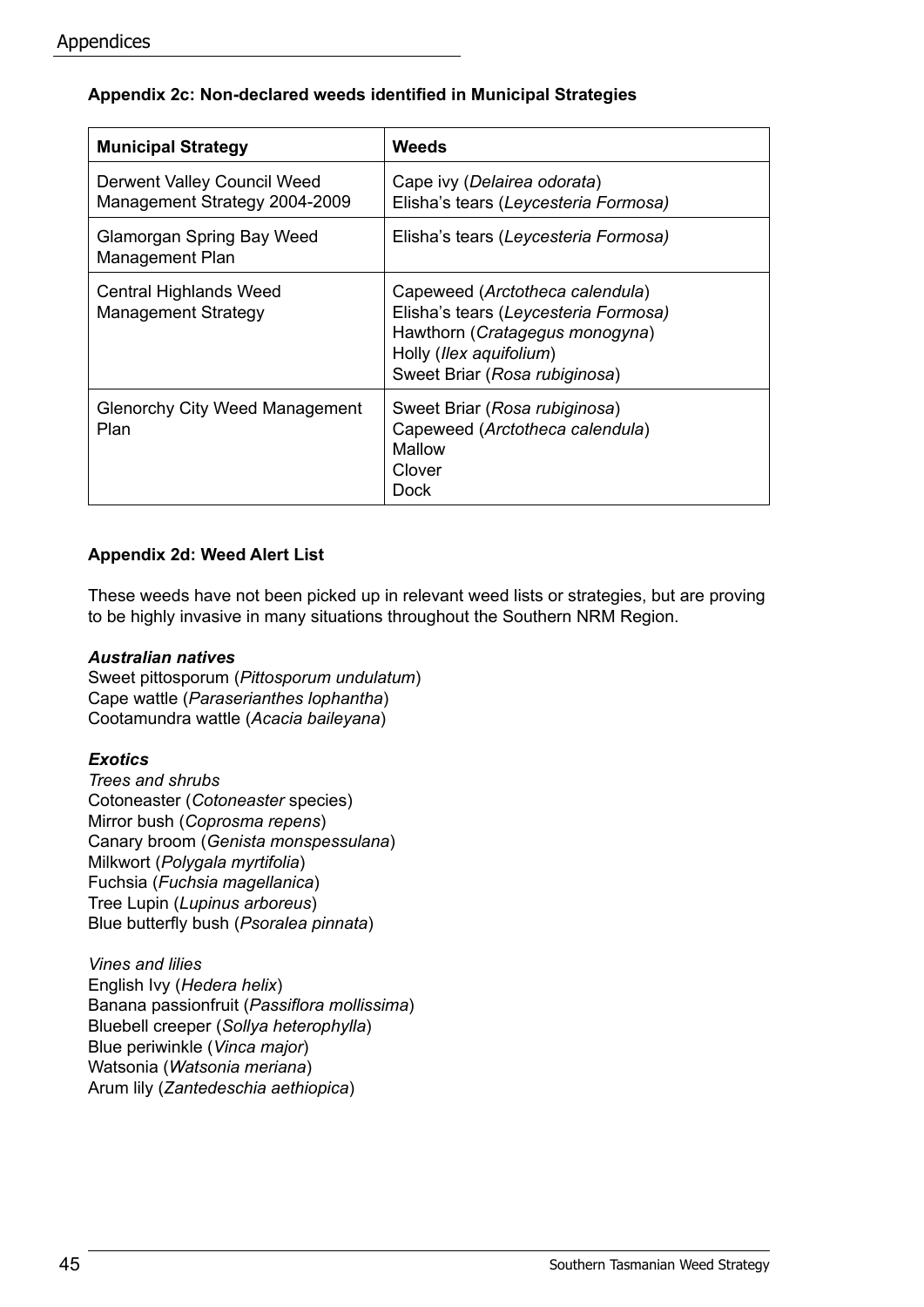#### **Appendix 2c: Non-declared weeds identified in Municipal Strategies**

| <b>Municipal Strategy</b>                                    | Weeds                                                                                                                                                                 |  |  |  |  |  |  |  |  |
|--------------------------------------------------------------|-----------------------------------------------------------------------------------------------------------------------------------------------------------------------|--|--|--|--|--|--|--|--|
| Derwent Valley Council Weed<br>Management Strategy 2004-2009 | Cape ivy (Delairea odorata)<br>Elisha's tears (Leycesteria Formosa)                                                                                                   |  |  |  |  |  |  |  |  |
| Glamorgan Spring Bay Weed<br>Management Plan                 | Elisha's tears (Leycesteria Formosa)                                                                                                                                  |  |  |  |  |  |  |  |  |
| Central Highlands Weed<br><b>Management Strategy</b>         | Capeweed (Arctotheca calendula)<br>Elisha's tears (Leycesteria Formosa)<br>Hawthorn (Cratagegus monogyna)<br>Holly (Ilex aquifolium)<br>Sweet Briar (Rosa rubiginosa) |  |  |  |  |  |  |  |  |
| <b>Glenorchy City Weed Management</b><br>Plan                | Sweet Briar (Rosa rubiginosa)<br>Capeweed (Arctotheca calendula)<br>Mallow<br>Clover<br>Dock                                                                          |  |  |  |  |  |  |  |  |

#### **Appendix 2d: Weed Alert List**

These weeds have not been picked up in relevant weed lists or strategies, but are proving to be highly invasive in many situations throughout the Southern NRM Region.

#### *Australian natives*

Sweet pittosporum (*Pittosporum undulatum*) Cape wattle (*Paraserianthes lophantha*) Cootamundra wattle (*Acacia baileyana*)

#### *Exotics*

*Trees and shrubs* Cotoneaster (*Cotoneaster* species) Mirror bush (*Coprosma repens*) Canary broom (*Genista monspessulana*) Milkwort (*Polygala myrtifolia*) Fuchsia (*Fuchsia magellanica*) Tree Lupin (*Lupinus arboreus*) Blue butterfly bush (*Psoralea pinnata*)

*Vines and lilies* English Ivy (*Hedera helix*) Banana passionfruit (*Passiflora mollissima*) Bluebell creeper (*Sollya heterophylla*) Blue periwinkle (*Vinca major*) Watsonia (*Watsonia meriana*) Arum lily (*Zantedeschia aethiopica*)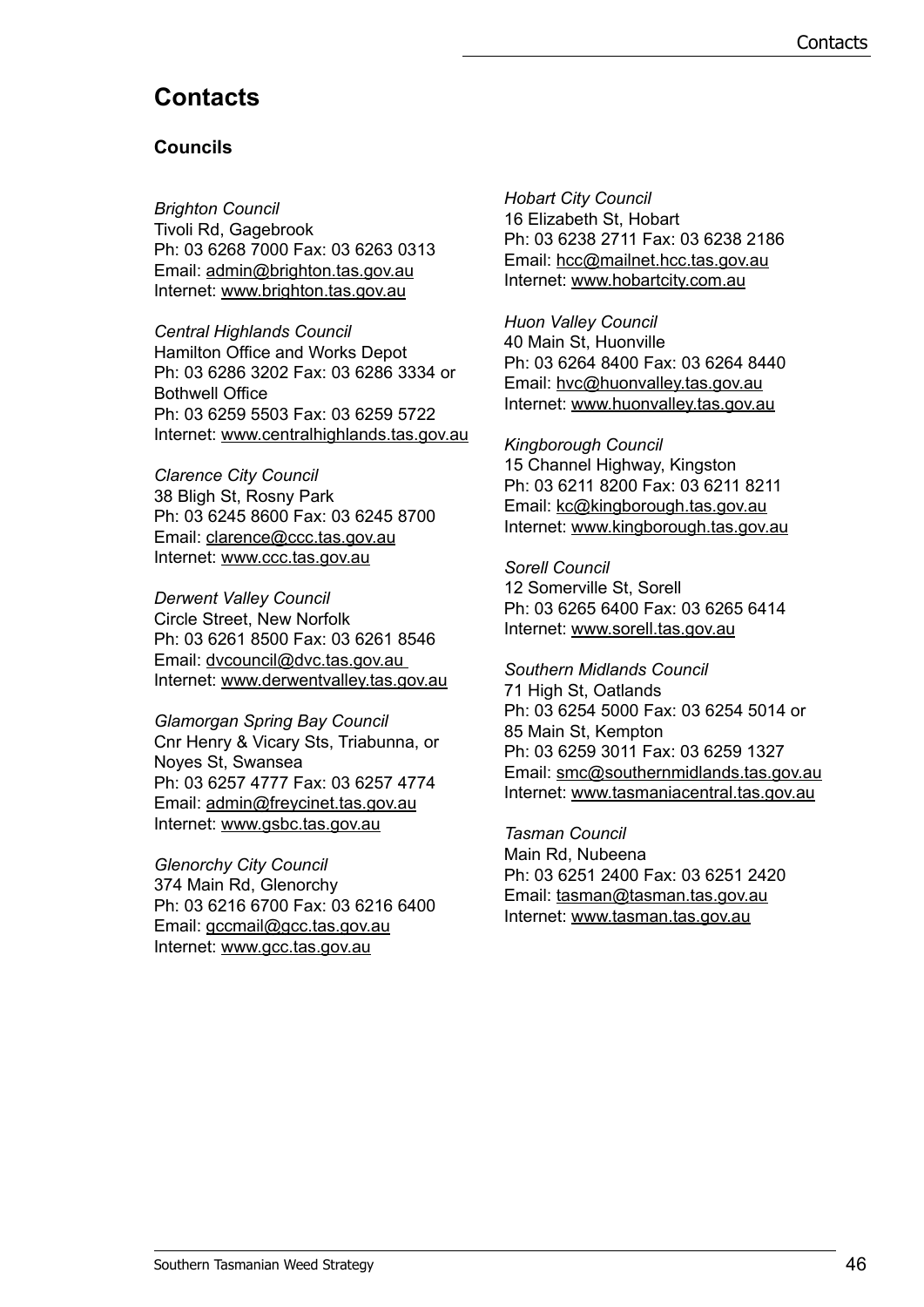# **Contacts**

#### **Councils**

*Brighton Council* Tivoli Rd, Gagebrook Ph: 03 6268 7000 Fax: 03 6263 0313 Email: admin@brighton.tas.gov.au Internet: www.brighton.tas.gov.au

*Central Highlands Council* Hamilton Office and Works Depot Ph: 03 6286 3202 Fax: 03 6286 3334 or Bothwell Office Ph: 03 6259 5503 Fax: 03 6259 5722 Internet: www.centralhighlands.tas.gov.au

*Clarence City Council* 38 Bligh St, Rosny Park Ph: 03 6245 8600 Fax: 03 6245 8700 Email: clarence@ccc.tas.gov.au Internet: www.ccc.tas.gov.au

*Derwent Valley Council* Circle Street, New Norfolk Ph: 03 6261 8500 Fax: 03 6261 8546 Email: dvcouncil@dvc.tas.gov.au Internet: www.derwentvalley.tas.gov.au

*Glamorgan Spring Bay Council* Cnr Henry & Vicary Sts, Triabunna, or Noyes St, Swansea Ph: 03 6257 4777 Fax: 03 6257 4774 Email: admin@freycinet.tas.gov.au Internet: www.gsbc.tas.gov.au

*Glenorchy City Council* 374 Main Rd, Glenorchy Ph: 03 6216 6700 Fax: 03 6216 6400 Email: gccmail@gcc.tas.gov.au Internet: www.gcc.tas.gov.au

*Hobart City Council* 16 Elizabeth St, Hobart Ph: 03 6238 2711 Fax: 03 6238 2186 Email: hcc@mailnet.hcc.tas.gov.au Internet: www.hobartcity.com.au

*Huon Valley Council* 40 Main St, Huonville Ph: 03 6264 8400 Fax: 03 6264 8440 Email: hvc@huonvalley.tas.gov.au Internet: www.huonvalley.tas.gov.au

*Kingborough Council* 15 Channel Highway, Kingston Ph: 03 6211 8200 Fax: 03 6211 8211 Email: kc@kingborough.tas.gov.au Internet: www.kingborough.tas.gov.au

*Sorell Council* 12 Somerville St, Sorell Ph: 03 6265 6400 Fax: 03 6265 6414 Internet: www.sorell.tas.gov.au

*Southern Midlands Council* 71 High St, Oatlands Ph: 03 6254 5000 Fax: 03 6254 5014 or 85 Main St, Kempton Ph: 03 6259 3011 Fax: 03 6259 1327 Email: smc@southernmidlands.tas.gov.au Internet: www.tasmaniacentral.tas.gov.au

*Tasman Council* Main Rd, Nubeena Ph: 03 6251 2400 Fax: 03 6251 2420 Email: tasman@tasman.tas.gov.au Internet: www.tasman.tas.gov.au